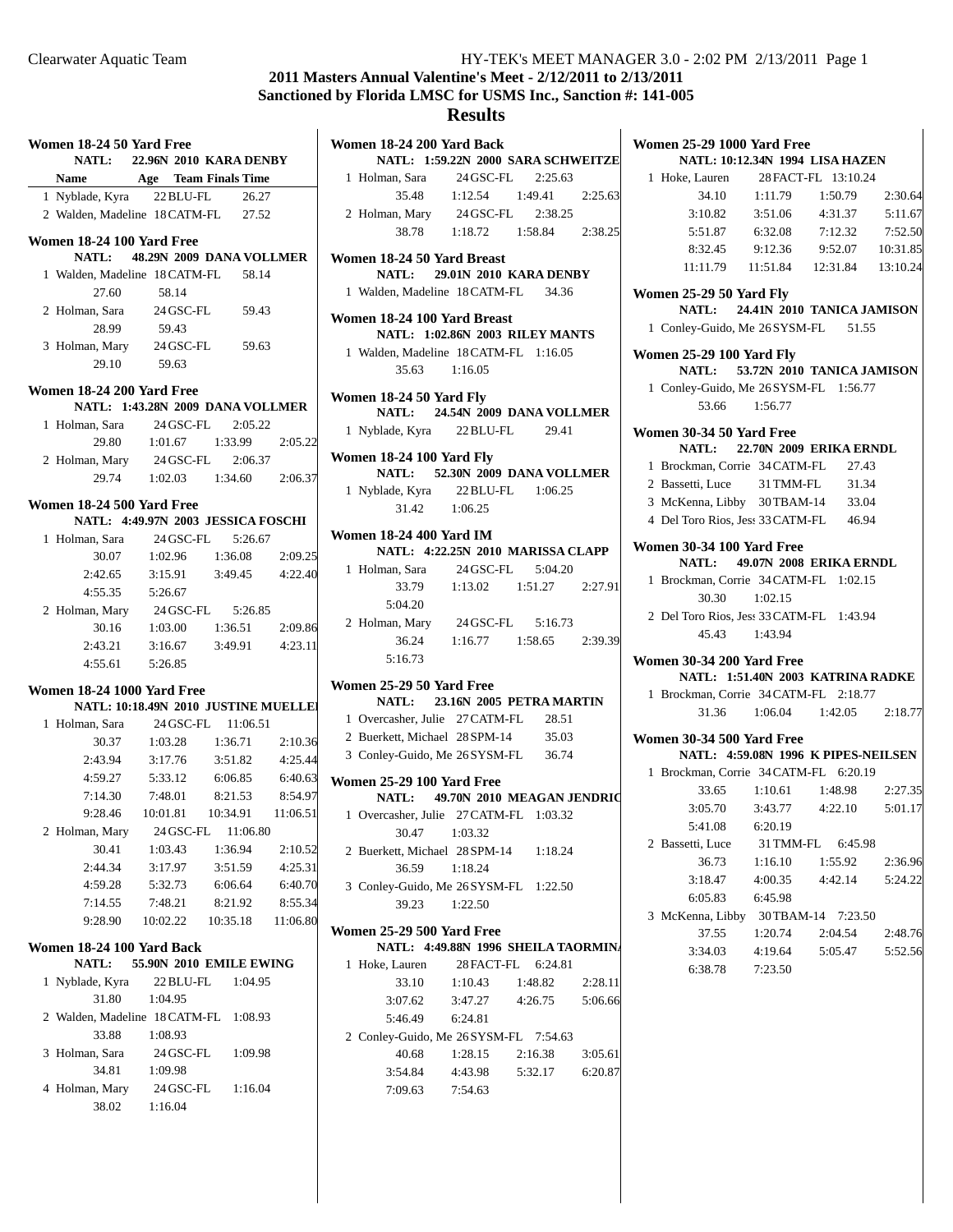**Women 25-29 1000 Yard Free**

# **2011 Masters Annual Valentine's Meet - 2/12/2011 to 2/13/2011 Sanctioned by Florida LMSC for USMS Inc., Sanction #: 141-005**

## **Results**

| Women 18-24 50 Yard Free<br><b>NATL:</b> | 22.96N 2010 KARA DENBY               |                    |                    | Women 18-24 200 Yard Back<br>NATL: 1:59.22N 2000        |             |
|------------------------------------------|--------------------------------------|--------------------|--------------------|---------------------------------------------------------|-------------|
| <b>Name</b>                              | Age Team Finals Time                 |                    |                    | 1 Holman, Sara                                          | 24 GSC-F    |
| 1 Nyblade, Kyra                          | 22 BLU-FL                            | 26.27              |                    | 35.48                                                   | 1:12.54     |
| 2 Walden, Madeline 18 CATM-FL            |                                      | 27.52              |                    | 2 Holman, Mary 24 GSC-F                                 |             |
| Women 18-24 100 Yard Free<br>NATL:       |                                      |                    |                    | 38.78                                                   | 1:18.72     |
| 1 Walden, Madeline 18 CATM-FL            | 48.29N 2009 DANA VOLLMER             |                    |                    | Women 18-24 50 Yard Breast<br><b>NATL:</b>              | 29.01N 2010 |
| 27.60                                    | 58.14                                | 58.14              |                    | 1 Walden, Madeline 18 CATM-                             |             |
| 2 Holman, Sara                           | 24 GSC-FL                            | 59.43              |                    |                                                         |             |
| 28.99                                    | 59.43                                |                    |                    | Women 18-24 100 Yard Breas                              |             |
| 3 Holman, Mary                           | 24 GSC-FL                            | 59.63              |                    | NATL: 1:02.86N 2003                                     |             |
| 29.10                                    | 59.63                                |                    |                    | 1 Walden, Madeline 18 CATM-                             |             |
|                                          |                                      |                    |                    | 35.63                                                   | 1:16.05     |
| Women 18-24 200 Yard Free                | NATL: 1:43.28N 2009 DANA VOLLMER     |                    |                    | Women 18-24 50 Yard Fly<br><b>NATL:</b>                 | 24.54N 2009 |
| 1 Holman, Sara                           | 24 GSC-FL                            | 2:05.22            |                    | 1 Nyblade, Kyra                                         | 22 BLU-F    |
| 29.80                                    | 1:01.67                              | 1:33.99            | 2:05.22            |                                                         |             |
| 2 Holman, Mary                           | $24$ GSC-FL                          | 2:06.37            |                    | Women 18-24 100 Yard Fly                                |             |
| 29.74                                    | 1:02.03                              | 1:34.60            | 2:06.37            | <b>NATL:</b>                                            | 52.30N 2009 |
| Women 18-24 500 Yard Free                |                                      |                    |                    | 1 Nyblade, Kyra                                         | 22 BLU-F    |
|                                          | NATL: 4:49.97N 2003 JESSICA FOSCHI   |                    |                    | 31.42                                                   | 1:06.25     |
| 1 Holman, Sara                           | 24 GSC-FL                            | 5:26.67            |                    | <b>Women 18-24 400 Yard IM</b>                          |             |
| 30.07                                    | 1:02.96                              | 1:36.08            | 2:09.25            | NATL: 4:22.25N 2010                                     |             |
| 2:42.65                                  | 3:15.91                              | 3:49.45            | 4:22.40            | 1 Holman, Sara                                          | 24 GSC-F    |
| 4:55.35                                  | 5:26.67                              |                    |                    | 33.79                                                   | 1:13.02     |
| 2 Holman, Mary                           | 24 GSC-FL                            | 5:26.85            |                    | 5:04.20                                                 |             |
| 30.16                                    | 1:03.00                              | 1:36.51            | 2:09.86            | 2 Holman, Mary 24 GSC-F                                 |             |
| 2:43.21                                  | 3:16.67                              | 3:49.91            | 4:23.11            | 36.24                                                   | 1:16.77     |
| 4:55.61                                  | 5:26.85                              |                    |                    | 5:16.73                                                 |             |
| <b>Women 18-24 1000 Yard Free</b>        |                                      |                    |                    | Women 25-29 50 Yard Free<br><b>NATL:</b>                | 23.16N 2005 |
|                                          | NATL: 10:18.49N 2010 JUSTINE MUELLEI |                    |                    | 1 Overcasher, Julie 27 CATM-                            |             |
| 1 Holman, Sara                           | 24 GSC-FL                            | 11:06.51           |                    | 2 Buerkett, Michael 28 SPM-14                           |             |
| 30.37<br>2:43.94                         | 1:03.28<br>3:17.76                   | 1:36.71<br>3:51.82 | 2:10.36<br>4:25.44 | 3 Conley-Guido, Me 26 SYSM-                             |             |
| 4:59.27                                  | 5:33.12                              | 6:06.85            | 6:40.63            |                                                         |             |
| 7:14.30                                  | 7:48.01                              | 8:21.53            | 8:54.97            | <b>Women 25-29 100 Yard Free</b><br><b>NATL:</b>        | 49.70N 2010 |
| 9:28.46                                  | 10:01.81                             | 10:34.91           | 11:06.51           | 1 Overcasher, Julie 27 CATM-                            |             |
| 2 Holman, Mary                           | 24 GSC-FL                            | 11:06.80           |                    | 30.47                                                   | 1:03.32     |
| 30.41                                    | 1:03.43                              | 1:36.94            | 2:10.52            | 2 Buerkett, Michael 28 SPM-14                           |             |
| 2:44.34                                  | 3:17.97                              | 3:51.59            | 4:25.31            | 36.59                                                   | 1:18.24     |
| 4:59.28                                  | 5:32.73                              | 6:06.64            | 6:40.70            | 3 Conley-Guido, Me 26 SYSM-                             |             |
| 7:14.55                                  | 7:48.21                              | 8:21.92            | 8:55.34            | 39.23                                                   | 1:22.50     |
| 9:28.90                                  | 10:02.22                             | 10:35.18           | 11:06.80           |                                                         |             |
| Women 18-24 100 Yard Back                |                                      |                    |                    | <b>Women 25-29 500 Yard Free</b><br>NATL: 4:49.88N 1996 |             |
| <b>NATL:</b>                             | 55.90N 2010 EMILE EWING              |                    |                    | 1 Hoke, Lauren                                          | 28 FACT-I   |
| 1 Nyblade, Kyra                          | 22 BLU-FL                            | 1:04.95            |                    | 33.10                                                   | 1:10.43     |
| 31.80                                    | 1:04.95                              |                    |                    | 3:07.62                                                 | 3:47.27     |
| 2 Walden, Madeline 18 CATM-FL            |                                      | 1:08.93            |                    | 5:46.49                                                 | 6:24.81     |
| 33.88                                    | 1:08.93                              |                    |                    | 2 Conley-Guido, Me 26 SYSM-                             |             |
| 3 Holman, Sara                           | 24 GSC-FL                            | 1:09.98            |                    | 40.68                                                   | 1:28.15     |
| 34.81                                    | 1:09.98                              |                    |                    | 3:54.84                                                 | 4:43.98     |
| 4 Holman, Mary                           | 24 GSC-FL                            | 1:16.04            |                    | 7:09.63                                                 | 7:54.63     |
| 38.02                                    | 1:16.04                              |                    |                    |                                                         |             |

| 1 Holman, Sara 24 GSC-FL 2:25.63       |                                     |  |
|----------------------------------------|-------------------------------------|--|
| 35.48                                  | 1:12.54  1:49.41  2:25.63           |  |
| 2 Holman, Mary 24 GSC-FL 2:38.25       |                                     |  |
|                                        | 38.78   1:18.72   1:58.84   2:38.25 |  |
| Women 18-24 50 Yard Breast             |                                     |  |
| NATL: 29.01N 2010 KARA DENBY           |                                     |  |
| 1 Walden, Madeline 18 CATM-FL 34.36    |                                     |  |
| Women 18-24 100 Yard Breast            |                                     |  |
| NATL: 1:02.86N 2003 RILEY MANTS        |                                     |  |
| 1 Walden, Madeline 18 CATM-FL 1:16.05  |                                     |  |
| $35.63 \t1:16.05$                      |                                     |  |
| Women 18-24 50 Yard Fly                |                                     |  |
| NATL: 24.54N 2009 DANA VOLLMER         |                                     |  |
| 1 Nyblade, Kyra 22 BLU-FL 29.41        |                                     |  |
| Women 18-24 100 Yard Fly               |                                     |  |
| NATL: 52.30N 2009 DANA VOLLMER         |                                     |  |
| 1 Nyblade, Kyra 22 BLU-FL 1:06.25      |                                     |  |
| 31.42 1:06.25                          |                                     |  |
| Women 18-24 400 Yard IM                |                                     |  |
| NATL: 4:22.25N 2010 MARISSA CLAPP      |                                     |  |
| 1 Holman, Sara 24 GSC-FL 5:04.20       |                                     |  |
|                                        | 33.79 1:13.02 1:51.27 2:27.91       |  |
| 5:04.20                                |                                     |  |
| 2 Holman, Mary 24 GSC-FL 5:16.73       |                                     |  |
|                                        | 36.24 1:16.77 1:58.65 2:39.39       |  |
| 5:16.73                                |                                     |  |
| Women 25-29 50 Yard Free               |                                     |  |
| NATL: 23.16N 2005 PETRA MARTIN         |                                     |  |
| 1 Overcasher, Julie 27 CATM-FL 28.51   |                                     |  |
| 2 Buerkett, Michael 28 SPM-14 35.03    |                                     |  |
| 3 Conley-Guido, Me 26 SYSM-FL 36.74    |                                     |  |
| <b>Women 25-29 100 Yard Free</b>       |                                     |  |
| NATL: 49.70N 2010 MEAGAN JENDRIC       |                                     |  |
| 1 Overcasher, Julie 27 CATM-FL 1:03.32 |                                     |  |

| $1$ Overcasiter, June $2/$ CATIM-TE 1.03.32 |  |
|---------------------------------------------|--|
| 30.47 1:03.32                               |  |
| 2 Buerkett, Michael 28 SPM-14 1:18.24       |  |
| 36.59 1:18.24                               |  |
| 3 Conley-Guido, Me 26 SYSM-FL 1:22.50       |  |
| 39.23 1:22.50                               |  |

#### **Women 25-29 500 Yard Free NATL: 4:49.88N 1996 SHEILA TAORMINA**<br>1 Hoke Lauren 28 EACT-FL 6:24.81  $28$  FACT-FL  $6:24.81$

| 1 Hoke, Lauren                        |         | 28 FACT-FL 6:24.81 |         |
|---------------------------------------|---------|--------------------|---------|
| 33.10                                 | 1:10.43 | 1:48.82            | 2:28.11 |
| 3:07.62                               | 3:47.27 | 4:26.75            | 5:06.66 |
| 5:46.49                               | 6:24.81 |                    |         |
| 2 Conley-Guido, Me 26 SYSM-FL 7:54.63 |         |                    |         |
| 40.68                                 | 1:28.15 | 2:16.38            | 3:05.61 |
| 3:54.84                               | 4:43.98 | 5:32.17            | 6:20.87 |
| 7:09.63                               | 7:54.63 |                    |         |

|                                     | NATL: 1:59.22N 2000 SARA SCHWEITZE  |         | <b>NATL: 10:12.34N 1994 LISA HAZEN</b>       |
|-------------------------------------|-------------------------------------|---------|----------------------------------------------|
| lman, Sara                          | 24 GSC-FL<br>2:25.63                |         | 28 FACT-FL 13:10.24<br>1 Hoke, Lauren        |
| 35.48                               | 1:12.54<br>1:49.41                  | 2:25.63 | 2:30.64<br>34.10<br>1:11.79<br>1:50.79       |
| lman, Mary                          | 24 GSC-FL<br>2:38.25                |         | 3:10.82<br>5:11.67<br>3:51.06<br>4:31.37     |
| 38.78                               | 1:18.72<br>1:58.84                  | 2:38.25 | 5:51.87<br>$6:32.08$ $7:12.32$<br>7:52.50    |
|                                     |                                     |         | $9:12.36$ $9:52.07$<br>8:32.45<br>10:31.85   |
| 18-24 50 Yard Breast                |                                     |         | 11:11.79<br>11:51.84<br>12:31.84<br>13:10.24 |
|                                     | NATL: 29.01N 2010 KARA DENBY        |         |                                              |
|                                     | dden, Madeline 18 CATM-FL<br>34.36  |         | Women 25-29 50 Yard Fly                      |
| 18-24 100 Yard Breast               |                                     |         | 24.41N 2010 TANICA JAMISON<br><b>NATL:</b>   |
|                                     | NATL: 1:02.86N 2003 RILEY MANTS     |         | 1 Conley-Guido, Me 26 SYSM-FL<br>51.55       |
|                                     | dden, Madeline 18 CATM-FL 1:16.05   |         | <b>Women 25-29 100 Yard Fly</b>              |
| 35.63                               | 1:16.05                             |         | NATL: 53.72N 2010 TANICA JAMISON             |
|                                     |                                     |         | 1 Conley-Guido, Me 26 SYSM-FL 1:56.77        |
| ı 18-24 50 Yard Fly<br><b>NATL:</b> | 24.54N 2009 DANA VOLLMER            |         | 53.66 1:56.77                                |
|                                     |                                     |         |                                              |
|                                     | blade, Kyra 22 BLU-FL<br>29.41      |         | Women 30-34 50 Yard Free                     |
| 18-24 100 Yard Fly                  |                                     |         | <b>NATL:</b><br>22.70N 2009 ERIKA ERNDL      |
|                                     | NATL: 52.30N 2009 DANA VOLLMER      |         | 1 Brockman, Corrie 34 CATM-FL<br>27.43       |
|                                     | blade, Kyra 22 BLU-FL<br>1:06.25    |         | 2 Bassetti, Luce 31 TMM-FL<br>31.34          |
| 31.42                               | 1:06.25                             |         | 3 McKenna, Libby 30TBAM-14<br>33.04          |
|                                     |                                     |         | 4 Del Toro Rios, Jes: 33 CATM-FL 46.94       |
| <b>18-24 400 Yard IM</b>            | NATL: 4:22.25N 2010 MARISSA CLAPP   |         | <b>Women 30-34 100 Yard Free</b>             |
|                                     | 5:04.20                             |         | 49.07N 2008 ERIKA ERNDL<br><b>NATL:</b>      |
|                                     | lman, Sara 24 GSC-FL                |         | 1 Brockman, Corrie 34 CATM-FL 1:02.15        |
| 33.79                               | 1:13.02<br>1:51.27                  | 2:27.91 | 30.30<br>1:02.15                             |
| 5:04.20                             |                                     |         | 2 Del Toro Rios, Jess 33 CATM-FL 1:43.94     |
|                                     | lman, Mary 24 GSC-FL<br>5:16.73     |         | 45.43 1:43.94                                |
| 36.24                               | 1:16.77<br>1:58.65                  | 2:39.39 |                                              |
| 5:16.73                             |                                     |         | Women 30-34 200 Yard Free                    |
| <b>1 25-29 50 Yard Free</b>         |                                     |         | NATL: 1:51.40N 2003 KATRINA RADKE            |
| <b>NATL:</b>                        | 23.16N 2005 PETRA MARTIN            |         | 1 Brockman, Corrie 34 CATM-FL 2:18.77        |
|                                     | ercasher, Julie 27 CATM-FL<br>28.51 |         | 1:06.04<br>31.36<br>1:42.05<br>2:18.77       |
|                                     | erkett, Michael 28 SPM-14<br>35.03  |         | <b>Women 30-34 500 Yard Free</b>             |
|                                     | nley-Guido, Me 26 SYSM-FL<br>36.74  |         | NATL: 4:59.08N 1996 K PIPES-NEILSEN          |
|                                     |                                     |         | 1 Brockman, Corrie 34 CATM-FL 6:20.19        |
| 1 25-29 100 Yard Free               |                                     |         | 1:10.61<br>2:27.35<br>33.65<br>1:48.98       |
| <b>NATL:</b>                        | 49.70N 2010 MEAGAN JENDRIC          |         | 5:01.17<br>3:05.70<br>$3:43.77$ $4:22.10$    |
|                                     | ercasher, Julie 27 CATM-FL 1:03.32  |         | 5:41.08<br>6:20.19                           |
| 30.47 1:03.32                       |                                     |         | 2 Bassetti, Luce 31 TMM-FL 6:45.98           |
|                                     | erkett, Michael 28 SPM-14 1:18.24   |         |                                              |
| 36.59                               | 1:18.24                             |         | 36.73<br>1:16.10<br>1:55.92<br>2:36.96       |
|                                     | nley-Guido, Me 26 SYSM-FL 1:22.50   |         | 3:18.47<br>4:00.35<br>4:42.14<br>5:24.22     |
| 39.23                               | 1:22.50                             |         | 6:05.83<br>6:45.98                           |
|                                     |                                     |         | 3 McKenna, Libby 30TBAM-14 7:23.50           |
| 1 25-29 500 Yard Free               |                                     |         | 37.55<br>1:20.74<br>2:04.54<br>2:48.76       |
|                                     | NATL: 4:49.88N 1996 SHEILA TAORMIN. |         | 3:34.03<br>4:19.64<br>5:05.47<br>5:52.56     |
| ke, Lauren                          | 28 FACT-FL<br>6:24.81               |         | 6:38.78<br>7:23.50                           |
| 33.10                               | 1:10.43<br>1:48.82                  | 2:28.11 |                                              |
| 3:07.62                             | 3:47.27<br>4:26.75                  | 5:06.66 |                                              |
| 5:46.49                             | 6:24.81                             |         |                                              |
|                                     | nlev-Guido Me 26 SYSM-FL 7:54.63    |         |                                              |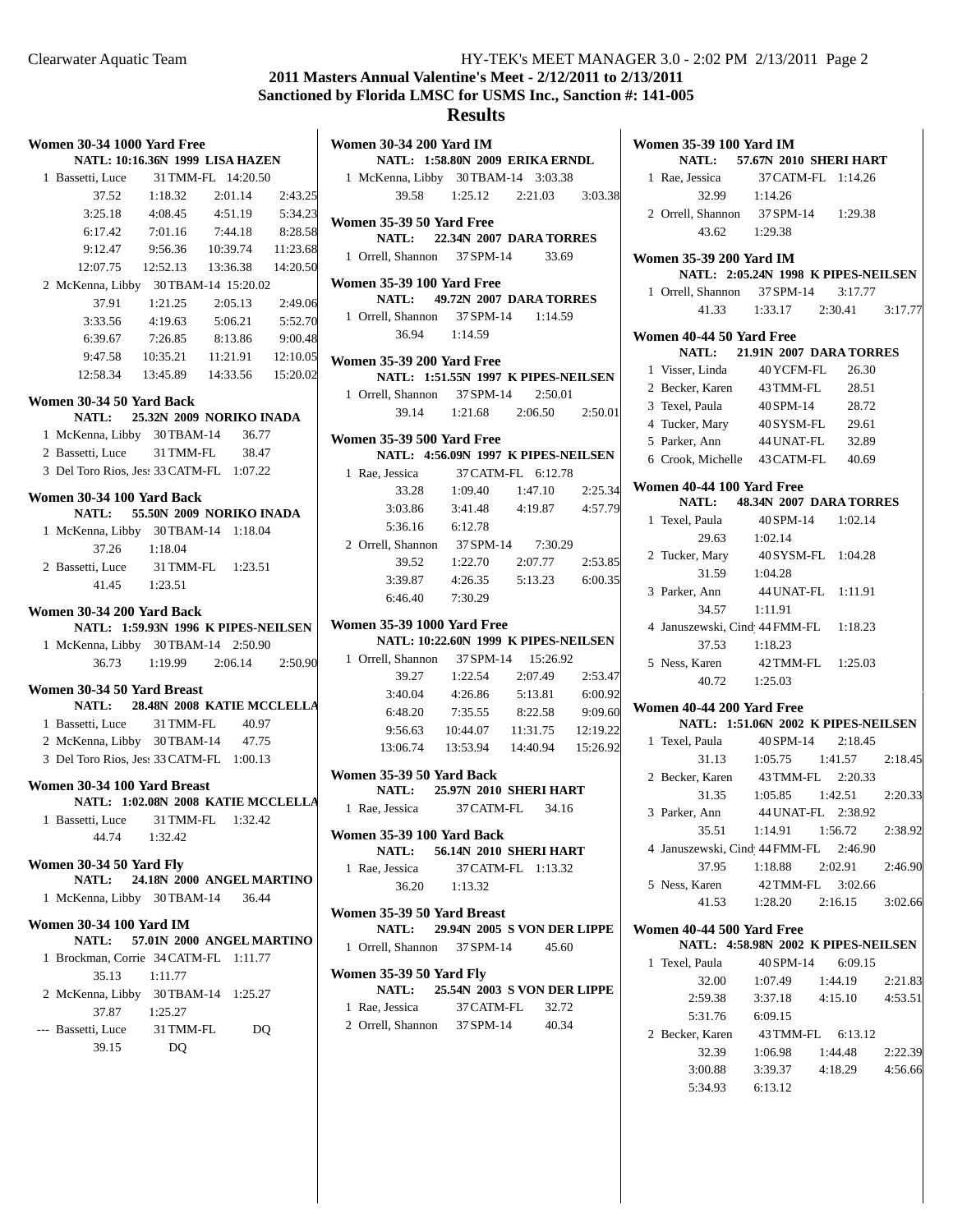# **2011 Masters Annual Valentine's Meet - 2/12/2011 to 2/13/2011 Sanctioned by Florida LMSC for USMS Inc., Sanction #: 141-005**

|    | <b>Women 30-34 1000 Yard Free</b>                                 |                           |                                 |          |
|----|-------------------------------------------------------------------|---------------------------|---------------------------------|----------|
|    | NATL: 10:16.36N 1999 LISA HAZEN                                   |                           |                                 |          |
|    | 1 Bassetti, Luce 31 TMM-FL 14:20.50                               |                           |                                 |          |
|    |                                                                   | 37.52   1:18.32   2:01.14 |                                 | 2:43.25  |
|    |                                                                   |                           | 3:25.18 4:08.45 4:51.19 5:34.23 |          |
|    | 6:17.42 7:01.16 7:44.18 8:28.58                                   |                           |                                 |          |
|    | 9:12.47  9:56.36  10:39.74  11:23.68                              |                           |                                 |          |
|    | 12:07.75  12:52.13  13:36.38  14:20.50                            |                           |                                 |          |
|    | 2 McKenna, Libby 30TBAM-14 15:20.02                               |                           |                                 |          |
|    | 37.91                                                             |                           | 1:21.25 2:05.13 2:49.06         |          |
|    |                                                                   |                           | 3:33.56 4:19.63 5:06.21 5:52.70 |          |
|    | 6:39.67                                                           | 7:26.85                   | 8:13.86                         | 9:00.48  |
|    | 9:47.58                                                           | 10:35.21                  | 11:21.91                        | 12:10.05 |
|    | $12:58.34$ $13:45.89$ $14:33.56$ $15:20.02$                       |                           |                                 |          |
|    | Women 30-34 50 Yard Back                                          |                           |                                 |          |
|    | NATL: 25.32N 2009 NORIKO INADA                                    |                           |                                 |          |
|    | 1 McKenna, Libby 30TBAM-14 36.77                                  |                           |                                 |          |
|    | 2 Bassetti, Luce 31 TMM-FL 38.47                                  |                           |                                 |          |
|    | 3 Del Toro Rios, Jes: 33 CATM-FL 1:07.22                          |                           |                                 |          |
|    | Women 30-34 100 Yard Back                                         |                           |                                 |          |
|    | NATL: 55.50N 2009 NORIKO INADA                                    |                           |                                 |          |
|    | 1 McKenna, Libby 30TBAM-14 1:18.04                                |                           |                                 |          |
|    | 37.26 1:18.04                                                     |                           |                                 |          |
|    | 2 Bassetti, Luce 31 TMM-FL 1:23.51                                |                           |                                 |          |
|    | 41.45 1:23.51                                                     |                           |                                 |          |
|    |                                                                   |                           |                                 |          |
|    | Women 30-34 200 Yard Back<br>NATL: 1:59.93N 1996 K PIPES-NEILSEN  |                           |                                 |          |
|    | 1 McKenna, Libby 30TBAM-14 2:50.90                                |                           |                                 |          |
|    |                                                                   |                           | 36.73 1:19.99 2:06.14 2:50.90   |          |
|    |                                                                   |                           |                                 |          |
|    | Women 30-34 50 Yard Breast<br>NATL: 28.48N 2008 KATIE MCCLELLA    |                           |                                 |          |
|    | 1 Bassetti, Luce 31 TMM-FL 40.97                                  |                           |                                 |          |
|    | 2 McKenna, Libby 30 TBAM-14 47.75                                 |                           |                                 |          |
|    | 3 Del Toro Rios, Jes: 33 CATM-FL 1:00.13                          |                           |                                 |          |
|    |                                                                   |                           |                                 |          |
|    | Women 30-34 100 Yard Breast<br>NATL: 1:02.08N 2008 KATIE MCCLELLA |                           |                                 |          |
|    | 1 Bassetti, Luce 31 TMM-FL 1:32.42                                |                           |                                 |          |
|    | 44.74                                                             | 1:32.42                   |                                 |          |
|    |                                                                   |                           |                                 |          |
|    | Women 30-34 50 Yard Fly                                           |                           |                                 |          |
|    | <b>NATL:</b>                                                      |                           | 24.18N 2000 ANGEL MARTINO       |          |
|    | 1 McKenna, Libby 30TBAM-14 36.44                                  |                           |                                 |          |
|    | Women 30-34 100 Yard IM                                           |                           |                                 |          |
|    | <b>NATL:</b>                                                      |                           | 57.01N 2000 ANGEL MARTINO       |          |
| 1. | Brockman, Corrie 34 CATM-FL 1:11.77                               |                           |                                 |          |
|    | 35.13                                                             | 1:11.77                   |                                 |          |
|    | 2 McKenna, Libby 30TBAM-14 1:25.27                                |                           |                                 |          |
|    | 37.87                                                             | 1:25.27                   |                                 |          |
|    | --- Bassetti, Luce 31 TMM-FL                                      |                           | DQ                              |          |
|    |                                                                   |                           |                                 |          |
|    | 39.15                                                             | DQ                        |                                 |          |

| Women 30-34 200 Yard IM                                  |                                                                    |                    |  |
|----------------------------------------------------------|--------------------------------------------------------------------|--------------------|--|
|                                                          | NATL: 1:58.80N 2009 ERIKA ERNDL                                    |                    |  |
| 1 McKenna, Libby 30TBAM-14 3:03.38                       |                                                                    |                    |  |
|                                                          | 39.58 1:25.12 2:21.03 3:03.38                                      |                    |  |
| Women 35-39 50 Yard Free                                 | NATL: 22.34N 2007 DARA TORRES                                      |                    |  |
| 1 Orrell, Shannon 37 SPM-14 33.69                        |                                                                    |                    |  |
| <b>Women 35-39 100 Yard Free</b>                         |                                                                    |                    |  |
|                                                          | <b>NATL:</b> 49.72N 2007 DARA TORRES                               |                    |  |
| 1 Orrell, Shannon 37 SPM-14 1:14.59<br>36.94 1:14.59     |                                                                    |                    |  |
|                                                          |                                                                    |                    |  |
| <b>Women 35-39 200 Yard Free</b>                         |                                                                    |                    |  |
|                                                          | NATL: 1:51.55N 1997 K PIPES-NEILSEN                                |                    |  |
| 1 Orrell, Shannon 37 SPM-14 2:50.01                      | 39.14 1:21.68 2:06.50 2:50.01                                      |                    |  |
|                                                          |                                                                    |                    |  |
| <b>Women 35-39 500 Yard Free</b>                         | NATL: 4:56.09N 1997 K PIPES-NEILSEN                                |                    |  |
| 1 Rae, Jessica                                           | 37 CATM-FL 6:12.78                                                 |                    |  |
|                                                          | 33.28 1:09.40 1:47.10 2:25.34                                      |                    |  |
|                                                          | 3:03.86 3:41.48 4:19.87 4:57.79                                    |                    |  |
|                                                          | 5:36.16 6:12.78                                                    |                    |  |
| 2 Orrell, Shannon 37 SPM-14 7:30.29                      |                                                                    |                    |  |
|                                                          | 39.52   1:22.70   2:07.77   2:53.85                                |                    |  |
|                                                          | 3:39.87  4:26.35  5:13.23  6:00.35                                 |                    |  |
|                                                          | 6:46.40 7:30.29                                                    |                    |  |
| <b>Women 35-39 1000 Yard Free</b>                        |                                                                    |                    |  |
|                                                          | NATL: 10:22.60N 1999 K PIPES-NEILSEN                               |                    |  |
| 1 Orrell, Shannon 37 SPM-14 15:26.92                     |                                                                    |                    |  |
|                                                          | 39.27 1:22.54 2:07.49 2:53.47                                      |                    |  |
|                                                          | 3:40.04 4:26.86 5:13.81 6:00.92<br>6:48.20 7:35.55 8:22.58 9:09.60 |                    |  |
|                                                          | 9:56.63 10:44.07 11:31.75 12:19.22                                 |                    |  |
|                                                          | 13:06.74  13:53.94  14:40.94  15:26.92                             |                    |  |
|                                                          |                                                                    |                    |  |
| Women 35-39 50 Yard Back                                 | NATL: 25.97N 2010 SHERI HART                                       |                    |  |
| 1 Rae, Jessica                                           | 37 CATM-FL 34.16                                                   |                    |  |
| <b>Women 35-39 100 Yard Back</b>                         |                                                                    |                    |  |
|                                                          | NATL: 56.14N 2010 SHERI HART                                       |                    |  |
| 1 Rae, Jessica                                           |                                                                    | 37 CATM-FL 1:13.32 |  |
|                                                          | 36.20 1:13.32                                                      |                    |  |
| Women 35-39 50 Yard Breast                               |                                                                    |                    |  |
|                                                          | NATL: 29.94N 2005 S VON DER LIPPE                                  |                    |  |
| 1 Orrell, Shannon 37 SPM-14 45.60                        |                                                                    |                    |  |
| Women 35-39 50 Yard Fly                                  | NATL: 25.54N 2003 S VON DER LIPPE                                  |                    |  |
|                                                          |                                                                    | 32.72              |  |
| 1 Rae, Jessica 37 CATM-FL<br>2 Orrell, Shannon 37 SPM-14 |                                                                    | 40.34              |  |
|                                                          |                                                                    |                    |  |
|                                                          |                                                                    |                    |  |

| Women 35-39 100 Yard IM<br><b>NATL:</b> 57.67N 2010 SHERI HART |                                                           |                                                                      |                 |         |  |  |  |  |
|----------------------------------------------------------------|-----------------------------------------------------------|----------------------------------------------------------------------|-----------------|---------|--|--|--|--|
|                                                                |                                                           |                                                                      |                 |         |  |  |  |  |
|                                                                | 1 Rae, Jessica                                            | 37 CATM-FL 1:14.26                                                   |                 |         |  |  |  |  |
|                                                                | 32.99                                                     | 1:14.26                                                              |                 |         |  |  |  |  |
|                                                                |                                                           | 2 Orrell, Shannon 37 SPM-14 1:29.38<br>43.62 1:29.38                 |                 |         |  |  |  |  |
|                                                                |                                                           |                                                                      |                 |         |  |  |  |  |
|                                                                | Women 35-39 200 Yard IM                                   |                                                                      |                 |         |  |  |  |  |
|                                                                |                                                           | NATL: 2:05.24N 1998 K PIPES-NEILSEN                                  |                 |         |  |  |  |  |
|                                                                |                                                           | 1 Orrell, Shannon 37 SPM-14 3:17.77<br>41.33 1:33.17 2:30.41 3:17.77 |                 |         |  |  |  |  |
|                                                                |                                                           |                                                                      |                 |         |  |  |  |  |
|                                                                | Women 40-44 50 Yard Free<br>NATL: 21.91N 2007 DARA TORRES |                                                                      |                 |         |  |  |  |  |
|                                                                |                                                           |                                                                      |                 |         |  |  |  |  |
|                                                                | 1 Visser, Linda                                           | 40 YCFM-FL<br>2 Becker, Karen 43 TMM-FL 28.51                        | 26.30           |         |  |  |  |  |
|                                                                |                                                           |                                                                      |                 |         |  |  |  |  |
|                                                                |                                                           | 3 Texel, Paula 40 SPM-14 28.72                                       |                 |         |  |  |  |  |
|                                                                |                                                           | 4 Tucker, Mary 40SYSM-FL 29.61                                       |                 |         |  |  |  |  |
|                                                                |                                                           | 5 Parker, Ann 44 UNAT-FL 32.89                                       |                 |         |  |  |  |  |
|                                                                |                                                           | 6 Crook, Michelle 43 CATM-FL 40.69                                   |                 |         |  |  |  |  |
|                                                                | Women 40-44 100 Yard Free                                 | NATL: 48.34N 2007 DARA TORRES                                        |                 |         |  |  |  |  |
|                                                                | 1 Texel, Paula                                            | 40 SPM-14 1:02.14                                                    |                 |         |  |  |  |  |
|                                                                |                                                           | 29.63 1:02.14                                                        |                 |         |  |  |  |  |
|                                                                |                                                           | 2 Tucker, Mary 40SYSM-FL 1:04.28                                     |                 |         |  |  |  |  |
|                                                                |                                                           | 31.59 1:04.28                                                        |                 |         |  |  |  |  |
|                                                                |                                                           | 3 Parker, Ann 44 UNAT-FL 1:11.91                                     |                 |         |  |  |  |  |
|                                                                |                                                           | 34.57 1:11.91                                                        |                 |         |  |  |  |  |
|                                                                |                                                           | 4 Januszewski, Cind 44 FMM-FL 1:18.23                                |                 |         |  |  |  |  |
|                                                                |                                                           | 37.53 1:18.23                                                        |                 |         |  |  |  |  |
|                                                                | 5 Ness, Karen                                             | 42 TMM-FL 1:25.03                                                    |                 |         |  |  |  |  |
|                                                                |                                                           | 40.72   1:25.03                                                      |                 |         |  |  |  |  |
|                                                                | Women 40-44 200 Yard Free                                 |                                                                      |                 |         |  |  |  |  |
|                                                                |                                                           | NATL: 1:51.06N 2002 K PIPES-NEILSEN                                  |                 |         |  |  |  |  |
|                                                                |                                                           | 1 Texel, Paula 40 SPM-14 2:18.45                                     |                 |         |  |  |  |  |
|                                                                |                                                           | 31.13 1:05.75 1:41.57                                                |                 | 2:18.45 |  |  |  |  |
|                                                                |                                                           | 2 Becker, Karen 43 TMM-FL 2:20.33                                    |                 |         |  |  |  |  |
|                                                                |                                                           | 31.35 $1:05.85$ $1:42.51$ $2:20.33$                                  |                 |         |  |  |  |  |
|                                                                |                                                           | 3 Parker, Ann 44 UNAT-FL 2:38.92                                     |                 |         |  |  |  |  |
|                                                                |                                                           | 35.51  1:14.91  1:56.72  2:38.92                                     |                 |         |  |  |  |  |
|                                                                |                                                           | 4 Januszewski, Cind 44 FMM-FL 2:46.90                                |                 |         |  |  |  |  |
|                                                                | 37.95                                                     | 1:18.88                                                              | 2:02.91 2:46.90 |         |  |  |  |  |
|                                                                |                                                           | 5 Ness, Karen 42 TMM-FL 3:02.66                                      |                 |         |  |  |  |  |
|                                                                |                                                           | 41.53 1:28.20 2:16.15 3:02.66                                        |                 |         |  |  |  |  |
|                                                                |                                                           |                                                                      |                 |         |  |  |  |  |
|                                                                | Women 40-44 500 Yard Free                                 | NATL: 4:58.98N 2002 K PIPES-NEILSEN                                  |                 |         |  |  |  |  |
|                                                                |                                                           |                                                                      |                 |         |  |  |  |  |
|                                                                |                                                           | 1 Texel, Paula 40 SPM-14 6:09.15<br>32.00 1:07.49 1:44.19            |                 | 2:21.83 |  |  |  |  |
|                                                                | 2:59.38                                                   | 3:37.18 4:15.10 4:53.51                                              |                 |         |  |  |  |  |
|                                                                | 5:31.76                                                   | 6:09.15                                                              |                 |         |  |  |  |  |
|                                                                | 2 Becker, Karen                                           | 43 TMM-FL 6:13.12                                                    |                 |         |  |  |  |  |
|                                                                |                                                           | 32.39 1:06.98                                                        | 1:44.48         | 2:22.39 |  |  |  |  |
|                                                                |                                                           | 3:00.88 3:39.37 4:18.29 4:56.66                                      |                 |         |  |  |  |  |
|                                                                |                                                           | 5:34.93 6:13.12                                                      |                 |         |  |  |  |  |
|                                                                |                                                           |                                                                      |                 |         |  |  |  |  |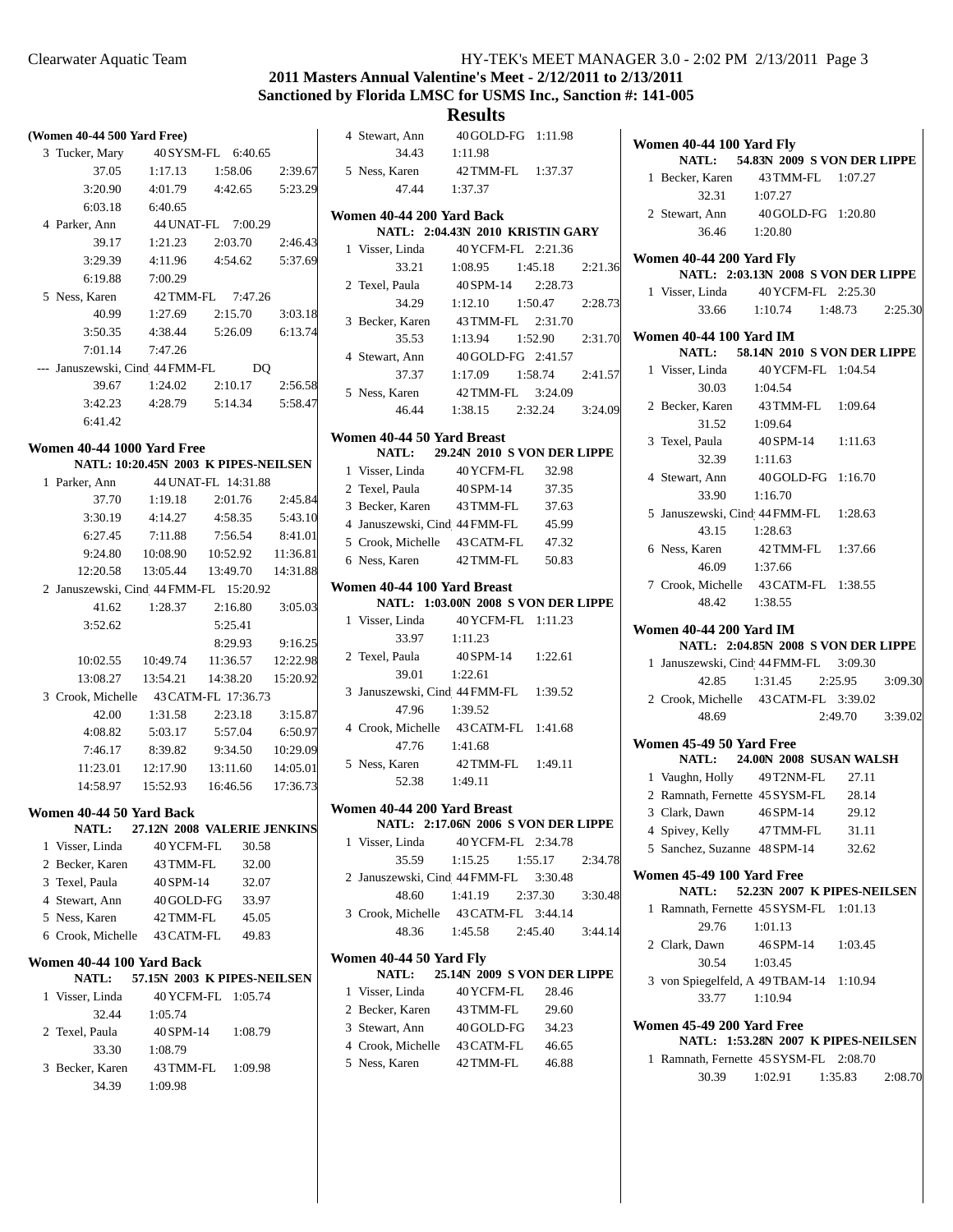## **2011 Masters Annual Valentine's Meet - 2/12/2011 to 2/13/2011 Sanctioned by Florida LMSC for USMS Inc., Sanction #: 141-005**

## **Results** 4 Stewart, Ann 40 GOLD-FG 1:11.98

|                                                                           | (Women 40-44 500 Yard Free) |  |  |  |  |  |  |  |
|---------------------------------------------------------------------------|-----------------------------|--|--|--|--|--|--|--|
| 3 Tucker, Mary 40 SYSM-FL 6:40.65                                         |                             |  |  |  |  |  |  |  |
| 37.05 1:17.13 1:58.06 2:39.67                                             |                             |  |  |  |  |  |  |  |
| 3:20.90 4:01.79 4:42.65 5:23.29                                           |                             |  |  |  |  |  |  |  |
| 6:03.18 6:40.65                                                           |                             |  |  |  |  |  |  |  |
| 4 Parker, Ann 44 UNAT-FL 7:00.29                                          |                             |  |  |  |  |  |  |  |
| 39.17 1:21.23<br>2:03.70 2:46.43                                          |                             |  |  |  |  |  |  |  |
| 4:54.62   5:37.69<br>3:29.39<br>4:11.96                                   |                             |  |  |  |  |  |  |  |
| 6:19.88<br>7:00.29                                                        |                             |  |  |  |  |  |  |  |
| 5 Ness, Karen<br>42 TMM-FL 7:47.26                                        |                             |  |  |  |  |  |  |  |
| 40.99 1:27.69 2:15.70<br>3:03.18                                          |                             |  |  |  |  |  |  |  |
| 3:50.35 4:38.44 5:26.09 6:13.74                                           |                             |  |  |  |  |  |  |  |
| 7:01.14 7:47.26                                                           |                             |  |  |  |  |  |  |  |
| --- Januszewski, Cind 44 FMM-FL DQ                                        |                             |  |  |  |  |  |  |  |
| 39.67 1:24.02 2:10.17 2:56.58                                             |                             |  |  |  |  |  |  |  |
| 3:42.23 4:28.79 5:14.34 5:58.47                                           |                             |  |  |  |  |  |  |  |
| 6:41.42                                                                   |                             |  |  |  |  |  |  |  |
|                                                                           |                             |  |  |  |  |  |  |  |
| <b>Women 40-44 1000 Yard Free</b><br>NATL: 10:20.45N 2003 K PIPES-NEILSEN |                             |  |  |  |  |  |  |  |
| 1 Parker, Ann 44 UNAT-FL 14:31.88                                         |                             |  |  |  |  |  |  |  |
| 37.70   1:19.18   2:01.76   2:45.84                                       |                             |  |  |  |  |  |  |  |
| 3:30.19 4:14.27 4:58.35 5:43.10                                           |                             |  |  |  |  |  |  |  |
| 6:27.45 7:11.88 7:56.54 8:41.01                                           |                             |  |  |  |  |  |  |  |
| 9:24.80  10:08.90  10:52.92  11:36.81                                     |                             |  |  |  |  |  |  |  |
| 12:20.58  13:05.44  13:49.70  14:31.88                                    |                             |  |  |  |  |  |  |  |
| 2 Januszewski, Cind 44 FMM-FL 15:20.92                                    |                             |  |  |  |  |  |  |  |
| 41.62   1:28.37   2:16.80   3:05.03                                       |                             |  |  |  |  |  |  |  |
| 3:52.62<br>5:25.41                                                        |                             |  |  |  |  |  |  |  |
| 9:16.25<br>8:29.93                                                        |                             |  |  |  |  |  |  |  |
| 10:02.55 10:49.74 11:36.57 12:22.98                                       |                             |  |  |  |  |  |  |  |
| 13:08.27  13:54.21  14:38.20  15:20.92                                    |                             |  |  |  |  |  |  |  |
| 3 Crook, Michelle 43 CATM-FL 17:36.73                                     |                             |  |  |  |  |  |  |  |
| 42.00 1:31.58 2:23.18 3:15.87                                             |                             |  |  |  |  |  |  |  |
| 4:08.82 5:03.17 5:57.04 6:50.97                                           |                             |  |  |  |  |  |  |  |
| 7:46.17 8:39.82 9:34.50 10:29.09                                          |                             |  |  |  |  |  |  |  |
| 11:23.01  12:17.90  13:11.60  14:05.01                                    |                             |  |  |  |  |  |  |  |
| 14:58.97  15:52.93  16:46.56  17:36.73                                    |                             |  |  |  |  |  |  |  |
|                                                                           |                             |  |  |  |  |  |  |  |
| Women 40-44 50 Yard Back<br>NATL: 27.12N 2008 VALERIE JENKINS             |                             |  |  |  |  |  |  |  |
| 1 Visser, Linda<br>40 YCFM-FL 30.58                                       |                             |  |  |  |  |  |  |  |
| 2 Becker, Karen<br>32.00<br>43 TMM-FL                                     |                             |  |  |  |  |  |  |  |
| 3 Texel, Paula<br>40 SPM-14<br>32.07                                      |                             |  |  |  |  |  |  |  |
| 4 Stewart, Ann 40 GOLD-FG 33.97                                           |                             |  |  |  |  |  |  |  |
| 5 Ness, Karen<br>42 TMM-FL 45.05                                          |                             |  |  |  |  |  |  |  |
| 6 Crook, Michelle 43 CATM-FL 49.83                                        |                             |  |  |  |  |  |  |  |
| Women 40-44 100 Yard Back                                                 |                             |  |  |  |  |  |  |  |
| NATL: 57.15N 2003 K PIPES-NEILSEN                                         |                             |  |  |  |  |  |  |  |
| 1 Visser, Linda<br>40 YCFM-FL 1:05.74                                     |                             |  |  |  |  |  |  |  |
| 32.44<br>1:05.74                                                          |                             |  |  |  |  |  |  |  |
| 2 Texel, Paula<br>40 SPM-14 1:08.79                                       |                             |  |  |  |  |  |  |  |
| 33.30 1:08.79                                                             |                             |  |  |  |  |  |  |  |
| 3 Becker, Karen 43 TMM-FL 1:09.98                                         |                             |  |  |  |  |  |  |  |
| 34.39<br>1:09.98                                                          |                             |  |  |  |  |  |  |  |
|                                                                           |                             |  |  |  |  |  |  |  |

|                            | 34.43                             | 1:11.98                                                  |         |  |  |  |  |  |
|----------------------------|-----------------------------------|----------------------------------------------------------|---------|--|--|--|--|--|
|                            | 5 Ness, Karen                     | 42 TMM-FL 1:37.37                                        |         |  |  |  |  |  |
|                            | 47.44 1:37.37                     |                                                          |         |  |  |  |  |  |
|                            |                                   |                                                          |         |  |  |  |  |  |
|                            | Women 40-44 200 Yard Back         | NATL: 2:04.43N 2010 KRISTIN GARY                         |         |  |  |  |  |  |
|                            |                                   | 1 Visser, Linda 40 YCFM-FL 2:21.36                       |         |  |  |  |  |  |
|                            |                                   | 33.21   1:08.95   1:45.18                                | 2:21.36 |  |  |  |  |  |
|                            | 2 Texel, Paula                    | 40 SPM-14 2:28.73                                        |         |  |  |  |  |  |
|                            |                                   |                                                          |         |  |  |  |  |  |
|                            | 3 Becker, Karen                   | 34.29   1:12.10   1:50.47   2:28.73<br>43 TMM-FL 2:31.70 |         |  |  |  |  |  |
|                            | 35.53                             | 1:13.94 1:52.90 2:31.70                                  |         |  |  |  |  |  |
|                            |                                   | 4 Stewart, Ann 40 GOLD-FG 2:41.57                        |         |  |  |  |  |  |
|                            | 37.37                             | $1:17.09$ $1:58.74$ $2:41.57$                            |         |  |  |  |  |  |
|                            |                                   | 5 Ness, Karen 42 TMM-FL 3:24.09                          |         |  |  |  |  |  |
|                            |                                   | 46.44 1:38.15 2:32.24 3:24.09                            |         |  |  |  |  |  |
|                            |                                   |                                                          |         |  |  |  |  |  |
| Women 40-44 50 Yard Breast |                                   |                                                          |         |  |  |  |  |  |
|                            | NATL: 29.24N 2010 S VON DER LIPPE |                                                          |         |  |  |  |  |  |
|                            | 1 Visser, Linda                   | 40 YCFM-FL 32.98                                         |         |  |  |  |  |  |
|                            | 2 Texel, Paula                    | 40 SPM-14<br>37.35                                       |         |  |  |  |  |  |
|                            | 3 Becker, Karen                   | 43 TMM-FL<br>37.63                                       |         |  |  |  |  |  |
|                            | 4 Januszewski, Cind 44 FMM-FL     | 45.99                                                    |         |  |  |  |  |  |
|                            |                                   | 5 Crook, Michelle 43 CATM-FL 47.32                       |         |  |  |  |  |  |
|                            | 6 Ness, Karen 42 TMM-FL           | 50.83                                                    |         |  |  |  |  |  |
|                            | Women 40-44 100 Yard Breast       |                                                          |         |  |  |  |  |  |
|                            |                                   | NATL: 1:03.00N 2008 S VON DER LIPPE                      |         |  |  |  |  |  |
|                            | 1 Visser, Linda                   | 40 YCFM-FL 1:11.23                                       |         |  |  |  |  |  |
|                            | 33.97                             | 1:11.23                                                  |         |  |  |  |  |  |
|                            | 2 Texel, Paula                    | 40 SPM-14 1:22.61                                        |         |  |  |  |  |  |
|                            | 39.01                             | 1:22.61                                                  |         |  |  |  |  |  |
|                            |                                   | 3 Januszewski, Cind 44 FMM-FL 1:39.52                    |         |  |  |  |  |  |
|                            | 47.96 1:39.52                     |                                                          |         |  |  |  |  |  |
|                            |                                   | 4 Crook, Michelle 43 CATM-FL 1:41.68                     |         |  |  |  |  |  |
|                            | 47.76 1:41.68                     |                                                          |         |  |  |  |  |  |
|                            |                                   | 5 Ness, Karen 42 TMM-FL 1:49.11                          |         |  |  |  |  |  |
|                            | 52.38 1:49.11                     |                                                          |         |  |  |  |  |  |
|                            | Women 40-44 200 Yard Breast       |                                                          |         |  |  |  |  |  |
|                            |                                   | NATL: 2:17.06N 2006 S VON DER LIPPE                      |         |  |  |  |  |  |
|                            |                                   | 1 Visser, Linda 40 YCFM-FL 2:34.78                       |         |  |  |  |  |  |
|                            | 35.59                             | $1:15.25$ $1:55.17$                                      | 2:34.78 |  |  |  |  |  |
|                            |                                   | 2 Januszewski, Cind 44 FMM-FL 3:30.48                    |         |  |  |  |  |  |
|                            | 48.60                             | 1:41.19<br>2:37.30                                       | 3:30.48 |  |  |  |  |  |
|                            |                                   | 3 Crook, Michelle 43 CATM-FL 3:44.14                     |         |  |  |  |  |  |
|                            | 48.36                             | 1:45.58 2:45.40 3:44.14                                  |         |  |  |  |  |  |
|                            |                                   |                                                          |         |  |  |  |  |  |
|                            | Women 40-44 50 Yard Fly<br>NATL:  | 25.14N 2009 S VON DER LIPPE                              |         |  |  |  |  |  |
|                            | 1 Visser, Linda                   | 40 YCFM-FL<br>28.46                                      |         |  |  |  |  |  |
|                            | 2 Becker, Karen                   | 43 TMM-FL<br>29.60                                       |         |  |  |  |  |  |
|                            | 3 Stewart, Ann                    | 40 GOLD-FG 34.23                                         |         |  |  |  |  |  |
|                            |                                   | 4 Crook, Michelle 43 CATM-FL 46.65                       |         |  |  |  |  |  |
|                            | 5 Ness, Karen                     | 42 TMM-FL 46.88                                          |         |  |  |  |  |  |
|                            |                                   |                                                          |         |  |  |  |  |  |
|                            |                                   |                                                          |         |  |  |  |  |  |

| Women 40-44 100 Yard Fly |                                                                     |                                     |                 |         |  |
|--------------------------|---------------------------------------------------------------------|-------------------------------------|-----------------|---------|--|
|                          |                                                                     | NATL: 54.83N 2009 S VON DER LIPPE   |                 |         |  |
|                          | 1 Becker, Karen 43 TMM-FL 1:07.27                                   |                                     |                 |         |  |
|                          | 32.31 1:07.27                                                       |                                     |                 |         |  |
|                          | 2 Stewart, Ann 40 GOLD-FG 1:20.80                                   |                                     |                 |         |  |
|                          | 36.46 1:20.80                                                       |                                     |                 |         |  |
|                          | Women 40-44 200 Yard Fly                                            |                                     |                 |         |  |
|                          |                                                                     | NATL: 2:03.13N 2008 S VON DER LIPPE |                 |         |  |
|                          |                                                                     |                                     |                 |         |  |
|                          | 1 Visser, Linda 40 YCFM-FL 2:25.30<br>33.66 1:10.74 1:48.73 2:25.30 |                                     |                 |         |  |
|                          | Women 40-44 100 Yard IM                                             |                                     |                 |         |  |
|                          |                                                                     | NATL: 58.14N 2010 S VON DER LIPPE   |                 |         |  |
|                          | 1 Visser, Linda 40 YCFM-FL 1:04.54                                  |                                     |                 |         |  |
|                          | 30.03  1:04.54                                                      |                                     |                 |         |  |
|                          | 2 Becker, Karen 43 TMM-FL 1:09.64                                   |                                     |                 |         |  |
|                          |                                                                     |                                     |                 |         |  |
|                          | 31.52 1:09.64                                                       |                                     |                 |         |  |
|                          | 3 Texel, Paula<br>40 SPM-14<br>1:11.63<br>1:11.63                   |                                     |                 |         |  |
|                          |                                                                     |                                     |                 |         |  |
|                          | 4 Stewart, Ann<br>$33.90$ 1:16.70                                   | 40 GOLD-FG 1:16.70                  |                 |         |  |
|                          |                                                                     |                                     |                 |         |  |
|                          | 5 Januszewski, Cind 44 FMM-FL 1:28.63                               |                                     |                 |         |  |
|                          | 43.15 1:28.63                                                       |                                     |                 |         |  |
|                          | 6 Ness, Karen 42 TMM-FL 1:37.66                                     |                                     |                 |         |  |
|                          | 46.09 1:37.66                                                       |                                     |                 |         |  |
|                          | 7 Crook, Michelle 43 CATM-FL 1:38.55                                |                                     |                 |         |  |
|                          | 48.42 1:38.55                                                       |                                     |                 |         |  |
|                          | <b>Women 40-44 200 Yard IM</b>                                      |                                     |                 |         |  |
|                          |                                                                     | NATL: 2:04.85N 2008 S VON DER LIPPE |                 |         |  |
|                          | 1 Januszewski, Cind 44 FMM-FL 3:09.30                               |                                     |                 |         |  |
|                          |                                                                     | 42.85 1:31.45 2:25.95 3:09.30       |                 |         |  |
|                          | 2 Crook, Michelle 43 CATM-FL 3:39.02                                |                                     |                 |         |  |
|                          | 48.69                                                               |                                     | 2:49.70 3:39.02 |         |  |
|                          | Women 45-49 50 Yard Free                                            |                                     |                 |         |  |
|                          |                                                                     | NATL: 24.00N 2008 SUSAN WALSH       |                 |         |  |
|                          | 1 Vaughn, Holly 49 T2NM-FL 27.11                                    |                                     |                 |         |  |
|                          | 2 Ramnath, Fernette 45 SYSM-FL                                      |                                     | 28.14           |         |  |
|                          | 3 Clark, Dawn $46$ SPM-14                                           |                                     | 29.12           |         |  |
|                          | 4 Spivey, Kelly                                                     | 47 TMM-FL                           | 31.11           |         |  |
|                          | 5 Sanchez, Suzanne 48 SPM-14                                        |                                     | 32.62           |         |  |
|                          | Women 45-49 100 Yard Free                                           |                                     |                 |         |  |
|                          |                                                                     | NATL: 52.23N 2007 K PIPES-NEILSEN   |                 |         |  |
| 1                        | Ramnath, Fernette 45 SYSM-FL 1:01.13                                |                                     |                 |         |  |
|                          | 29.76                                                               | 1:01.13                             |                 |         |  |
|                          | 2 Clark, Dawn                                                       | 46 SPM-14                           | 1:03.45         |         |  |
|                          | 30.54                                                               | 1:03.45                             |                 |         |  |
|                          | 3 von Spiegelfeld, A 49 TBAM-14 1:10.94                             |                                     |                 |         |  |
|                          | 33.77                                                               | 1:10.94                             |                 |         |  |
|                          |                                                                     |                                     |                 |         |  |
|                          | Women 45-49 200 Yard Free                                           | NATL: 1:53.28N 2007 K PIPES-NEILSEN |                 |         |  |
|                          | 1 Ramnath, Fernette 45 SYSM-FL 2:08.70                              |                                     |                 |         |  |
|                          | 30.39                                                               | $1:02.91$ $1:35.83$                 |                 | 2:08.70 |  |
|                          |                                                                     |                                     |                 |         |  |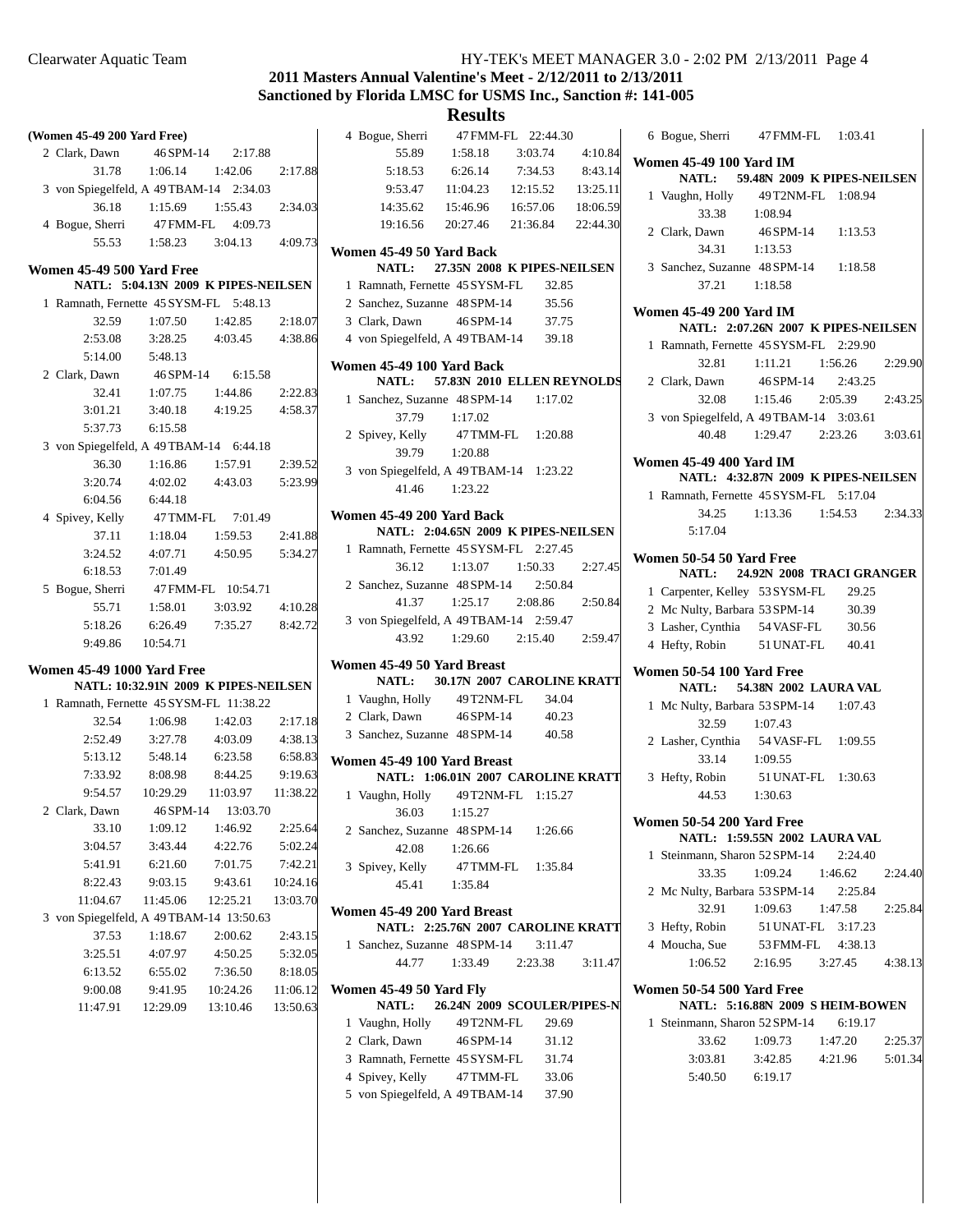## **2011 Masters Annual Valentine's Meet - 2/12/2011 to 2/13/2011 Sanctioned by Florida LMSC for USMS Inc., Sanction #: 141-005**

| (Women 45-49 200 Yard Free)             |           |                                      |          | 4 Bogue, Sherri                         | 47 FMM-FL 22:44.30                  |          |          | 6 Bogue, Sherri                                 | 47 FMM-FL                           | 1:03.41            |         |
|-----------------------------------------|-----------|--------------------------------------|----------|-----------------------------------------|-------------------------------------|----------|----------|-------------------------------------------------|-------------------------------------|--------------------|---------|
| 2 Clark, Dawn                           | 46 SPM-14 | 2:17.88                              |          | 55.89                                   | 1:58.18                             | 3:03.74  | 4:10.84  | <b>Women 45-49 100 Yard IM</b>                  |                                     |                    |         |
| 31.78                                   | 1:06.14   | 1:42.06                              | 2:17.88  | 5:18.53                                 | 6:26.14                             | 7:34.53  | 8:43.14  | <b>NATL:</b>                                    | 59.48N 2009 K PIPES-NEILSEN         |                    |         |
| 3 von Spiegelfeld, A 49 TBAM-14 2:34.03 |           |                                      |          | 9:53.47                                 | 11:04.23                            | 12:15.52 | 13:25.11 | 1 Vaughn, Holly                                 | 49 T2NM-FL 1:08.94                  |                    |         |
| 36.18                                   | 1:15.69   | 1:55.43                              | 2:34.03  | 14:35.62                                | 15:46.96                            | 16:57.06 | 18:06.59 | 33.38                                           | 1:08.94                             |                    |         |
| 4 Bogue, Sherri                         | 47 FMM-FL | 4:09.73                              |          | 19:16.56                                | 20:27.46                            | 21:36.84 | 22:44.30 | 2 Clark, Dawn                                   | 46 SPM-14                           | 1:13.53            |         |
| 55.53                                   | 1:58.23   | 3:04.13                              | 4:09.73  | Women 45-49 50 Yard Back                |                                     |          |          | 34.31                                           | 1:13.53                             |                    |         |
| <b>Women 45-49 500 Yard Free</b>        |           |                                      |          | NATL:                                   | 27.35N 2008 K PIPES-NEILSEN         |          |          | 3 Sanchez, Suzanne 48 SPM-14                    |                                     | 1:18.58            |         |
|                                         |           | NATL: 5:04.13N 2009 K PIPES-NEILSEN  |          | 1 Ramnath, Fernette 45 SYSM-FL          |                                     | 32.85    |          | 37.21                                           | 1:18.58                             |                    |         |
| 1 Ramnath, Fernette 45 SYSM-FL 5:48.13  |           |                                      |          | 2 Sanchez, Suzanne 48 SPM-14            |                                     | 35.56    |          |                                                 |                                     |                    |         |
| 32.59                                   | 1:07.50   | 1:42.85                              | 2:18.07  | 3 Clark, Dawn                           | 46 SPM-14                           | 37.75    |          | <b>Women 45-49 200 Yard IM</b>                  |                                     |                    |         |
| 2:53.08                                 | 3:28.25   | 4:03.45                              | 4:38.86  | 4 von Spiegelfeld, A 49 TBAM-14         |                                     | 39.18    |          |                                                 | NATL: 2:07.26N 2007 K PIPES-NEILSEN |                    |         |
| 5:14.00                                 | 5:48.13   |                                      |          |                                         |                                     |          |          | 1 Ramnath, Fernette 45 SYSM-FL 2:29.90<br>32.81 |                                     |                    | 2:29.90 |
| 2 Clark, Dawn                           | 46SPM-14  | 6:15.58                              |          | Women 45-49 100 Yard Back               |                                     |          |          | 2 Clark, Dawn                                   | 1:11.21<br>46SPM-14                 | 1:56.26<br>2:43.25 |         |
| 32.41                                   | 1:07.75   | 1:44.86                              | 2:22.83  | <b>NATL:</b>                            | 57.83N 2010 ELLEN REYNOLDS          |          |          | 32.08                                           | 1:15.46                             | 2:05.39            |         |
| 3:01.21                                 | 3:40.18   | 4:19.25                              | 4:58.37  | 1 Sanchez, Suzanne 48 SPM-14<br>37.79   | 1:17.02                             | 1:17.02  |          | 3 von Spiegelfeld, A 49 TBAM-14 3:03.61         |                                     |                    | 2:43.25 |
| 5:37.73                                 | 6:15.58   |                                      |          |                                         |                                     | 1:20.88  |          | 40.48                                           | 1:29.47                             | 2:23.26            | 3:03.61 |
| 3 von Spiegelfeld, A 49 TBAM-14 6:44.18 |           |                                      |          | 2 Spivey, Kelly<br>39.79                | 47 TMM-FL<br>1:20.88                |          |          |                                                 |                                     |                    |         |
| 36.30                                   | 1:16.86   | 1:57.91                              | 2:39.52  | 3 von Spiegelfeld, A 49 TBAM-14 1:23.22 |                                     |          |          | <b>Women 45-49 400 Yard IM</b>                  |                                     |                    |         |
| 3:20.74                                 | 4:02.02   | 4:43.03                              | 5:23.99  | 41.46                                   | 1:23.22                             |          |          |                                                 | NATL: 4:32.87N 2009 K PIPES-NEILSEN |                    |         |
| 6:04.56                                 | 6:44.18   |                                      |          |                                         |                                     |          |          | 1 Ramnath, Fernette 45 SYSM-FL 5:17.04          |                                     |                    |         |
| 4 Spivey, Kelly                         | 47 TMM-FL | 7:01.49                              |          | Women 45-49 200 Yard Back               |                                     |          |          | 34.25                                           | 1:13.36                             | 1:54.53            | 2:34.33 |
| 37.11                                   | 1:18.04   | 1:59.53                              | 2:41.88  |                                         | NATL: 2:04.65N 2009 K PIPES-NEILSEN |          |          | 5:17.04                                         |                                     |                    |         |
| 3:24.52                                 | 4:07.71   | 4:50.95                              | 5:34.27  | 1 Ramnath, Fernette 45 SYSM-FL 2:27.45  |                                     |          |          | Women 50-54 50 Yard Free                        |                                     |                    |         |
| 6:18.53                                 | 7:01.49   |                                      |          | 36.12                                   | 1:13.07                             | 1:50.33  | 2:27.45  | <b>NATL:</b>                                    | 24.92N 2008 TRACI GRANGER           |                    |         |
| 5 Bogue, Sherri                         |           | 47 FMM-FL 10:54.71                   |          | 2 Sanchez, Suzanne 48 SPM-14            |                                     | 2:50.84  |          | 1 Carpenter, Kelley 53 SYSM-FL                  |                                     | 29.25              |         |
| 55.71                                   | 1:58.01   | 3:03.92                              | 4:10.28  | 41.37                                   | 1:25.17                             | 2:08.86  | 2:50.84  | 2 Mc Nulty, Barbara 53 SPM-14                   |                                     | 30.39              |         |
| 5:18.26                                 | 6:26.49   | 7:35.27                              | 8:42.72  | 3 von Spiegelfeld, A 49 TBAM-14 2:59.47 |                                     |          |          | 3 Lasher, Cynthia 54 VASF-FL                    |                                     | 30.56              |         |
| 9:49.86                                 | 10:54.71  |                                      |          | 43.92                                   | 1:29.60                             | 2:15.40  | 2:59.47  | 4 Hefty, Robin                                  | 51 UNAT-FL                          | 40.41              |         |
| <b>Women 45-49 1000 Yard Free</b>       |           |                                      |          | Women 45-49 50 Yard Breast              |                                     |          |          |                                                 |                                     |                    |         |
|                                         |           | NATL: 10:32.91N 2009 K PIPES-NEILSEN |          | NATL:                                   | 30.17N 2007 CAROLINE KRATT          |          |          | Women 50-54 100 Yard Free<br><b>NATL:</b>       |                                     |                    |         |
| 1 Ramnath, Fernette 45 SYSM-FL 11:38.22 |           |                                      |          | 1 Vaughn, Holly                         | 49 T2NM-FL                          | 34.04    |          | 1 Mc Nulty, Barbara 53 SPM-14                   | 54.38N 2002 LAURA VAL               | 1:07.43            |         |
| 32.54                                   | 1:06.98   | 1:42.03                              | 2:17.18  | 2 Clark, Dawn                           | 46 SPM-14                           | 40.23    |          | 32.59                                           | 1:07.43                             |                    |         |
| 2:52.49                                 | 3:27.78   | 4:03.09                              | 4:38.13  | 3 Sanchez, Suzanne 48 SPM-14            |                                     | 40.58    |          | 2 Lasher, Cynthia 54 VASF-FL                    |                                     | 1:09.55            |         |
| 5:13.12                                 | 5:48.14   | 6:23.58                              | 6:58.83  | Women 45-49 100 Yard Breast             |                                     |          |          | 33.14                                           | 1:09.55                             |                    |         |
| 7:33.92                                 | 8:08.98   | 8:44.25                              | 9:19.63  |                                         | NATL: 1:06.01N 2007 CAROLINE KRATT  |          |          | 3 Hefty, Robin                                  | 51 UNAT-FL 1:30.63                  |                    |         |
| 9:54.57                                 | 10:29.29  | 11:03.97                             | 11:38.22 | 1 Vaughn, Holly                         | 49 T2NM-FL 1:15.27                  |          |          | 44.53                                           | 1:30.63                             |                    |         |
| 2 Clark, Dawn                           |           | 46 SPM-14 13:03.70                   |          | 36.03                                   | 1:15.27                             |          |          |                                                 |                                     |                    |         |
| 33.10                                   | 1:09.12   | 1:46.92                              | 2:25.64  | 2 Sanchez, Suzanne 48 SPM-14            |                                     | 1:26.66  |          | Women 50-54 200 Yard Free                       |                                     |                    |         |
| 3:04.57                                 | 3:43.44   | 4:22.76                              | 5:02.24  | 42.08                                   | 1:26.66                             |          |          |                                                 | NATL: 1:59.55N 2002 LAURA VAL       |                    |         |
| 5:41.91                                 | 6:21.60   | 7:01.75                              | 7:42.21  | 3 Spivey, Kelly                         | 47 TMM-FL                           | 1:35.84  |          | 1 Steinmann, Sharon 52 SPM-14                   |                                     | 2:24.40            |         |
| 8:22.43                                 | 9:03.15   | 9:43.61                              | 10:24.16 | 45.41                                   | 1:35.84                             |          |          | 33.35                                           | 1:09.24                             | 1:46.62            | 2:24.40 |
| 11:04.67                                | 11:45.06  | 12:25.21                             | 13:03.70 |                                         |                                     |          |          | 2 Mc Nulty, Barbara 53 SPM-14                   |                                     | 2:25.84            |         |
| 3 von Spiegelfeld, A 49TBAM-14 13:50.63 |           |                                      |          | Women 45-49 200 Yard Breast             |                                     |          |          | 32.91                                           | 1:09.63                             | 1:47.58            | 2:25.84 |
| 37.53                                   | 1:18.67   | 2:00.62                              | 2:43.15  |                                         | NATL: 2:25.76N 2007 CAROLINE KRATT  |          |          | 3 Hefty, Robin                                  | 51 UNAT-FL 3:17.23                  |                    |         |
| 3:25.51                                 | 4:07.97   | 4:50.25                              | 5:32.05  | 1 Sanchez, Suzanne 48 SPM-14            |                                     | 3:11.47  |          | 4 Moucha, Sue                                   | 53 FMM-FL                           | 4:38.13            |         |
| 6:13.52                                 | 6:55.02   | 7:36.50                              | 8:18.05  | 44.77                                   | 1:33.49                             | 2:23.38  | 3:11.47  | 1:06.52                                         | 2:16.95                             | 3:27.45            | 4:38.13 |
| 9:00.08                                 | 9:41.95   | 10:24.26                             | 11:06.12 | Women 45-49 50 Yard Fly                 |                                     |          |          | Women 50-54 500 Yard Free                       |                                     |                    |         |
| 11:47.91                                | 12:29.09  | 13:10.46                             | 13:50.63 | NATL:                                   | 26.24N 2009 SCOULER/PIPES-N         |          |          |                                                 | NATL: 5:16.88N 2009 S HEIM-BOWEN    |                    |         |
|                                         |           |                                      |          | 1 Vaughn, Holly                         | 49 T2NM-FL                          | 29.69    |          | 1 Steinmann, Sharon 52 SPM-14                   |                                     | 6:19.17            |         |
|                                         |           |                                      |          | 2 Clark, Dawn                           | 46 SPM-14                           | 31.12    |          | 33.62                                           | 1:09.73                             | 1:47.20            | 2:25.37 |
|                                         |           |                                      |          | 3 Ramnath, Fernette 45 SYSM-FL          |                                     | 31.74    |          | 3:03.81                                         | 3:42.85                             | 4:21.96            | 5:01.34 |
|                                         |           |                                      |          | 4 Spivey, Kelly                         | 47 TMM-FL                           | 33.06    |          | 5:40.50                                         | 6:19.17                             |                    |         |
|                                         |           |                                      |          | 5 von Spiegelfeld, A 49 TBAM-14         |                                     | 37.90    |          |                                                 |                                     |                    |         |
|                                         |           |                                      |          |                                         |                                     |          |          |                                                 |                                     |                    |         |
|                                         |           |                                      |          |                                         |                                     |          |          |                                                 |                                     |                    |         |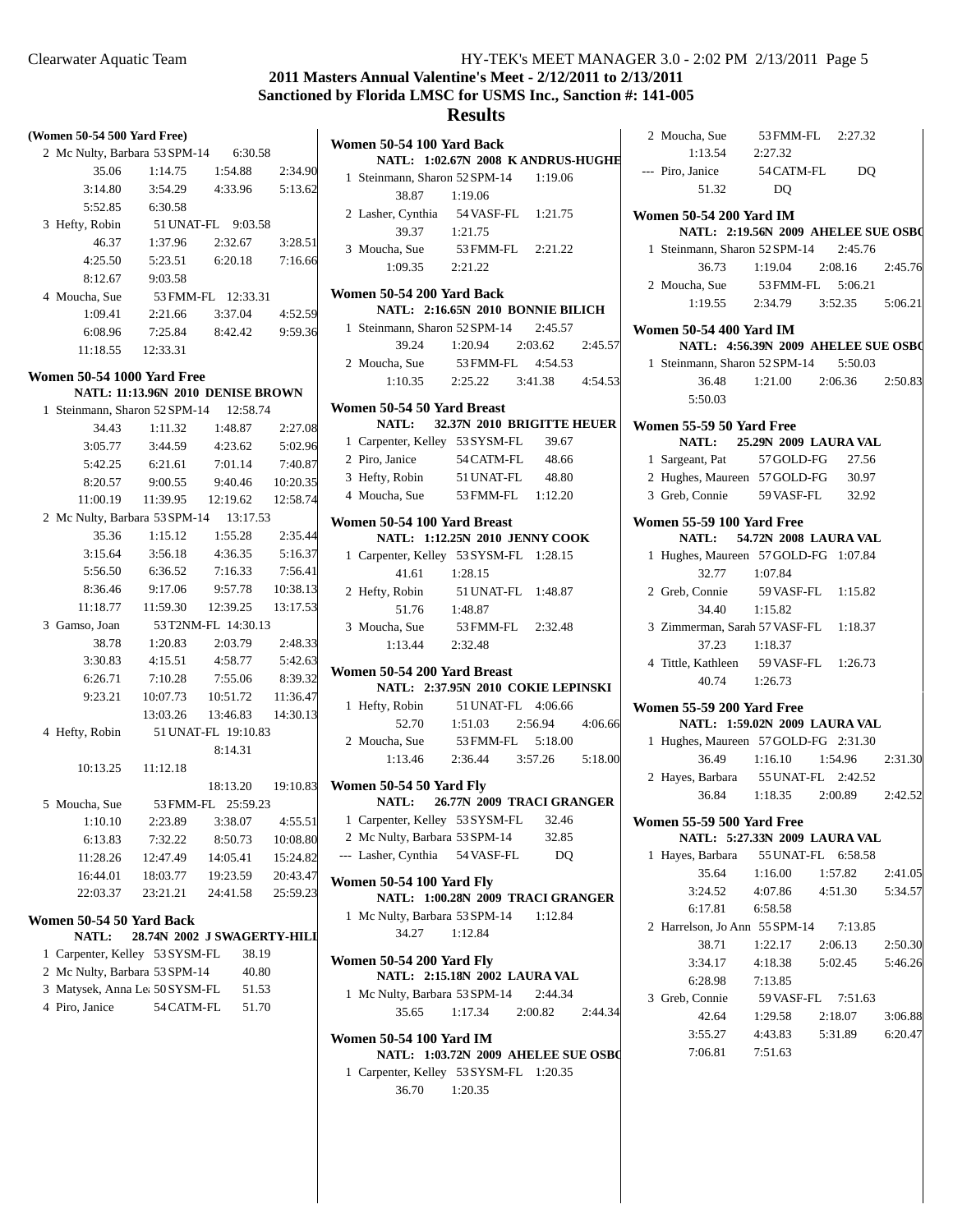# **2011 Masters Annual Valentine's Meet - 2/12/2011 to 2/13/2011 Sanctioned by Florida LMSC for USMS Inc., Sanction #: 141-005**

| (Women 50-54 500 Yard Free)                      |                                   |                              |                    | Womer         |
|--------------------------------------------------|-----------------------------------|------------------------------|--------------------|---------------|
| 2 Mc Nulty, Barbara 53 SPM-14 6:30.58            |                                   |                              |                    |               |
| 35.06                                            | 1:14.75  1:54.88  2:34.90         |                              |                    | 1 Ste         |
| 3:14.80                                          |                                   | 3:54.29  4:33.96  5:13.62    |                    |               |
| 5:52.85                                          | 6:30.58                           |                              |                    | $2$ Las       |
| 3 Hefty, Robin 51 UNAT-FL 9:03.58                |                                   |                              |                    |               |
| 46.37                                            | 1:37.96                           | 2:32.67                      | 3:28.51            | $3$ Mo        |
| 4:25.50                                          | 5:23.51                           | 6:20.18 7:16.66              |                    |               |
| 8:12.67                                          | 9:03.58                           |                              |                    |               |
| 4 Moucha, Sue                                    |                                   | 53 FMM-FL 12:33.31           |                    | Womer         |
| 1:09.41                                          | 2:21.66                           | 3:37.04 4:52.59              |                    |               |
| 6:08.96                                          |                                   | 7:25.84 8:42.42 9:59.36      |                    | 1 Ste         |
|                                                  | 11:18.55   12:33.31               |                              |                    |               |
| <b>Women 50-54 1000 Yard Free</b>                |                                   |                              |                    | 2 Mo          |
|                                                  | NATL: 11:13.96N 2010 DENISE BROWN |                              |                    |               |
| 1 Steinmann, Sharon 52 SPM-14 12:58.74           |                                   |                              |                    | Womer         |
| 34.43                                            |                                   | 1:11.32 1:48.87              | 2:27.08            |               |
| 3:05.77                                          | 3:44.59                           | 4:23.62                      | 5:02.96            | 1 Ca          |
| 5:42.25                                          | 6:21.61                           | 7:01.14                      | 7:40.87            | 2 Pir         |
| 8:20.57                                          |                                   | 9:00.55 9:40.46 10:20.35     |                    | 3 He          |
|                                                  | 11:00.19  11:39.95  12:19.62      |                              | 12:58.74           | $4 \text{M}$  |
| 2 Mc Nulty, Barbara 53 SPM-14 13:17.53           |                                   |                              |                    |               |
| 35.36                                            | 1:15.12                           | 1:55.28 2:35.44              |                    | Womer         |
|                                                  | 3:15.64 3:56.18 4:36.35 5:16.37   |                              |                    | 1 Ca          |
|                                                  | 5:56.50 6:36.52 7:16.33 7:56.41   |                              |                    |               |
|                                                  | 8:36.46 9:17.06                   | 9:57.78 10:38.13             |                    | 2 He          |
|                                                  | 11:18.77   11:59.30               | 12:39.25  13:17.53           |                    |               |
| 3 Gamso, Joan                                    | 53 T2NM-FL 14:30.13               |                              |                    | $3 \text{Mc}$ |
| 38.78                                            | 1:20.83                           | 2:03.79 2:48.33              |                    |               |
| 3:30.83                                          | 4:15.51                           | 4:58.77                      | 5:42.63            |               |
| 6:26.71                                          | 7:10.28                           | 7:55.06                      | 8:39.32            | Womer         |
| 9:23.21                                          |                                   | 10:07.73  10:51.72  11:36.47 |                    |               |
|                                                  | 13:03.26                          | 13:46.83                     | 14:30.13           | 1 He          |
| 4 Hefty, Robin 51 UNAT-FL 19:10.83               |                                   |                              |                    |               |
|                                                  |                                   | 8:14.31                      |                    | $2 \text{M}$  |
| 10:13.25                                         | 11:12.18                          |                              |                    |               |
|                                                  |                                   |                              | 18:13.20  19:10.83 | Womer         |
| 5 Moucha, Sue 53 FMM-FL 25:59.23                 |                                   |                              |                    |               |
| 1:10.10                                          | 2:23.89                           | 3:38.07                      | 4:55.51            | 1 Ca          |
| 6:13.83                                          | 7:32.22                           | 8:50.73                      | 10:08.80           | $2$ Mc        |
| 11:28.26                                         | 12:47.49                          | 14:05.41                     | 15:24.82           | --- La:       |
| 16:44.01                                         | 18:03.77                          | 19:23.59                     | 20:43.47           |               |
| 22:03.37                                         | 23:21.21                          | 24:41.58                     | 25:59.23           | Womer         |
|                                                  |                                   |                              |                    | $1$ Mc        |
| Women 50-54 50 Yard Back<br><b>NATL:</b>         | 28.74N 2002 J SWAGERTY-HILI       |                              |                    |               |
|                                                  |                                   |                              |                    |               |
| 1 Carpenter, Kelley 53 SYSM-FL                   |                                   | 38.19                        |                    | Womer         |
| 2 Mc Nulty, Barbara 53 SPM-14                    |                                   | 40.80                        |                    |               |
| 3 Matysek, Anna Le: 50 SYSM-FL<br>4 Piro, Janice | 54 CATM-FL                        | 51.53<br>51.70               |                    | $1$ Mc        |
|                                                  |                                   |                              |                    |               |
|                                                  |                                   |                              |                    | Womer         |
|                                                  |                                   |                              |                    |               |

|                          |  | Women 50-54 100 Yard Back                      |                                   |                                         |  |
|--------------------------|--|------------------------------------------------|-----------------------------------|-----------------------------------------|--|
|                          |  |                                                |                                   | NATL: 1:02.67N 2008 KANDRUS-HUGHE       |  |
|                          |  | 1 Steinmann, Sharon 52 SPM-14 1:19.06<br>38.87 | 1:19.06                           |                                         |  |
|                          |  |                                                |                                   |                                         |  |
|                          |  | 2 Lasher, Cynthia 54 VASF-FL 1:21.75           |                                   |                                         |  |
|                          |  | 39.37                                          | 1:21.75                           |                                         |  |
|                          |  | 3 Moucha, Sue 53 FMM-FL 2:21.22                |                                   |                                         |  |
|                          |  | 1:09.35 2:21.22                                |                                   |                                         |  |
|                          |  | Women 50-54 200 Yard Back                      |                                   |                                         |  |
|                          |  |                                                | NATL: 2:16.65N 2010 BONNIE BILICH |                                         |  |
|                          |  | 1 Steinmann, Sharon 52 SPM-14 2:45.57          |                                   |                                         |  |
|                          |  | 39.24 1:20.94                                  | 2:03.62                           | 2:45.57                                 |  |
|                          |  | 2 Moucha, Sue 53 FMM-FL 4:54.53                |                                   |                                         |  |
|                          |  |                                                |                                   | $1:10.35$ $2:25.22$ $3:41.38$ $4:54.53$ |  |
|                          |  | Women 50-54 50 Yard Breast                     |                                   | NATL: 32.37N 2010 BRIGITTE HEUER        |  |
|                          |  | 1 Carpenter, Kelley 53 SYSM-FL                 |                                   | 39.67                                   |  |
|                          |  | 2 Piro. Janice                                 | 54 CATM-FL 48.66                  |                                         |  |
|                          |  | 3 Hefty, Robin 51 UNAT-FL 48.80                |                                   |                                         |  |
|                          |  | 4 Moucha, Sue 53 FMM-FL 1:12.20                |                                   |                                         |  |
|                          |  |                                                |                                   |                                         |  |
|                          |  | Women 50-54 100 Yard Breast                    | NATL: 1:12.25N 2010 JENNY COOK    |                                         |  |
|                          |  | 1 Carpenter, Kelley 53 SYSM-FL 1:28.15         |                                   |                                         |  |
|                          |  | 41.61 1:28.15                                  |                                   |                                         |  |
|                          |  | 2 Hefty, Robin                                 | 51 UNAT-FL 1:48.87                |                                         |  |
|                          |  | 51.76 1:48.87                                  |                                   |                                         |  |
|                          |  | 3 Moucha, Sue 53 FMM-FL 2:32.48                |                                   |                                         |  |
|                          |  | $1:13.44$ $2:32.48$                            |                                   |                                         |  |
|                          |  | Women 50-54 200 Yard Breast                    |                                   |                                         |  |
|                          |  |                                                |                                   | NATL: 2:37.95N 2010 COKIE LEPINSKI      |  |
|                          |  | 1 Hefty, Robin $51 \text{UNAT-FL}$ 4:06.66     |                                   |                                         |  |
|                          |  | 52.70                                          | $1:51.03$ $2:56.94$               | 4:06.66                                 |  |
|                          |  | 2 Moucha, Sue                                  | 53 FMM-FL 5:18.00                 |                                         |  |
|                          |  |                                                |                                   | $1:13.46$ $2:36.44$ $3:57.26$ $5:18.00$ |  |
|                          |  |                                                |                                   |                                         |  |
|                          |  | Women 50-54 50 Yard Fly                        |                                   | NATL: 26.77N 2009 TRACI GRANGER         |  |
|                          |  | 1 Carpenter, Kelley 53 SYSM-FL 32.46           |                                   |                                         |  |
|                          |  | 2 Mc Nulty, Barbara 53 SPM-14                  |                                   | 32.85                                   |  |
|                          |  | --- Lasher, Cynthia 54 VASF-FL                 |                                   | D <sub>O</sub>                          |  |
| Women 50-54 100 Yard Fly |  |                                                |                                   |                                         |  |
|                          |  |                                                |                                   | NATL: 1:00.28N 2009 TRACI GRANGER       |  |
|                          |  | 1 Mc Nulty, Barbara 53 SPM-14 1:12.84          |                                   |                                         |  |
|                          |  | 34.27                                          | 1:12.84                           |                                         |  |
|                          |  | Women 50-54 200 Yard Fly                       | NATL: 2:15.18N 2002 LAURA VAL     |                                         |  |
|                          |  | 1 Mc Nulty, Barbara 53 SPM-14 2:44.34          |                                   |                                         |  |
|                          |  | 35.65                                          | $1:17.34$ $2:00.82$               | 2:44.34                                 |  |
|                          |  |                                                |                                   |                                         |  |
|                          |  | Women 50-54 100 Yard IM                        |                                   |                                         |  |
|                          |  |                                                |                                   |                                         |  |
|                          |  | 1 Carpenter, Kelley 53 SYSM-FL 1:20.35         |                                   | NATL: 1:03.72N 2009 AHELEE SUE OSBO     |  |

| 2 Moucha, Sue 53 FMM-FL 2:27.32                                       |                                 |         |         |
|-----------------------------------------------------------------------|---------------------------------|---------|---------|
| 1:13.54 2:27.32<br>--- Piro, Janice 54 CATM-FL DQ                     |                                 |         |         |
| 51.32                                                                 | D <sub>O</sub>                  |         |         |
| <b>Women 50-54 200 Yard IM</b><br>NATL: 2:19.56N 2009 AHELEE SUE OSBO |                                 |         |         |
|                                                                       |                                 |         |         |
| 1 Steinmann, Sharon 52 SPM-14                                         |                                 | 2:45.76 |         |
| 36.73 1:19.04                                                         |                                 | 2:08.16 | 2:45.76 |
| 2 Moucha, Sue 53 FMM-FL 5:06.21                                       |                                 |         |         |
|                                                                       | 1:19.55 2:34.79 3:52.35 5:06.21 |         |         |
| Women 50-54 400 Yard IM<br>NATL: 4:56.39N 2009 AHELEE SUE OSBO        |                                 |         |         |
| 1 Steinmann, Sharon 52 SPM-14 5:50.03                                 |                                 |         |         |
| 36.48                                                                 | 1:21.00 2:06.36 2:50.83         |         |         |
| 5:50.03                                                               |                                 |         |         |
| Women 55-59 50 Yard Free                                              |                                 |         |         |
| NATL: 25.29N 2009 LAURA VAL                                           |                                 |         |         |
| 1 Sargeant, Pat                                                       | 57 GOLD-FG                      | 27.56   |         |
| 2 Hughes, Maureen 57 GOLD-FG                                          |                                 | 30.97   |         |
| 3 Greb, Connie                                                        | 59 VASF-FL                      | 32.92   |         |
| <b>Women 55-59 100 Yard Free</b>                                      |                                 |         |         |
| <b>NATL:</b>                                                          | 54.72N 2008 LAURA VAL           |         |         |
| 1 Hughes, Maureen 57 GOLD-FG 1:07.84                                  |                                 |         |         |
| 32.77                                                                 | 1:07.84                         |         |         |
| 2 Greb, Connie 59 VASF-FL 1:15.82                                     |                                 |         |         |
| 34.40                                                                 | 1:15.82                         |         |         |
| 3 Zimmerman, Sarah 57 VASF-FL 1:18.37                                 |                                 |         |         |
| 37.23                                                                 | 1:18.37                         |         |         |
| 4 Tittle, Kathleen                                                    |                                 |         |         |
| 40.74 1:26.73                                                         | 59 VASF-FL 1:26.73              |         |         |
|                                                                       |                                 |         |         |
| <b>Women 55-59 200 Yard Free</b><br>NATL: 1:59.02N 2009 LAURA VAL     |                                 |         |         |
|                                                                       |                                 |         |         |
| 1 Hughes, Maureen 57 GOLD-FG 2:31.30                                  |                                 |         |         |
| 36.49                                                                 | 1:16.10 1:54.96 2:31.30         |         |         |
| 2 Hayes, Barbara 55 UNAT-FL 2:42.52                                   |                                 |         |         |
| 36.84                                                                 | 1:18.35 2:00.89                 |         | 2:42.52 |
| <b>Women 55-59 500 Yard Free</b>                                      |                                 |         |         |
| NATL: 5:27.33N 2009 LAURA VAL                                         |                                 |         |         |
| 1 Hayes, Barbara 55 UNAT-FL 6:58.58                                   |                                 |         |         |
|                                                                       | 35.64 1:16.00 1:57.82 2:41.05   |         |         |
|                                                                       | 3:24.52 4:07.86 4:51.30 5:34.57 |         |         |
| 6:17.81 6:58.58                                                       |                                 |         |         |
| 2 Harrelson, Jo Ann 55 SPM-14 7:13.85                                 |                                 |         |         |
| 38.71                                                                 | 1:22.17 2:06.13                 |         | 2:50.30 |
| 3:34.17                                                               | 4:18.38 5:02.45 5:46.26         |         |         |
| 6:28.98                                                               | 7:13.85                         |         |         |
| 3 Greb, Connie                                                        | 59 VASF-FL 7:51.63              |         |         |
| 42.64                                                                 | 1:29.58 2:18.07                 |         | 3:06.88 |
| 3:55.27                                                               | 4:43.83 5:31.89 6:20.47         |         |         |
| 7:06.81 7:51.63                                                       |                                 |         |         |
|                                                                       |                                 |         |         |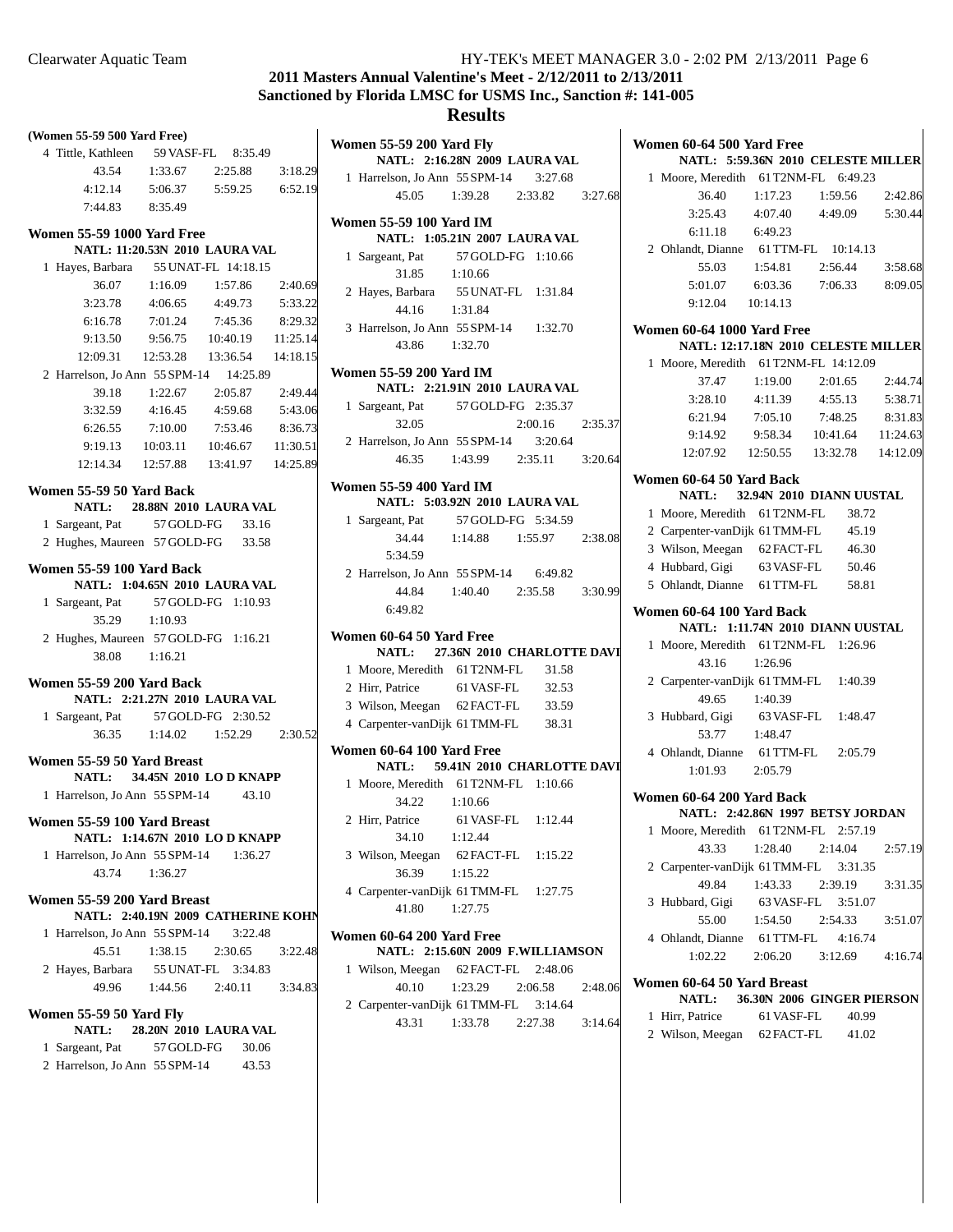# **2011 Masters Annual Valentine's Meet - 2/12/2011 to 2/13/2011 Sanctioned by Florida LMSC for USMS Inc., Sanction #: 141-005**

## **Results**

| (Women 55-59 500 Yard Free)            |                                        |                         |          |
|----------------------------------------|----------------------------------------|-------------------------|----------|
| 4 Tittle, Kathleen 59 VASF-FL 8:35.49  |                                        |                         |          |
| 43.54                                  | $1:33.67$ $2:25.88$                    |                         | 3:18.29  |
|                                        | 4:12.14   5:06.37   5:59.25   6:52.19  |                         |          |
|                                        | 7:44.83 8:35.49                        |                         |          |
| <b>Women 55-59 1000 Yard Free</b>      |                                        |                         |          |
|                                        | NATL: 11:20.53N 2010 LAURA VAL         |                         |          |
| 1 Hayes, Barbara 55 UNAT-FL 14:18.15   |                                        |                         |          |
| 36.07                                  |                                        | $1:16.09$ $1:57.86$     | 2:40.69  |
| 3:23.78                                |                                        | $4:06.65$ $4:49.73$     | 5:33.22  |
| 6:16.78                                |                                        | 7:01.24 7:45.36         | 8:29.32  |
|                                        | 9:13.50 9:56.75 10:40.19 11:25.14      |                         |          |
|                                        | 12:09.31  12:53.28  13:36.54  14:18.15 |                         |          |
| 2 Harrelson, Jo Ann 55 SPM-14 14:25.89 |                                        |                         |          |
| 39.18                                  |                                        | 1:22.67 2:05.87 2:49.44 |          |
| 3:32.59                                | 4:16.45                                | 4:59.68                 | 5:43.06  |
| 6:26.55                                | 7:10.00                                | 7:53.46                 | 8:36.73  |
| 9:19.13                                |                                        | 10:03.11 10:46.67       | 11:30.51 |
|                                        | 12:14.34  12:57.88  13:41.97  14:25.89 |                         |          |
|                                        |                                        |                         |          |
| Women 55-59 50 Yard Back               | NATL: 28.88N 2010 LAURA VAL            |                         |          |
| 1 Sargeant, Pat 57 GOLD-FG             |                                        | 33.16                   |          |
| 2 Hughes, Maureen 57 GOLD-FG 33.58     |                                        |                         |          |
|                                        |                                        |                         |          |
| Women 55-59 100 Yard Back              |                                        |                         |          |
|                                        | NATL: 1:04.65N 2010 LAURA VAL          |                         |          |
| 1 Sargeant, Pat 57 GOLD-FG 1:10.93     |                                        |                         |          |
|                                        | 35.29 1:10.93                          |                         |          |
| 2 Hughes, Maureen 57 GOLD-FG 1:16.21   |                                        |                         |          |
|                                        | 38.08 1:16.21                          |                         |          |
| <b>Women 55-59 200 Yard Back</b>       |                                        |                         |          |
|                                        | NATL: 2:21.27N 2010 LAURA VAL          |                         |          |
| 1 Sargeant, Pat 57 GOLD-FG 2:30.52     |                                        |                         |          |
|                                        | 36.35 1:14.02 1:52.29 2:30.52          |                         |          |
| Women 55-59 50 Yard Breast             |                                        |                         |          |
|                                        | NATL: 34.45N 2010 LO D KNAPP           |                         |          |
| 1 Harrelson, Jo Ann 55 SPM-14 43.10    |                                        |                         |          |
|                                        |                                        |                         |          |
| Women 55-59 100 Yard Breast            | NATL: 1:14.67N 2010 LO D KNAPP         |                         |          |
| 1 Harrelson, Jo Ann 55 SPM-14 1:36.27  |                                        |                         |          |
| 43.74                                  | 1:36.27                                |                         |          |
|                                        |                                        |                         |          |
| Women 55-59 200 Yard Breast            |                                        |                         |          |
|                                        | NATL: 2:40.19N 2009 CATHERINE KOHN     |                         |          |
| 1 Harrelson, Jo Ann 55 SPM-14 3:22.48  |                                        |                         |          |
| 45.51                                  | 1:38.15                                | 2:30.65                 | 3:22.48  |
| 2 Hayes, Barbara                       |                                        | 55 UNAT-FL 3:34.83      |          |
| 49.96                                  | $1:44.56$ $2:40.11$                    |                         | 3:34.83  |
| <b>Women 55-59 50 Yard Fly</b>         |                                        |                         |          |
|                                        | NATL: 28.20N 2010 LAURA VAL            |                         |          |
| 1 Sargeant, Pat 57 GOLD-FG             |                                        | 30.06                   |          |
| 2 Harrelson, Jo Ann 55 SPM-14 43.53    |                                        |                         |          |

| <b>Women 55-59 200 Yard Fly</b><br>NATL: 2:16.28N 2009 LAURA VAL |                                     |                 |         |
|------------------------------------------------------------------|-------------------------------------|-----------------|---------|
| 1 Harrelson, Jo Ann 55 SPM-14 3:27.68                            |                                     |                 |         |
|                                                                  | 45.05 1:39.28 2:33.82 3:27.68       |                 |         |
| <b>Women 55-59 100 Yard IM</b><br>NATL: 1:05.21N 2007 LAURA VAL  |                                     |                 |         |
| 1 Sargeant, Pat 57 GOLD-FG 1:10.66                               |                                     |                 |         |
| 31.85                                                            | 1:10.66                             |                 |         |
| 2 Hayes, Barbara                                                 |                                     |                 |         |
| 44.16                                                            | a 55 UNAT-FL 1:31.84<br>1:31.84     |                 |         |
| 3 Harrelson, Jo Ann 55 SPM-14 1:32.70                            |                                     |                 |         |
| 43.86 1:32.70                                                    |                                     |                 |         |
| <b>Women 55-59 200 Yard IM</b><br>NATL: 2:21.91N 2010 LAURA VAL  |                                     |                 |         |
| 1 Sargeant, Pat 57 GOLD-FG 2:35.37                               |                                     |                 |         |
| 32.05                                                            |                                     | 2:00.16 2:35.37 |         |
| 2 Harrelson, Jo Ann 55 SPM-14 3:20.64                            |                                     |                 |         |
|                                                                  | 46.35 1:43.99 2:35.11 3:20.64       |                 |         |
| <b>Women 55-59 400 Yard IM</b>                                   |                                     |                 |         |
| NATL: 5:03.92N 2010 LAURA VAL                                    |                                     |                 |         |
| 1 Sargeant, Pat 57 GOLD-FG 5:34.59                               |                                     |                 |         |
|                                                                  | 34.44 1:14.88 1:55.97 2:38.08       |                 |         |
| 5:34.59                                                          |                                     |                 |         |
| 2 Harrelson, Jo Ann 55 SPM-14 6:49.82                            |                                     |                 |         |
|                                                                  | 44.84   1:40.40   2:35.58   3:30.99 |                 |         |
| 6:49.82                                                          |                                     |                 |         |
| Women 60-64 50 Yard Free<br>NATL: 27.36N 2010 CHARLOTTE DAVI     |                                     |                 |         |
| 1 Moore, Meredith 61 T2NM-FL 31.58                               |                                     |                 |         |
| 2 Hirr, Patrice 61 VASF-FL 32.53                                 |                                     |                 |         |
| 3 Wilson, Meegan 62 FACT-FL 33.59                                |                                     |                 |         |
| 4 Carpenter-vanDijk 61 TMM-FL 38.31                              |                                     |                 |         |
| Women 60-64 100 Yard Free                                        |                                     |                 |         |
| NATL: 59.41N 2010 CHARLOTTE DAVI                                 |                                     |                 |         |
| 1 Moore, Meredith 61 T2NM-FL 1:10.66                             |                                     |                 |         |
| 34.22 1:10.66                                                    |                                     |                 |         |
| 2 Hirr, Patrice 61 VASF-FL 1:12.44                               |                                     |                 |         |
| 34.10 1:12.44                                                    |                                     |                 |         |
| 3 Wilson, Meegan 62 FACT-FL 1:15.22                              |                                     |                 |         |
| 36.39 1:15.22                                                    |                                     |                 |         |
| 4 Carpenter-vanDijk 61 TMM-FL 1:27.75                            |                                     |                 |         |
| 41.80 1:27.75                                                    |                                     |                 |         |
| Women 60-64 200 Yard Free                                        |                                     |                 |         |
| NATL: 2:15.60N 2009 F.WILLIAMSON                                 |                                     |                 |         |
| 1 Wilson, Meegan 62 FACT-FL 2:48.06                              |                                     |                 |         |
|                                                                  | 40.10 1:23.29 2:06.58               |                 | 2:48.06 |
| 2 Carpenter-vanDijk 61 TMM-FL 3:14.64                            |                                     |                 |         |

43.31 1:33.78 3:14.64 2:27.38

| Women 60-64 500 Yard Free<br>NATL: 5:59.36N 2010 CELESTE MILLER |                                                                |         |                                        |         |
|-----------------------------------------------------------------|----------------------------------------------------------------|---------|----------------------------------------|---------|
|                                                                 | 1 Moore, Meredith 61 T2NM-FL 6:49.23                           |         |                                        |         |
|                                                                 | 36.40                                                          |         | 1:17.23 1:59.56 2:42.86                |         |
|                                                                 |                                                                |         | 3:25.43 4:07.40 4:49.09 5:30.44        |         |
|                                                                 | 6:11.18 6:49.23                                                |         |                                        |         |
|                                                                 | 2 Ohlandt, Dianne 61 TTM-FL 10:14.13                           |         |                                        |         |
|                                                                 | 55.03                                                          |         | 1:54.81  2:56.44  3:58.68              |         |
|                                                                 |                                                                |         | 5:01.07 6:03.36 7:06.33 8:09.05        |         |
|                                                                 | 9:12.04 10:14.13                                               |         |                                        |         |
|                                                                 |                                                                |         |                                        |         |
|                                                                 | Women 60-64 1000 Yard Free                                     |         |                                        |         |
|                                                                 | NATL: 12:17.18N 2010 CELESTE MILLER                            |         |                                        |         |
|                                                                 | 1 Moore, Meredith 61 T2NM-FL 14:12.09                          |         |                                        |         |
|                                                                 | 37.47                                                          |         | 1:19.00 2:01.65 2:44.74                |         |
|                                                                 |                                                                |         | 3:28.10 4:11.39 4:55.13 5:38.71        |         |
|                                                                 |                                                                |         | 6:21.94 7:05.10 7:48.25 8:31.83        |         |
|                                                                 |                                                                |         | 9:14.92  9:58.34  10:41.64  11:24.63   |         |
|                                                                 |                                                                |         | 12:07.92  12:50.55  13:32.78  14:12.09 |         |
|                                                                 | Women 60-64 50 Yard Back                                       |         |                                        |         |
|                                                                 | NATL: 32.94N 2010 DIANN UUSTAL                                 |         |                                        |         |
|                                                                 | 1 Moore, Meredith 61 T2NM-FL 38.72                             |         |                                        |         |
|                                                                 | 2 Carpenter-vanDijk 61 TMM-FL 45.19                            |         |                                        |         |
|                                                                 | 3 Wilson, Meegan 62 FACT-FL 46.30                              |         |                                        |         |
|                                                                 | 4 Hubbard, Gigi 63 VASF-FL 50.46                               |         |                                        |         |
|                                                                 | 5 Ohlandt, Dianne 61 TTM-FL 58.81                              |         |                                        |         |
|                                                                 | Women 60-64 100 Yard Back<br>NATL: 1:11.74N 2010 DIANN UUSTAL  |         |                                        |         |
|                                                                 | 1 Moore, Meredith 61 T2NM-FL 1:26.96                           |         |                                        |         |
|                                                                 | 43.16 1:26.96                                                  |         |                                        |         |
|                                                                 | 2 Carpenter-vanDijk 61 TMM-FL 1:40.39                          |         |                                        |         |
|                                                                 | 49.65                                                          | 1:40.39 |                                        |         |
|                                                                 | 3 Hubbard, Gigi 63 VASF-FL 1:48.47                             |         |                                        |         |
|                                                                 | 53.77 1:48.47                                                  |         |                                        |         |
|                                                                 | 4 Ohlandt, Dianne 61 TTM-FL 2:05.79                            |         |                                        |         |
|                                                                 | 1:01.93 2:05.79                                                |         |                                        |         |
|                                                                 | Women 60-64 200 Yard Back                                      |         |                                        |         |
|                                                                 | NATL: 2:42.86N 1997 BETSY JORDAN                               |         |                                        |         |
|                                                                 | 1 Moore, Meredith 61 T2NM-FL 2:57.19                           |         |                                        |         |
|                                                                 | 43.33                                                          |         | 1:28.40 2:14.04 2:57.19                |         |
|                                                                 | 2 Carpenter-vanDijk 61 TMM-FL 3:31.35                          |         |                                        |         |
|                                                                 | 49.84                                                          | 1:43.33 | 2:39.19                                | 3:31.35 |
|                                                                 | 3 Hubbard, Gigi 63 VASF-FL 3:51.07                             |         |                                        |         |
|                                                                 | 55.00  1:54.50                                                 |         | 2:54.33                                | 3:51.07 |
|                                                                 | 4 Ohlandt, Dianne 61 TTM-FL 4:16.74                            |         |                                        |         |
|                                                                 | 1:02.22                                                        |         | 2:06.20 3:12.69 4:16.74                |         |
|                                                                 |                                                                |         |                                        |         |
|                                                                 | Women 60-64 50 Yard Breast<br>NATL: 36.30N 2006 GINGER PIERSON |         |                                        |         |
|                                                                 | 1 Hirr, Patrice                                                |         | 61 VASF-FL 40.99                       |         |
|                                                                 | 2 Wilson, Meegan 62 FACT-FL 41.02                              |         |                                        |         |
|                                                                 |                                                                |         |                                        |         |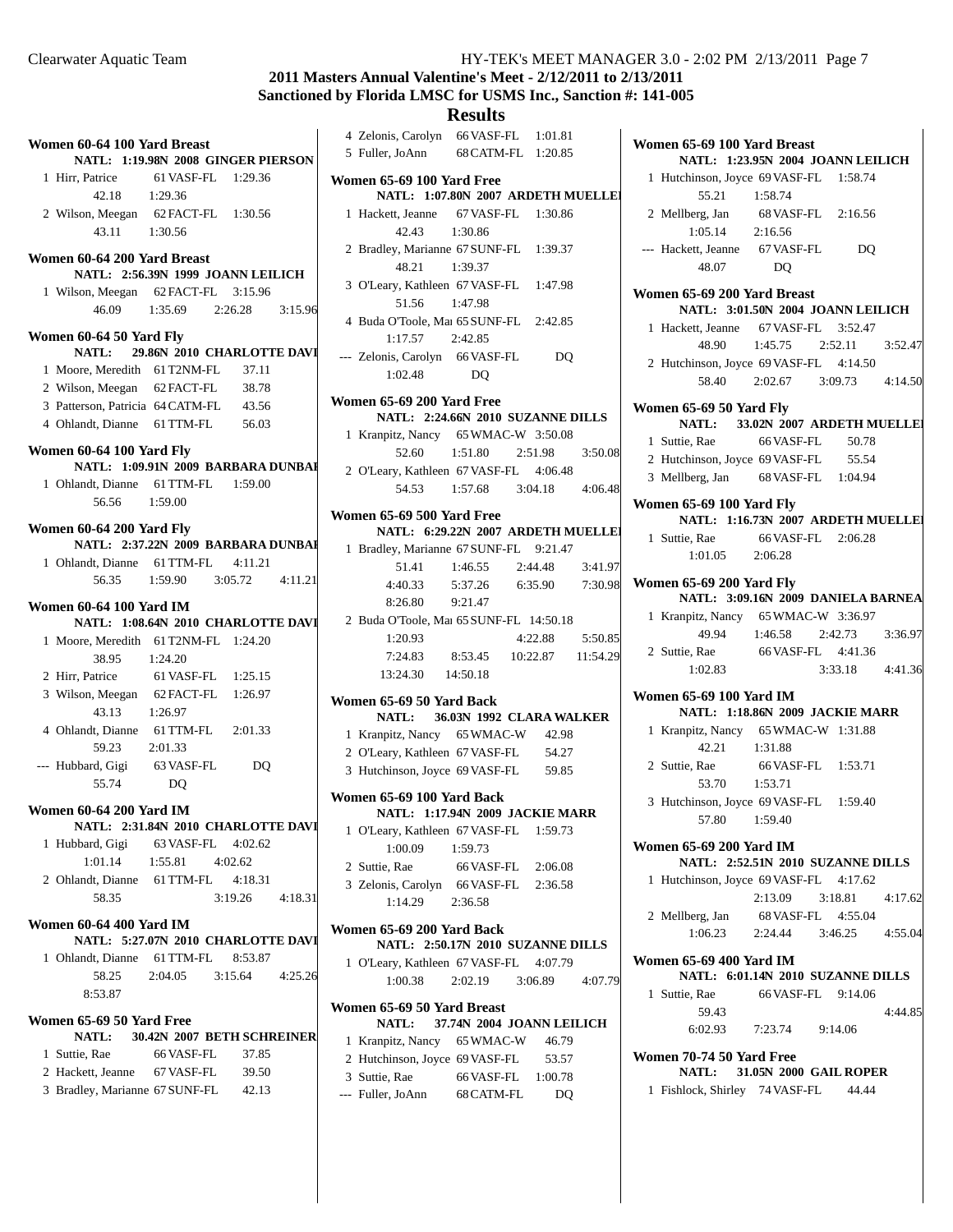# **2011 Masters Annual Valentine's Meet - 2/12/2011 to 2/13/2011 Sanctioned by Florida LMSC for USMS Inc., Sanction #: 141-005**

## **Results**

| Women 60-64 100 Yard Breast                          |                                        |                     |  |
|------------------------------------------------------|----------------------------------------|---------------------|--|
|                                                      | NATL: 1:19.98N 2008 GINGER PIERSON     |                     |  |
| 1 Hirr, Patrice<br>42.18 1:29.36                     | 61 VASF-FL 1:29.36                     |                     |  |
|                                                      |                                        |                     |  |
| 2 Wilson, Meegan 62 FACT-FL 1:30.56<br>43.11 1:30.56 |                                        |                     |  |
| Women 60-64 200 Yard Breast                          |                                        |                     |  |
|                                                      | NATL: 2:56.39N 1999 JOANN LEILICH      |                     |  |
| 1 Wilson, Meegan 62 FACT-FL 3:15.96                  |                                        |                     |  |
|                                                      | 46.09 1:35.69 2:26.28 3:15.96          |                     |  |
| Women 60-64 50 Yard Fly                              |                                        |                     |  |
|                                                      | NATL: 29.86N 2010 CHARLOTTE DAVI       |                     |  |
| 1 Moore, Meredith 61 T2NM-FL 37.11                   |                                        |                     |  |
| 2 Wilson, Meegan 62 FACT-FL 38.78                    |                                        |                     |  |
| 3 Patterson, Patricia 64 CATM-FL 43.56               |                                        |                     |  |
| 4 Ohlandt, Dianne 61 TTM-FL 56.03                    |                                        |                     |  |
| Women 60-64 100 Yard Fly                             | NATL: 1:09.91N 2009 BARBARA DUNBAI     |                     |  |
| 1 Ohlandt, Dianne 61 TTM-FL 1:59.00                  |                                        |                     |  |
| 56.56 1:59.00                                        |                                        |                     |  |
| Women 60-64 200 Yard Fly                             |                                        |                     |  |
|                                                      | NATL: 2:37.22N 2009 BARBARA DUNBAI     |                     |  |
| 1 Ohlandt, Dianne 61 TTM-FL 4:11.21                  |                                        |                     |  |
|                                                      | 56.35 1:59.90 3:05.72 4:11.21          |                     |  |
| <b>Women 60-64 100 Yard IM</b>                       | NATL: 1:08.64N 2010 CHARLOTTE DAVI     |                     |  |
| 1 Moore, Meredith 61 T2NM-FL 1:24.20                 |                                        |                     |  |
| 38.95 1:24.20                                        |                                        |                     |  |
| 2 Hirr, Patrice 61 VASF-FL 1:25.15                   |                                        |                     |  |
| 3 Wilson, Meegan 62 FACT-FL 1:26.97                  |                                        |                     |  |
| 43.13                                                | 1:26.97                                |                     |  |
|                                                      |                                        |                     |  |
| 4 Ohlandt, Dianne 61 TTM-FL 2:01.33<br>59.23 2:01.33 |                                        |                     |  |
| --- Hubbard, Gigi 63 VASF-FL DQ                      |                                        |                     |  |
| 55.74                                                | DO                                     |                     |  |
| <b>Women 60-64 200 Yard IM</b>                       |                                        |                     |  |
|                                                      | NATL:   2:31.84N  2010  CHARLOTTE DAVI |                     |  |
| 1 Hubbard, Gigi 63 VASF-FL 4:02.62                   |                                        |                     |  |
|                                                      | $1:01.14$ $1:55.81$ $4:02.62$          |                     |  |
| 2 Ohlandt, Dianne 61 TTM-FL 4:18.31                  |                                        |                     |  |
| 58.35                                                |                                        | $3:19.26$ $4:18.31$ |  |
| <b>Women 60-64 400 Yard IM</b>                       | NATL: 5:27.07N 2010 CHARLOTTE DAVI     |                     |  |
| 1 Ohlandt, Dianne 61 TTM-FL 8:53.87                  |                                        |                     |  |
| 58.25                                                | 2:04.05 3:15.64 4:25.26                |                     |  |
| 8:53.87                                              |                                        |                     |  |
| Women 65-69 50 Yard Free                             | NATL: 30.42N 2007 BETH SCHREINER       |                     |  |
| 1 Suttie, Rae                                        | 66 VASF-FL                             | 37.85               |  |
| 2 Hackett, Jeanne 67 VASF-FL 39.50                   |                                        |                     |  |
|                                                      |                                        |                     |  |
| 3 Bradley, Marianne 67 SUNF-FL 42.13                 |                                        |                     |  |
|                                                      |                                        |                     |  |

| 4 Zelonis, Carolyn 66 VASF-FL 1:01.81                          |                               |                 |         |
|----------------------------------------------------------------|-------------------------------|-----------------|---------|
| 5 Fuller, JoAnn 68 CATM-FL 1:20.85                             |                               |                 |         |
|                                                                |                               |                 |         |
| Women 65-69 100 Yard Free                                      |                               |                 |         |
| NATL: 1:07.80N 2007 ARDETH MUELLE                              |                               |                 |         |
| 1 Hackett, Jeanne 67 VASF-FL 1:30.86<br>42.43                  | 1:30.86                       |                 |         |
| 2 Bradley, Marianne 67 SUNF-FL 1:39.37<br>48.21                |                               |                 |         |
|                                                                | 1:39.37                       |                 |         |
| 3 O'Leary, Kathleen 67 VASF-FL 1:47.98                         |                               |                 |         |
| 51.56                                                          | 1:47.98                       |                 |         |
| 4 Buda O'Toole, Mai 65 SUNF-FL 2:42.85<br>$1:17.57$ $2:42.85$  |                               |                 |         |
| --- Zelonis, Carolyn 66 VASF-FL                                |                               | DO              |         |
| 1:02.48 DQ                                                     |                               |                 |         |
| Women 65-69 200 Yard Free                                      |                               |                 |         |
| NATL: 2:24.66N 2010 SUZANNE DILLS                              |                               |                 |         |
| 1 Kranpitz, Nancy 65 WMAC-W 3:50.08                            |                               |                 |         |
| 52.60                                                          | 1:51.80 2:51.98               |                 | 3:50.08 |
| 2 O'Leary, Kathleen 67 VASF-FL 4:06.48                         |                               |                 |         |
|                                                                | 54.53 1:57.68 3:04.18 4:06.48 |                 |         |
|                                                                |                               |                 |         |
| Women 65-69 500 Yard Free<br>NATL: 6:29.22N 2007 ARDETH MUELLE |                               |                 |         |
|                                                                |                               |                 |         |
| 1 Bradley, Marianne 67 SUNF-FL 9:21.47                         |                               |                 |         |
|                                                                | 51.41 1:46.55 2:44.48 3:41.97 |                 |         |
| 4:40.33 5:37.26 6:35.90 7:30.98                                |                               |                 |         |
| 8:26.80 9:21.47                                                |                               |                 |         |
| 2 Buda O'Toole, Mai 65 SUNF-FL 14:50.18                        |                               |                 |         |
| 1:20.93                                                        |                               | 4:22.88 5:50.85 |         |
| 7:24.83 8:53.45 10:22.87 11:54.29                              |                               |                 |         |
| 13:24.30  14:50.18                                             |                               |                 |         |
| Women 65-69 50 Yard Back                                       |                               |                 |         |
| NATL: 36.03N 1992 CLARA WALKER                                 |                               |                 |         |
| 1 Kranpitz, Nancy 65 WMAC-W 42.98                              |                               |                 |         |
| 2 O'Leary, Kathleen 67 VASF-FL 54.27                           |                               |                 |         |
| 3 Hutchinson, Joyce 69 VASF-FL 59.85                           |                               |                 |         |
| Women 65-69 100 Yard Back                                      |                               |                 |         |
| NATL: 1:17.94N 2009 JACKIE MARR                                |                               |                 |         |
| 1 O'Leary, Kathleen 67 VASF-FL 1:59.73                         |                               |                 |         |
| 1:00.09                                                        | 1:59.73                       |                 |         |
| 2 Suttie, Rae                                                  | 66 VASF-FL 2:06.08            |                 |         |
| 3 Zelonis, Carolyn 66 VASF-FL 2:36.58                          |                               |                 |         |
| 1:14.29                                                        | 2:36.58                       |                 |         |
|                                                                |                               |                 |         |
| Women 65-69 200 Yard Back<br>NATL: 2:50.17N 2010 SUZANNE DILLS |                               |                 |         |
| 1 O'Leary, Kathleen 67 VASF-FL 4:07.79                         |                               |                 |         |
| 1:00.38 2:02.19 3:06.89 4:07.79                                |                               |                 |         |
| Women 65-69 50 Yard Breast                                     |                               |                 |         |
| <b>NATL:</b>                                                   | 37.74N 2004 JOANN LEILICH     |                 |         |
| 1 Kranpitz, Nancy 65 WMAC-W 46.79                              |                               |                 |         |
| 2 Hutchinson, Joyce 69 VASF-FL                                 |                               |                 |         |
| 3 Suttie, Rae                                                  |                               | 53.57           |         |
| --- Fuller, JoAnn 68 CATM-FL                                   | 66 VASF-FL 1:00.78            |                 |         |
|                                                                |                               | DQ              |         |
|                                                                |                               |                 |         |

| Women 65-69 100 Yard Breast<br>NATL: 1:23.95N 2004 JOANN LEILICH |                                                        |                                        |                                    |  |
|------------------------------------------------------------------|--------------------------------------------------------|----------------------------------------|------------------------------------|--|
|                                                                  | 1 Hutchinson, Joyce 69 VASF-FL 1:58.74                 |                                        |                                    |  |
|                                                                  | 55.21 1:58.74                                          |                                        |                                    |  |
|                                                                  | 2 Mellberg, Jan 68 VASF-FL 2:16.56                     |                                        |                                    |  |
|                                                                  | 1:05.14 2:16.56                                        |                                        |                                    |  |
|                                                                  | --- Hackett, Jeanne 67 VASF-FL                         |                                        | D <sub>O</sub>                     |  |
|                                                                  | 48.07                                                  | DO                                     |                                    |  |
|                                                                  |                                                        |                                        |                                    |  |
|                                                                  | Women 65-69 200 Yard Breast                            |                                        |                                    |  |
|                                                                  |                                                        |                                        | NATL: 3:01.50N 2004 JOANN LEILICH  |  |
|                                                                  | 1 Hackett, Jeanne 67 VASF-FL 3:52.47                   |                                        |                                    |  |
|                                                                  |                                                        |                                        | 48.90 1:45.75 2:52.11 3:52.47      |  |
|                                                                  | 2 Hutchinson, Joyce 69 VASF-FL 4:14.50                 |                                        |                                    |  |
|                                                                  |                                                        |                                        | 58.40 2:02.67 3:09.73 4:14.50      |  |
|                                                                  | Women 65-69 50 Yard Fly                                |                                        |                                    |  |
|                                                                  |                                                        |                                        | NATL: 33.02N 2007 ARDETH MUELLE    |  |
|                                                                  | 1 Suttie, Rae                                          | 66 VASF-FL 50.78                       |                                    |  |
|                                                                  | 2 Hutchinson, Joyce 69 VASF-FL 55.54                   |                                        |                                    |  |
|                                                                  | 3 Mellberg, Jan 68 VASF-FL 1:04.94                     |                                        |                                    |  |
|                                                                  | Women 65-69 100 Yard Fly                               |                                        |                                    |  |
|                                                                  |                                                        |                                        | NATL: 1:16.73N 2007 ARDETH MUELLE  |  |
|                                                                  | 1 Suttie, Rae                                          | 66 VASF-FL 2:06.28                     |                                    |  |
|                                                                  | 1:01.05 2:06.28                                        |                                        |                                    |  |
|                                                                  |                                                        |                                        |                                    |  |
|                                                                  | Women 65-69 200 Yard Fly                               |                                        | NATL: 3:09.16N 2009 DANIELA BARNEA |  |
|                                                                  | 1 Kranpitz, Nancy 65 WMAC-W 3:36.97                    |                                        |                                    |  |
|                                                                  |                                                        |                                        | 49.94 1:46.58 2:42.73 3:36.97      |  |
|                                                                  | 2 Suttie, Rae 66 VASF-FL 4:41.36                       |                                        |                                    |  |
|                                                                  | 1:02.83                                                |                                        | 3:33.18 4:41.36                    |  |
|                                                                  |                                                        |                                        |                                    |  |
|                                                                  | Women 65-69 100 Yard IM                                |                                        |                                    |  |
|                                                                  |                                                        | <b>NATL: 1:18.86N 2009 JACKIE MARR</b> |                                    |  |
|                                                                  | 1 Kranpitz, Nancy 65 WMAC-W 1:31.88<br>$42.21$ 1:31.88 |                                        |                                    |  |
|                                                                  |                                                        |                                        |                                    |  |
|                                                                  | 2 Suttie, Rae 66 VASF-FL 1:53.71                       |                                        |                                    |  |
|                                                                  | 53.70 1:53.71                                          |                                        |                                    |  |
|                                                                  | 3 Hutchinson, Joyce 69 VASF-FL 1:59.40                 |                                        |                                    |  |
|                                                                  | 57.80  1:59.40                                         |                                        |                                    |  |
|                                                                  | <b>Women 65-69 200 Yard IM</b>                         |                                        |                                    |  |
|                                                                  |                                                        |                                        | NATL: 2:52.51N 2010 SUZANNE DILLS  |  |
|                                                                  | 1 Hutchinson, Joyce 69 VASF-FL 4:17.62                 |                                        |                                    |  |
|                                                                  |                                                        |                                        | 2:13.09 3:18.81 4:17.62            |  |
|                                                                  | 2 Mellberg, Jan 68 VASF-FL 4:55.04                     |                                        |                                    |  |
|                                                                  |                                                        |                                        | 1:06.23  2:24.44  3:46.25  4:55.04 |  |
| <b>Women 65-69 400 Yard IM</b>                                   |                                                        |                                        |                                    |  |
|                                                                  |                                                        |                                        | NATL: 6:01.14N 2010 SUZANNE DILLS  |  |
|                                                                  | 1 Suttie, Rae                                          | 66 VASF-FL 9:14.06                     |                                    |  |
|                                                                  | 59.43                                                  |                                        | 4:44.85                            |  |
|                                                                  |                                                        | 6:02.93 7:23.74 9:14.06                |                                    |  |
|                                                                  | Women 70-74 50 Yard Free                               |                                        |                                    |  |
|                                                                  |                                                        | <b>NATL:</b> 31.05N 2000 GAIL ROPER    |                                    |  |
|                                                                  | 1 Fishlock, Shirley 74 VASF-FL 44.44                   |                                        |                                    |  |

 $\overline{\phantom{a}}$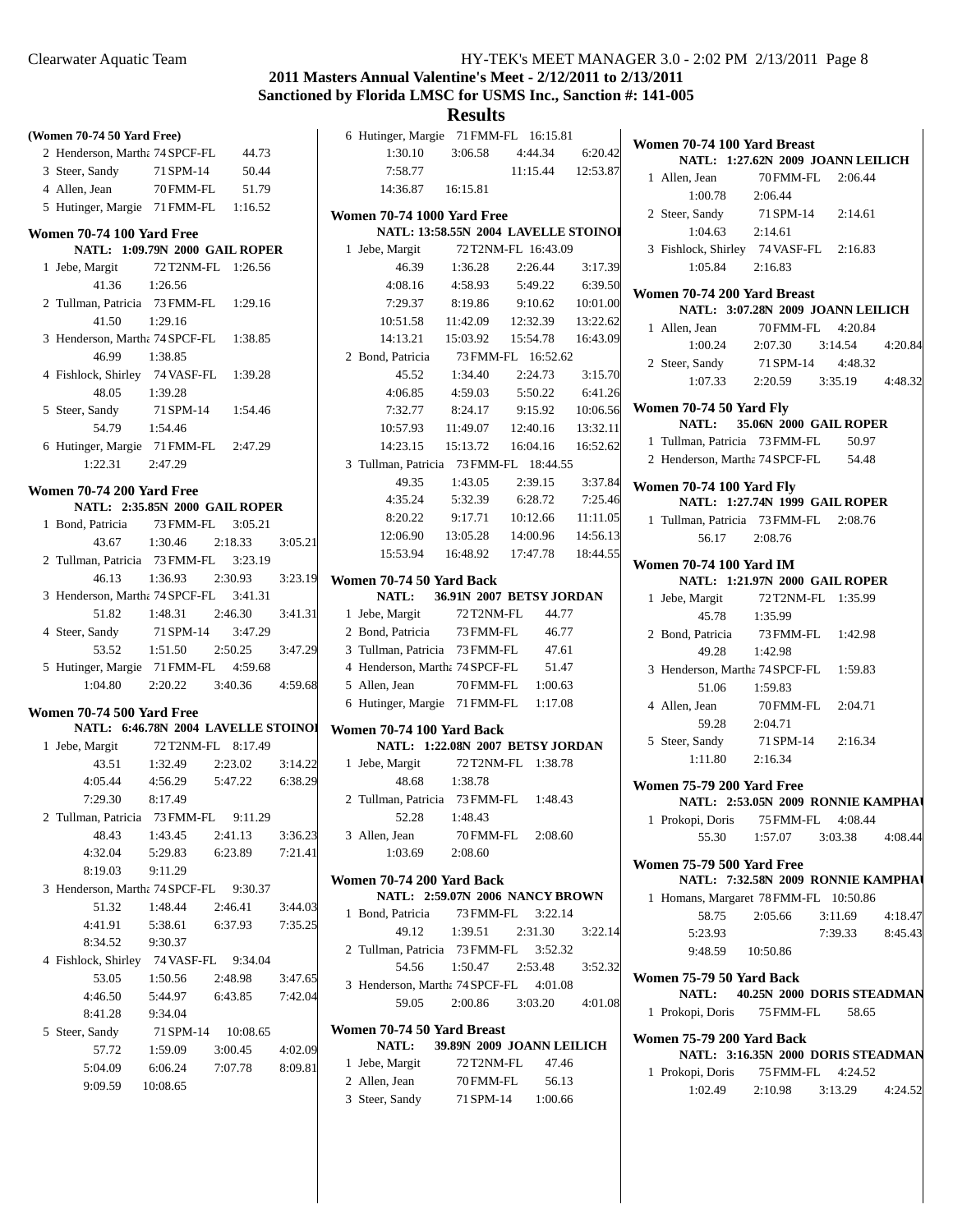## **2011 Masters Annual Valentine's Meet - 2/12/2011 to 2/13/2011 Sanctioned by Florida LMSC for USMS Inc., Sanction #: 141-005**

|                            |                                     |                    |         | Sanctioned by Florida LMSC for USMS Inc., Sa               |                       |                     |
|----------------------------|-------------------------------------|--------------------|---------|------------------------------------------------------------|-----------------------|---------------------|
|                            |                                     |                    |         |                                                            | <b>Results</b>        |                     |
| (Women 70-74 50 Yard Free) |                                     |                    |         | 6 Hutinger, Margie                                         | 71 FMM-FL 16:15.81    |                     |
|                            | 2 Henderson, Martha 74 SPCF-FL      | 44.73              |         | 1:30.10                                                    | 3:06.58               | 4:44.34             |
| 3 Steer, Sandy             | 71 SPM-14                           | 50.44              |         | 7:58.77                                                    |                       | 11:15.44            |
| 4 Allen, Jean              | 70 FMM-FL                           | 51.79              |         | 14:36.87                                                   | 16:15.81              |                     |
|                            | 5 Hutinger, Margie 71 FMM-FL        | 1:16.52            |         |                                                            |                       |                     |
|                            |                                     |                    |         | <b>Women 70-74 1000 Yard Free</b>                          |                       |                     |
| Women 70-74 100 Yard Free  |                                     |                    |         | <b>NATL: 13:58.55N 2004 LAVELLE S</b>                      |                       |                     |
|                            | NATL: 1:09.79N 2000 GAIL ROPER      |                    |         | 1 Jebe, Margit                                             |                       | 72 T2NM-FL 16:43.09 |
| 1 Jebe, Margit             | 72 T2NM-FL                          | 1:26.56            |         | 46.39                                                      | 1:36.28               | 2:26.44             |
| 41.36                      | 1:26.56                             |                    |         | 4:08.16                                                    | 4:58.93               | 5:49.22             |
|                            | 2 Tullman, Patricia 73 FMM-FL       | 1:29.16            |         | 7:29.37                                                    | 8:19.86               | 9:10.62             |
| 41.50                      | 1:29.16                             |                    |         | 10:51.58                                                   | 11:42.09              | 12:32.39            |
|                            | 3 Henderson, Martha 74 SPCF-FL      | 1:38.85            |         | 14:13.21                                                   | 15:03.92              | 15:54.78            |
| 46.99                      | 1:38.85                             |                    |         | 2 Bond, Patricia                                           |                       | 73 FMM-FL 16:52.62  |
|                            | 4 Fishlock, Shirley 74 VASF-FL      | 1:39.28            |         | 45.52                                                      | 1:34.40               | 2:24.73             |
| 48.05                      | 1:39.28                             |                    |         | 4:06.85                                                    | 4:59.03               | 5:50.22             |
| 5 Steer, Sandy             | 71 SPM-14                           | 1:54.46            |         | 7:32.77                                                    | 8:24.17               | 9:15.92             |
| 54.79                      | 1:54.46                             |                    |         | 10:57.93                                                   | 11:49.07              | 12:40.16            |
|                            | 6 Hutinger, Margie 71 FMM-FL        | 2:47.29            |         | 14:23.15                                                   | 15:13.72              | 16:04.16            |
| 1:22.31                    | 2:47.29                             |                    |         | 3 Tullman, Patricia 73 FMM-FL 18:44.55                     |                       |                     |
| Women 70-74 200 Yard Free  |                                     |                    |         | 49.35                                                      | 1:43.05               | 2:39.15             |
|                            | NATL: 2:35.85N 2000 GAIL ROPER      |                    |         | 4:35.24                                                    | 5:32.39               | 6:28.72             |
| 1 Bond, Patricia           | 73 FMM-FL                           | 3:05.21            |         | 8:20.22                                                    | 9:17.71               | 10:12.66            |
| 43.67                      | 1:30.46                             | 2:18.33            | 3:05.21 | 12:06.90                                                   | 13:05.28              | 14:00.96            |
|                            | 2 Tullman, Patricia 73 FMM-FL       | 3:23.19            |         | 15:53.94                                                   | 16:48.92              | 17:47.78            |
| 46.13                      | 1:36.93                             | 2:30.93            | 3:23.19 | Women 70-74 50 Yard Back                                   |                       |                     |
|                            | 3 Henderson, Martha 74 SPCF-FL      | 3:41.31            |         | NATL:                                                      | 36.91N 2007 BETSY JOR |                     |
| 51.82                      | 1:48.31                             | 2:46.30            | 3:41.31 | 1 Jebe, Margit                                             | 72 T2NM-FL            | 44.77               |
| 4 Steer, Sandy             | 71 SPM-14                           | 3:47.29            |         | 2 Bond, Patricia                                           | 73 FMM-FL             | 46.77               |
| 53.52                      | 1:51.50                             | 2:50.25            | 3:47.29 | 3 Tullman, Patricia 73 FMM-FL                              |                       | 47.61               |
|                            | 5 Hutinger, Margie 71 FMM-FL        | 4:59.68            |         | 4 Henderson, Martha 74 SPCF-FL                             |                       | 51.47               |
| 1:04.80                    | 2:20.22                             | 3:40.36            | 4:59.68 | 5 Allen, Jean                                              | 70 FMM-FL             | 1:00.63             |
|                            |                                     |                    |         | 6 Hutinger, Margie 71 FMM-FL                               |                       | 1:17.08             |
| Women 70-74 500 Yard Free  |                                     |                    |         |                                                            |                       |                     |
|                            | NATL: 6:46.78N 2004 LAVELLE STOINOI |                    |         | Women 70-74 100 Yard Back<br>NATL: 1:22.08N 2007 BETSY JOR |                       |                     |
| 1 Jebe, Margit             | 72 T2NM-FL<br>1:32.49               | 8:17.49<br>2:23.02 |         |                                                            |                       |                     |
| 43.51                      |                                     |                    | 3:14.22 | 1 Jebe, Margit                                             |                       | 72 T2NM-FL 1:38.78  |
| 4:05.44                    | 4:56.29    5:47.22                  |                    | 6:38.29 | 48.68 1:38.78                                              |                       |                     |
| 7:29.30                    | 8:17.49                             |                    |         | 2 Tullman, Patricia 73 FMM-FL                              |                       | 1:48.43             |
| 2 Tullman, Patricia        | 73 FMM-FL                           | 9:11.29            |         | 52.28                                                      | 1:48.43               |                     |
| 48.43                      | 1:43.45                             | 2:41.13            | 3:36.23 | 3 Allen, Jean                                              | 70 FMM-FL             | 2:08.60             |
| 4:32.04                    | 5:29.83                             | 6:23.89            | 7:21.41 | 1:03.69                                                    | 2:08.60               |                     |
| 8:19.03                    | 9:11.29                             |                    |         | Women 70-74 200 Yard Back                                  |                       |                     |
|                            | 3 Henderson, Martha 74 SPCF-FL      | 9:30.37            |         | NATL: 2:59.07N 2006 NANCY BRO                              |                       |                     |
| 51.32                      | 1:48.44                             | 2:46.41            | 3:44.03 | 1 Bond, Patricia                                           | 73 FMM-FL             | 3:22.14             |
| 4:41.91                    | 5:38.61                             | 6:37.93            | 7:35.25 | 49.12                                                      | 1:39.51               | 2:31.30             |
| 8:34.52                    | 9:30.37                             |                    |         | 2 Tullman, Patricia 73 FMM-FL                              |                       | 3:52.32             |
| 4 Fishlock, Shirley        | 74 VASF-FL                          | 9:34.04            |         | 54.56                                                      | 1:50.47               | 2:53.48             |
| 53.05                      | 1:50.56                             | 2:48.98            | 3:47.65 | 3 Henderson, Martha 74 SPCF-FL                             |                       | 4:01.08             |
| 4:46.50                    | 5:44.97                             | 6:43.85            | 7:42.04 | 59.05                                                      | 2:00.86               | 3:03.20             |
| 8:41.28                    | 9:34.04                             |                    |         |                                                            |                       |                     |
| 5 Steer, Sandy             | 71 SPM-14                           | 10:08.65           |         | Women 70-74 50 Yard Breast                                 |                       |                     |
| 57.72                      | 1:59.09                             | 3:00.45            | 4:02.09 | NATL:                                                      | 39.89N 2009 JOANN LEI |                     |
| 5:04.09                    | 6:06.24                             | 7:07.78            | 8:09.81 | 1 Jebe, Margit                                             | 72 T2NM-FL            | 47.46               |
| 9:09.59                    | 10:08.65                            |                    |         | 2 Allen, Jean                                              | 70 FMM-FL             | 56.13               |

| <b>Results</b>                                                        |                              |  |          |                    |
|-----------------------------------------------------------------------|------------------------------|--|----------|--------------------|
| 6 Hutinger, Margie 71 FMM-FL 16:15.81                                 |                              |  |          |                    |
| 1:30.10 3:06.58 4:44.34 6:20.42                                       |                              |  |          |                    |
| 7:58.77                                                               |                              |  |          | 11:15.44  12:53.87 |
| 14:36.87   16:15.81                                                   |                              |  |          |                    |
| <b>Women 70-74 1000 Yard Free</b>                                     |                              |  |          |                    |
| NATL: 13:58.55N 2004 LAVELLE STOINOI                                  |                              |  |          |                    |
| 1 Jebe, Margit                                                        | 72 T2NM-FL 16:43.09          |  |          |                    |
| 46.39 1:36.28 2:26.44                                                 |                              |  |          | 3:17.39            |
| 4:08.16 4:58.93 5:49.22 6:39.50                                       |                              |  |          |                    |
| 7:29.37 8:19.86 9:10.62 10:01.00                                      |                              |  |          |                    |
| 10:51.58  11:42.09  12:32.39  13:22.62                                |                              |  |          |                    |
| 14:13.21                                                              | 15:03.92  15:54.78  16:43.09 |  |          |                    |
| 2 Bond, Patricia                                                      | 73 FMM-FL 16:52.62           |  |          |                    |
| 45.52                                                                 | 1:34.40  2:24.73  3:15.70    |  |          |                    |
| 4:06.85                                                               | 4:59.03                      |  | 5:50.22  | 6:41.26            |
| 7:32.77                                                               | 8:24.17                      |  |          | 9:15.92 10:06.56   |
| 10:57.93  11:49.07  12:40.16                                          |                              |  |          | 13:32.11           |
| 14:23.15  15:13.72                                                    |                              |  | 16:04.16 | 16:52.62           |
| 3 Tullman, Patricia 73 FMM-FL 18:44.55                                |                              |  |          |                    |
| 49.35 1:43.05 2:39.15 3:37.84                                         |                              |  |          |                    |
| 4:35.24 5:32.39 6:28.72 7:25.46                                       |                              |  |          |                    |
| 8:20.22                                                               | 9:17.71  10:12.66  11:11.05  |  |          |                    |
| 12:06.90  13:05.28  14:00.96  14:56.13                                |                              |  |          |                    |
| 15:53.94  16:48.92  17:47.78  18:44.55                                |                              |  |          |                    |
|                                                                       |                              |  |          |                    |
| Women 70-74 50 Yard Back                                              |                              |  |          |                    |
| NATL: 36.91N 2007 BETSY JORDAN<br>1 Jebe, Margit                      | 72 T2NM-FL 44.77             |  |          |                    |
| 2 Bond, Patricia 73 FMM-FL 46.77                                      |                              |  |          |                    |
| 3 Tullman, Patricia 73 FMM-FL 47.61                                   |                              |  |          |                    |
| 4 Henderson, Martha 74 SPCF-FL 51.47                                  |                              |  |          |                    |
| 5 Allen, Jean                                                         | 70 FMM-FL 1:00.63            |  |          |                    |
| 6 Hutinger, Margie 71 FMM-FL 1:17.08                                  |                              |  |          |                    |
|                                                                       |                              |  |          |                    |
| Women 70-74 100 Yard Back                                             |                              |  |          |                    |
| NATL: 1:22.08N 2007 BETSY JORDAN<br>1 Jebe, Margit 72 T2NM-FL 1:38.78 |                              |  |          |                    |
| 48.68 1:38.78                                                         |                              |  |          |                    |
| 2 Tullman, Patricia 73 FMM-FL 1:48.43                                 |                              |  |          |                    |
| 52.28 1:48.43                                                         |                              |  |          |                    |
| 3 Allen, Jean                                                         | 70 FMM-FL 2:08.60            |  |          |                    |
| 1:03.69 2:08.60                                                       |                              |  |          |                    |
|                                                                       |                              |  |          |                    |
| Women 70-74 200 Yard Back                                             |                              |  |          |                    |
| NATL: 2:59.07N 2006 NANCY BROWN                                       |                              |  |          |                    |
| 1 Bond, Patricia                                                      | 73 FMM-FL 3:22.14            |  |          |                    |
| 49.12  1:39.51  2:31.30                                               |                              |  |          | 3:22.14            |
| 2 Tullman, Patricia 73 FMM-FL 3:52.32                                 |                              |  |          |                    |
| 54.56                                                                 | 1:50.47 2:53.48 3:52.32      |  |          |                    |
| 3 Henderson, Martha 74 SPCF-FL 4:01.08                                |                              |  |          |                    |
| 59.05 2:00.86 3:03.20 4:01.08                                         |                              |  |          |                    |
| Women 70-74 50 Yard Breast                                            |                              |  |          |                    |
| NATL: 39.89N 2009 JOANN LEILICH                                       |                              |  |          |                    |
| 1 Jebe, Margit 72 T2NM-FL 47.46                                       |                              |  |          |                    |

3 Steer, Sandy 71 SPM-14 1:00.66

|                          | Women 70-74 100 Yard Breast<br>NATL: 1:27.62N 2009 JOANN LEILICH       |                                         |                 |         |  |
|--------------------------|------------------------------------------------------------------------|-----------------------------------------|-----------------|---------|--|
|                          |                                                                        |                                         |                 |         |  |
|                          | 1 Allen, Jean<br>$1:00.78$ 2:06.44                                     | 70 FMM-FL 2:06.44                       |                 |         |  |
|                          | 2 Steer, Sandy 71 SPM-14 2:14.61                                       |                                         |                 |         |  |
|                          | $1:04.63$ $2:14.61$                                                    |                                         |                 |         |  |
|                          | 3 Fishlock, Shirley 74 VASF-FL 2:16.83                                 |                                         |                 |         |  |
|                          | 1:05.84                                                                | 2:16.83                                 |                 |         |  |
|                          | Women 70-74 200 Yard Breast                                            |                                         |                 |         |  |
|                          | NATL: 3:07.28N 2009 JOANN LEILICH                                      |                                         |                 |         |  |
|                          |                                                                        |                                         |                 |         |  |
|                          | 1 Allen, Jean                                                          | 70 FMM-FL 4:20.84                       |                 |         |  |
|                          |                                                                        | $1:00.24$ $2:07.30$ $3:14.54$ $4:20.84$ |                 |         |  |
|                          | 2 Steer, Sandy 71 SPM-14 4:48.32                                       |                                         |                 |         |  |
|                          |                                                                        | $1:07.33$ $2:20.59$ $3:35.19$ $4:48.32$ |                 |         |  |
|                          | Women 70-74 50 Yard Fly<br><b>NATL: 35.06N 2000 GAIL ROPER</b>         |                                         |                 |         |  |
|                          | 1 Tullman, Patricia 73 FMM-FL 50.97                                    |                                         |                 |         |  |
|                          | 2 Henderson, Martha 74 SPCF-FL 54.48                                   |                                         |                 |         |  |
|                          |                                                                        |                                         |                 |         |  |
|                          | Women 70-74 100 Yard Fly<br>NATL: 1:27.74N 1999 GAIL ROPER             |                                         |                 |         |  |
|                          | 1 Tullman, Patricia 73 FMM-FL 2:08.76                                  |                                         |                 |         |  |
|                          | 56.17 2:08.76                                                          |                                         |                 |         |  |
|                          | Women 70-74 100 Yard IM<br><b>NATL: 1:21.97N 2000 GAIL ROPER</b>       |                                         |                 |         |  |
|                          | 1 Jebe, Margit 72 T2NM-FL 1:35.99                                      |                                         |                 |         |  |
|                          | 45.78 1:35.99                                                          |                                         |                 |         |  |
|                          | 2 Bond, Patricia 73 FMM-FL 1:42.98                                     |                                         |                 |         |  |
|                          | 49.28 1:42.98                                                          |                                         |                 |         |  |
|                          | 3 Henderson, Martha 74 SPCF-FL 1:59.83                                 |                                         |                 |         |  |
|                          | 51.06 1:59.83                                                          |                                         |                 |         |  |
|                          | 4 Allen, Jean 70 FMM-FL 2:04.71                                        |                                         |                 |         |  |
|                          | 59.28 2:04.71                                                          |                                         |                 |         |  |
|                          | 5 Steer, Sandy 71 SPM-14 2:16.34                                       |                                         |                 |         |  |
|                          | $1:11.80$ $2:16.34$                                                    |                                         |                 |         |  |
|                          |                                                                        |                                         |                 |         |  |
|                          | <b>Women 75-79 200 Yard Free</b><br>NATL: 2:53.05N 2009 RONNIE KAMPHAI |                                         |                 |         |  |
|                          |                                                                        |                                         |                 |         |  |
|                          | 1 Prokopi, Doris 75 FMM-FL 4:08.44                                     |                                         |                 |         |  |
|                          |                                                                        | 55.30 1:57.07 3:03.38                   |                 | 4:08.44 |  |
|                          | <b>Women 75-79 500 Yard Free</b><br>NATL: 7:32.58N 2009 RONNIE KAMPHAI |                                         |                 |         |  |
|                          | 1 Homans, Margaret 78 FMM-FL 10:50.86                                  |                                         |                 |         |  |
|                          | 58.75                                                                  | 2:05.66 3:11.69 4:18.47                 |                 |         |  |
|                          |                                                                        |                                         |                 |         |  |
|                          | 5:23.93                                                                |                                         | 7:39.33 8:45.43 |         |  |
|                          | 9:48.59 10:50.86                                                       |                                         |                 |         |  |
| Women 75-79 50 Yard Back |                                                                        |                                         |                 |         |  |
|                          | NATL: 40.25N 2000 DORIS STEADMAN                                       |                                         |                 |         |  |
|                          | 1 Prokopi, Doris 75 FMM-FL 58.65                                       |                                         |                 |         |  |
|                          | Women 75-79 200 Yard Back                                              |                                         |                 |         |  |
|                          | NATL: 3:16.35N 2000 DORIS STEADMAN                                     |                                         |                 |         |  |
|                          | 1 Prokopi, Doris 75 FMM-FL 4:24.52                                     |                                         |                 |         |  |
|                          |                                                                        | $1:02.49$ $2:10.98$ $3:13.29$           |                 | 4:24.52 |  |
|                          |                                                                        |                                         |                 |         |  |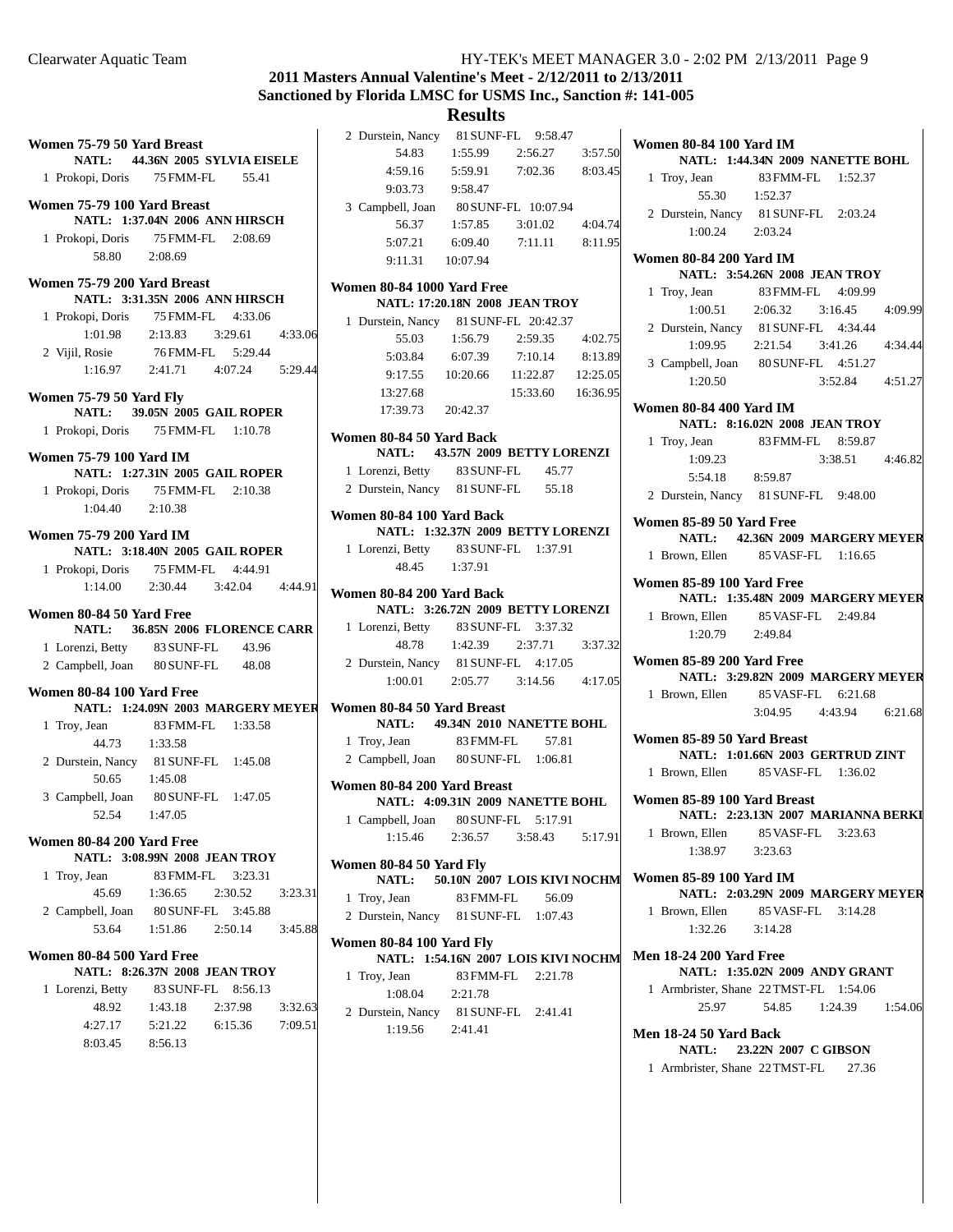# **2011 Masters Annual Valentine's Meet - 2/12/2011 to 2/13/2011 Sanctioned by Florida LMSC for USMS Inc., Sanction #: 141-005**

| Women 75-79 50 Yard Breast     |                                       | 2 Durstein, Nancy<br>81 SUNF-FL 9:58.47                                     |
|--------------------------------|---------------------------------------|-----------------------------------------------------------------------------|
| <b>NATL:</b>                   | 44.36N 2005 SYLVIA EISELE             | 54.83<br>1:55.99<br>2:56.27<br>3:57.50                                      |
| 1 Prokopi, Doris               | 75 FMM-FL<br>55.41                    | 5:59.91<br>8:03.45<br>4:59.16<br>7:02.36                                    |
|                                |                                       | 9:03.73<br>9:58.47                                                          |
| Women 75-79 100 Yard Breast    |                                       | 3 Campbell, Joan<br>80 SUNF-FL 10:07.94                                     |
|                                | NATL: 1:37.04N 2006 ANN HIRSCH        | 56.37<br>4:04.74<br>1:57.85<br>3:01.02                                      |
| 1 Prokopi, Doris               | 75 FMM-FL<br>2:08.69                  | 5:07.21<br>6:09.40<br>7:11.11<br>8:11.95                                    |
| 58.80                          | 2:08.69                               | 9:11.31<br>10:07.94                                                         |
| Women 75-79 200 Yard Breast    |                                       | Women 80-84 1000 Yard Free                                                  |
|                                | <b>NATL: 3:31.35N 2006 ANN HIRSCH</b> | <b>NATL: 17:20.18N 2008 JEAN TROY</b>                                       |
| 1 Prokopi, Doris               | 75 FMM-FL<br>4:33.06                  | 1 Durstein, Nancy<br>81 SUNF-FL 20:42.37                                    |
| 1:01.98                        | 2:13.83<br>3:29.61<br>4:33.06         | 55.03<br>1:56.79<br>2:59.35<br>4:02.75                                      |
| 2 Vijil, Rosie                 | 76 FMM-FL<br>5:29.44                  | 5:03.84<br>6:07.39<br>7:10.14<br>8:13.89                                    |
| 1:16.97                        | 4:07.24<br>5:29.44<br>2:41.71         | 12:25.05<br>9:17.55<br>10:20.66<br>11:22.87                                 |
| <b>Women 75-79 50 Yard Fly</b> |                                       | 13:27.68<br>16:36.95<br>15:33.60                                            |
| <b>NATL:</b>                   | 39.05N 2005 GAIL ROPER                | 17:39.73<br>20:42.37                                                        |
| 1 Prokopi, Doris               | 75 FMM-FL<br>1:10.78                  | Women 80-84 50 Yard Back                                                    |
| <b>Women 75-79 100 Yard IM</b> |                                       | <b>NATL:</b><br>43.57N 2009 BETTY LORENZI                                   |
|                                | <b>NATL: 1:27.31N 2005 GAIL ROPER</b> | 1 Lorenzi, Betty<br>83 SUNF-FL<br>45.77                                     |
| 1 Prokopi, Doris               | 75 FMM-FL<br>2:10.38                  | 2 Durstein, Nancy 81 SUNF-FL<br>55.18                                       |
| 1:04.40                        | 2:10.38                               |                                                                             |
|                                |                                       | Women 80-84 100 Yard Back                                                   |
| <b>Women 75-79 200 Yard IM</b> |                                       | NATL: 1:32.37N 2009 BETTY LORENZI<br>1 Lorenzi, Betty 83 SUNF-FL<br>1:37.91 |
|                                | <b>NATL: 3:18.40N 2005 GAIL ROPER</b> | 48.45<br>1:37.91                                                            |
| 1 Prokopi, Doris               | 75 FMM-FL<br>4:44.91                  |                                                                             |
| 1:14.00                        | 2:30.44<br>3:42.04<br>4:44.91         | Women 80-84 200 Yard Back                                                   |
| Women 80-84 50 Yard Free       |                                       | NATL: 3:26.72N 2009 BETTY LORENZI                                           |
| <b>NATL:</b>                   | 36.85N 2006 FLORENCE CARR             | 83 SUNF-FL<br>3:37.32<br>1 Lorenzi, Betty                                   |
| 1 Lorenzi, Betty               | 83 SUNF-FL<br>43.96                   | 48.78<br>2:37.71<br>1:42.39<br>3:37.32                                      |
| 2 Campbell, Joan               | 80 SUNF-FL<br>48.08                   | 2 Durstein, Nancy 81 SUNF-FL<br>4:17.05                                     |
| Women 80-84 100 Yard Free      |                                       | 1:00.01<br>2:05.77<br>3:14.56<br>4:17.05                                    |
|                                | NATL: 1:24.09N 2003 MARGERY MEYER     | Women 80-84 50 Yard Breast                                                  |
| 1 Troy, Jean                   | 83 FMM-FL<br>1:33.58                  | 49.34N 2010 NANETTE BOHL<br><b>NATL:</b>                                    |
| 44.73                          | 1:33.58                               | 1 Troy, Jean<br>83 FMM-FL<br>57.81                                          |
|                                | 2 Durstein, Nancy 81 SUNF-FL 1:45.08  | 2 Campbell, Joan<br>80 SUNF-FL<br>1:06.81                                   |
| 50.65                          | 1:45.08                               | Women 80-84 200 Yard Breast                                                 |
| 3 Campbell, Joan               | 80 SUNF-FL 1:47.05                    | NATL: 4:09.31N 2009 NANETTE BOHL                                            |
| 52.54                          | 1:47.05                               | 1 Campbell, Joan 80 SUNF-FL 5:17.91                                         |
| Women 80-84 200 Yard Free      |                                       | 1:15.46<br>2:36.57<br>3:58.43<br>5:17.91                                    |
|                                | <b>NATL: 3:08.99N 2008 JEAN TROY</b>  |                                                                             |
| 1 Troy, Jean                   | 83 FMM-FL<br>3:23.31                  | Women 80-84 50 Yard Fly<br>NATL:<br>50.10N 2007 LOIS KIVI NOCHM             |
| 45.69                          | 2:30.52<br>1:36.65<br>3:23.31         | 1 Troy, Jean<br>83 FMM-FL<br>56.09                                          |
| 2 Campbell, Joan               | 80 SUNF-FL<br>3:45.88                 | 2 Durstein, Nancy<br>1:07.43<br>81 SUNF-FL                                  |
| 53.64                          | 1:51.86<br>2:50.14<br>3:45.88         |                                                                             |
|                                |                                       | Women 80-84 100 Yard Fly                                                    |
| Women 80-84 500 Yard Free      | <b>NATL: 8:26.37N 2008 JEAN TROY</b>  | NATL: 1:54.16N 2007 LOIS KIVI NOCHM                                         |
| 1 Lorenzi, Betty               | 83 SUNF-FL<br>8:56.13                 | 1 Troy, Jean<br>83 FMM-FL<br>2:21.78                                        |
| 48.92                          | 1:43.18<br>2:37.98<br>3:32.63         | 1:08.04<br>2:21.78                                                          |
| 4:27.17                        | 5:21.22<br>6:15.36<br>7:09.51         | 2 Durstein, Nancy<br>81 SUNF-FL<br>2:41.41                                  |
| 8:03.45                        | 8:56.13                               | 1:19.56<br>2:41.41                                                          |
|                                |                                       |                                                                             |
|                                |                                       |                                                                             |

| <b>Women 80-84 100 Yard IM</b>   | NATL: 1:44.34N 2009 NANETTE BOHL         |
|----------------------------------|------------------------------------------|
| 1 Troy, Jean                     | 83 FMM-FL 1:52.37                        |
| 55.30   1:52.37                  |                                          |
|                                  | 2 Durstein, Nancy 81 SUNF-FL 2:03.24     |
| 1:00.24 2:03.24                  |                                          |
| <b>Women 80-84 200 Yard IM</b>   | <b>NATL: 3:54.26N 2008 JEAN TROY</b>     |
| 1 Troy, Jean                     | 83 FMM-FL 4:09.99                        |
|                                  | $1:00.51$ $2:06.32$ $3:16.45$<br>4:09.99 |
|                                  | 2 Durstein, Nancy 81 SUNF-FL 4:34.44     |
| 1:09.95                          | 2:21.54 3:41.26 4:34.44                  |
|                                  | 3 Campbell, Joan 80 SUNF-FL 4:51.27      |
| 1:20.50                          | 3:52.84 4:51.27                          |
| <b>Women 80-84 400 Yard IM</b>   |                                          |
|                                  | <b>NATL: 8:16.02N 2008 JEAN TROY</b>     |
| 1 Troy, Jean                     | 83 FMM-FL 8:59.87                        |
| 1:09.23                          | 3:38.51 4:46.82                          |
| 5:54.18 8:59.87                  |                                          |
|                                  | 2 Durstein, Nancy 81 SUNF-FL 9:48.00     |
| Women 85-89 50 Yard Free         |                                          |
|                                  | NATL: 42.36N 2009 MARGERY MEYER          |
|                                  | 1 Brown, Ellen 85 VASF-FL 1:16.65        |
| Women 85-89 100 Yard Free        |                                          |
|                                  | NATL: 1:35.48N 2009 MARGERY MEYER        |
|                                  | 1 Brown, Ellen 85 VASF-FL 2:49.84        |
| 1:20.79 2:49.84                  |                                          |
| <b>Women 85-89 200 Yard Free</b> |                                          |
|                                  | NATL: 3:29.82N 2009 MARGERY MEYER        |
|                                  | 1 Brown, Ellen 85 VASF-FL 6:21.68        |
|                                  | 3:04.95 4:43.94 6:21.68                  |
| Women 85-89 50 Yard Breast       |                                          |
|                                  | NATL: 1:01.66N 2003 GERTRUD ZINT         |
| 1 Brown, Ellen                   | 85 VASF-FL 1:36.02                       |
| Women 85-89 100 Yard Breast      |                                          |
|                                  | NATL: 2:23.13N 2007 MARIANNA BERKI       |
|                                  | 1 Brown, Ellen 85 VASF-FL 3:23.63        |
| 1:38.97 3:23.63                  |                                          |
| Women 85-89 100 Yard IM          | NATL: 2:03.29N 2009 MARGERY MEYER        |
|                                  | 1 Brown, Ellen 85 VASF-FL 3:14.28        |
| $1:32.26$ $3:14.28$              |                                          |
| <b>Men 18-24 200 Yard Free</b>   | NATL: 1:35.02N 2009 ANDY GRANT           |
|                                  | 1 Armbrister, Shane 22 TMST-FL 1:54.06   |
| 25.97                            | 54.85 1:24.39 1:54.06                    |
| <b>Men 18-24 50 Yard Back</b>    |                                          |
|                                  | NATL: 23.22N 2007 C GIBSON               |
|                                  | 1 Armbrister, Shane 22 TMST-FL 27.36     |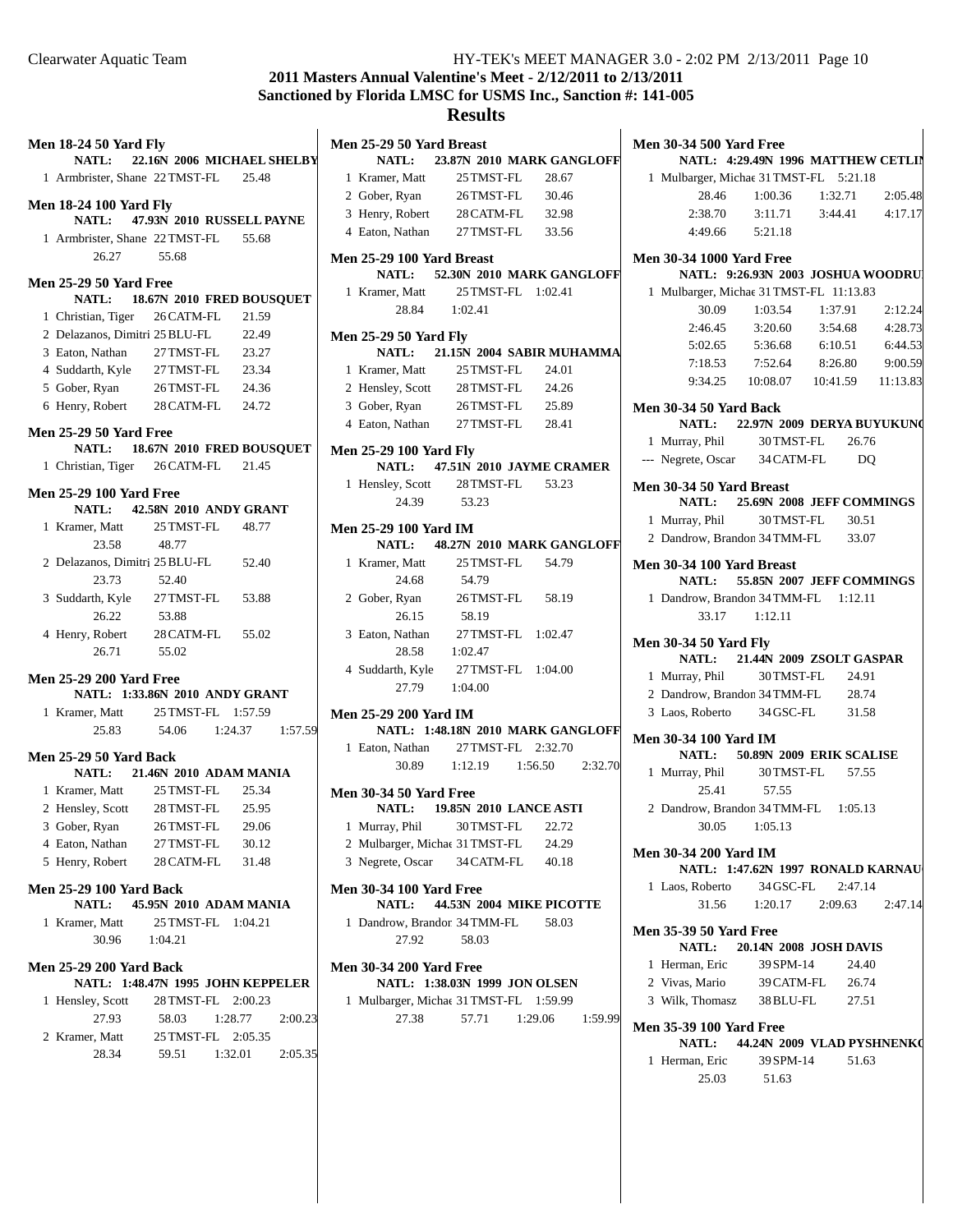Clearwater Aquatic Team HY-TEK's MEET MANAGER 3.0 - 2:02 PM 2/13/2011 Page 10

# **2011 Masters Annual Valentine's Meet - 2/12/2011 to 2/13/2011 Sanctioned by Florida LMSC for USMS Inc., Sanction #: 141-005**

| <b>Men 18-24 50 Yard Fly</b>                   |                                   |         |         | Men 25-29 50 Yard Breast                |                                   |                    |         |
|------------------------------------------------|-----------------------------------|---------|---------|-----------------------------------------|-----------------------------------|--------------------|---------|
| <b>NATL:</b>                                   | 22.16N 2006 MICHAEL SHELBY        |         |         | <b>NATL:</b>                            | 23.87N 2010 MARK GANGLOFF         |                    |         |
| 1 Armbrister, Shane 22 TMST-FL 25.48           |                                   |         |         | 1 Kramer, Matt                          | 25 TMST-FL                        | 28.67              |         |
| <b>Men 18-24 100 Yard Fly</b>                  |                                   |         |         | 2 Gober, Ryan                           | 26 TMST-FL                        | 30.46              |         |
| <b>NATL:</b>                                   | 47.93N 2010 RUSSELL PAYNE         |         |         | 3 Henry, Robert                         | 28 CATM-FL                        | 32.98              |         |
| 1 Armbrister, Shane 22 TMST-FL                 |                                   | 55.68   |         | 4 Eaton, Nathan                         | 27 TMST-FL                        | 33.56              |         |
| 26.27                                          | 55.68                             |         |         | <b>Men 25-29 100 Yard Breast</b>        |                                   |                    |         |
| <b>Men 25-29 50 Yard Free</b>                  |                                   |         |         |                                         | NATL: 52.30N 2010 MARK GANGLOFF   |                    |         |
| NATL:                                          | 18.67N 2010 FRED BOUSQUET         |         |         | 1 Kramer, Matt                          |                                   | 25 TMST-FL 1:02.41 |         |
| 1 Christian, Tiger                             | 26 CATM-FL                        | 21.59   |         | 28.84                                   | 1:02.41                           |                    |         |
| 2 Delazanos, Dimitri 25 BLU-FL                 |                                   | 22.49   |         | <b>Men 25-29 50 Yard Fly</b>            |                                   |                    |         |
| 3 Eaton, Nathan                                | 27 TMST-FL                        | 23.27   |         | <b>NATL:</b>                            | 21.15N 2004 SABIR MUHAMMA         |                    |         |
| 4 Suddarth, Kyle                               | 27 TMST-FL                        | 23.34   |         | 1 Kramer, Matt                          | 25 TMST-FL                        | 24.01              |         |
| 5 Gober, Ryan                                  | 26 TMST-FL                        | 24.36   |         | 2 Hensley, Scott                        | 28 TMST-FL                        | 24.26              |         |
| 6 Henry, Robert                                | 28 CATM-FL                        | 24.72   |         | 3 Gober, Ryan                           | 26 TMST-FL                        | 25.89              |         |
|                                                |                                   |         |         | 4 Eaton, Nathan                         | 27 TMST-FL                        | 28.41              |         |
| <b>Men 25-29 50 Yard Free</b>                  |                                   |         |         |                                         |                                   |                    |         |
| <b>NATL:</b>                                   | 18.67N 2010 FRED BOUSQUET         |         |         | <b>Men 25-29 100 Yard Fly</b>           |                                   |                    |         |
| 1 Christian, Tiger 26 CATM-FL                  |                                   | 21.45   |         | NATL:                                   | 47.51N 2010 JAYME CRAMER          | 53.23              |         |
| <b>Men 25-29 100 Yard Free</b>                 |                                   |         |         | 1 Hensley, Scott 28 TMST-FL<br>24.39    | 53.23                             |                    |         |
| NATL:                                          | 42.58N 2010 ANDY GRANT            |         |         |                                         |                                   |                    |         |
| 1 Kramer, Matt                                 | 25 TMST-FL                        | 48.77   |         | <b>Men 25-29 100 Yard IM</b>            |                                   |                    |         |
| 23.58                                          | 48.77                             |         |         | <b>NATL:</b>                            | 48.27N 2010 MARK GANGLOFF         |                    |         |
| 2 Delazanos, Dimitri 25 BLU-FL                 |                                   | 52.40   |         | 1 Kramer, Matt                          | 25 TMST-FL                        | 54.79              |         |
| 23.73                                          | 52.40                             |         |         | 24.68                                   | 54.79                             |                    |         |
| 3 Suddarth, Kyle                               | 27 TMST-FL                        | 53.88   |         | 2 Gober, Ryan 26 TMST-FL                |                                   | 58.19              |         |
| 26.22                                          | 53.88                             |         |         | 26.15                                   | 58.19                             |                    |         |
| 4 Henry, Robert                                | 28 CATM-FL                        | 55.02   |         | 3 Eaton, Nathan                         | 27 TMST-FL 1:02.47                |                    |         |
| 26.71                                          | 55.02                             |         |         |                                         | 28.58 1:02.47                     |                    |         |
| <b>Men 25-29 200 Yard Free</b>                 |                                   |         |         | 4 Suddarth, Kyle 27 TMST-FL 1:04.00     |                                   |                    |         |
|                                                | NATL: 1:33.86N 2010 ANDY GRANT    |         |         | 27.79                                   | 1:04.00                           |                    |         |
| 1 Kramer, Matt                                 | 25 TMST-FL 1:57.59                |         |         | <b>Men 25-29 200 Yard IM</b>            |                                   |                    |         |
| 25.83                                          | 54.06<br>1:24.37                  |         | 1:57.59 |                                         | NATL: 1:48.18N 2010 MARK GANGLOFF |                    |         |
| <b>Men 25-29 50 Yard Back</b>                  |                                   |         |         | 1 Eaton, Nathan                         |                                   | 27 TMST-FL 2:32.70 |         |
|                                                | NATL: 21.46N 2010 ADAM MANIA      |         |         | 30.89                                   | 1:12.19                           | 1:56.50            | 2:32.70 |
| 1 Kramer, Matt                                 | 25 TMST-FL                        | 25.34   |         | <b>Men 30-34 50 Yard Free</b>           |                                   |                    |         |
| 2 Hensley, Scott                               | 28 TMST-FL                        | 25.95   |         |                                         | NATL: 19.85N 2010 LANCE ASTI      |                    |         |
| 3 Gober, Ryan                                  | 26TMST-FL                         | 29.06   |         | 1 Murray, Phil                          | 30 TMST-FL                        | 22.72              |         |
| 4 Eaton, Nathan                                | 27 TMST-FL                        | 30.12   |         | 2 Mulbarger, Michae 31 TMST-FL          |                                   | 24.29              |         |
| 5 Henry, Robert                                | 28 CATM-FL                        | 31.48   |         | 3 Negrete, Oscar                        | 34 CATM-FL                        | 40.18              |         |
|                                                |                                   |         |         |                                         |                                   |                    |         |
| <b>Men 25-29 100 Yard Back</b><br><b>NATL:</b> | 45.95N 2010 ADAM MANIA            |         |         | <b>Men 30-34 100 Yard Free</b><br>NATL: | 44.53N 2004 MIKE PICOTTE          |                    |         |
| 1 Kramer, Matt                                 | 25 TMST-FL 1:04.21                |         |         | 1 Dandrow, Brandon 34 TMM-FL            |                                   | 58.03              |         |
| 30.96                                          | 1:04.21                           |         |         | 27.92                                   | 58.03                             |                    |         |
|                                                |                                   |         |         |                                         |                                   |                    |         |
| <b>Men 25-29 200 Yard Back</b>                 |                                   |         |         | <b>Men 30-34 200 Yard Free</b>          |                                   |                    |         |
|                                                | NATL: 1:48.47N 1995 JOHN KEPPELER |         |         |                                         | NATL: 1:38.03N 1999 JON OLSEN     |                    |         |
| 1 Hensley, Scott                               | 28 TMST-FL 2:00.23                |         |         | 1 Mulbarger, Michae 31 TMST-FL 1:59.99  |                                   |                    |         |
| 27.93                                          | 58.03                             | 1:28.77 | 2:00.23 | 27.38                                   | 57.71                             | 1:29.06            | 1:59.99 |
| 2 Kramer, Matt                                 | 25 TMST-FL 2:05.35                |         |         |                                         |                                   |                    |         |
| 28.34                                          | 59.51                             | 1:32.01 | 2:05.35 |                                         |                                   |                    |         |
|                                                |                                   |         |         |                                         |                                   |                    |         |
|                                                |                                   |         |         |                                         |                                   |                    |         |

| <b>Men 30-34 500 Yard Free</b>  |                                                |
|---------------------------------|------------------------------------------------|
|                                 | NATL: 4:29.49N 1996 MATTHEW CETLIN             |
|                                 | 1 Mulbarger, Michae 31 TMST-FL 5:21.18         |
|                                 | 28.46 1:00.36 1:32.71 2:05.48                  |
| 2:38.70                         | $3:11.71$ $3:44.41$ $4:17.17$                  |
|                                 | 4:49.66 5:21.18                                |
| <b>Men 30-34 1000 Yard Free</b> |                                                |
|                                 | NATL: 9:26.93N 2003 JOSHUA WOODRU              |
|                                 | 1 Mulbarger, Michae 31 TMST-FL 11:13.83        |
|                                 | 30.09 1:03.54 1:37.91 2:12.24                  |
|                                 | 2:46.45 3:20.60 3:54.68 4:28.73                |
|                                 | 5:02.65 5:36.68 6:10.51 6:44.53                |
| 7:18.53                         | 7:52.64<br>8:26.80<br>9:00.59                  |
|                                 | 9:34.25  10:08.07  10:41.59  11:13.83          |
|                                 |                                                |
| <b>Men 30-34 50 Yard Back</b>   | NATL: 22.97N 2009 DERYA BUYUKUNG               |
|                                 | 1 Murray, Phil 30 TMST-FL 26.76                |
|                                 |                                                |
|                                 | --- Negrete, Oscar 34 CATM-FL DQ               |
| Men 30-34 50 Yard Breast        |                                                |
|                                 | NATL: 25.69N 2008 JEFF COMMINGS                |
|                                 | 1 Murray, Phil 30 TMST-FL 30.51                |
|                                 | 2 Dandrow, Brandon 34 TMM-FL 33.07             |
| Men 30-34 100 Yard Breast       |                                                |
|                                 | NATL: 55.85N 2007 JEFF COMMINGS                |
|                                 | 1 Dandrow, Brandon 34 TMM-FL 1:12.11           |
|                                 | 33.17 1:12.11                                  |
|                                 |                                                |
| <b>Men 30-34 50 Yard Fly</b>    |                                                |
|                                 | NATL: 21.44N 2009 ZSOLT GASPAR                 |
| 1 Murray, Phil                  | 30 TMST-FL 24.91                               |
|                                 | 2 Dandrow, Brandon 34 TMM-FL 28.74             |
|                                 | 3 Laos, Roberto 34 GSC-FL 31.58                |
| Men 30-34 100 Yard IM           |                                                |
|                                 | NATL: 50.89N 2009 ERIK SCALISE                 |
|                                 | 1 Murray, Phil 30 TMST-FL 57.55<br>25.41 57.55 |
| 25.41                           | 57.55                                          |
|                                 | 2 Dandrow, Brandon 34 TMM-FL 1:05.13           |
|                                 | 30.05 1:05.13                                  |
| <b>Men 30-34 200 Yard IM</b>    |                                                |
|                                 | NATL: 1:47.62N 1997 RONALD KARNAU              |
|                                 | 1 Laos, Roberto 34 GSC-FL 2:47.14              |
|                                 | 31.56 1:20.17 2:09.63 2:47.14                  |
|                                 |                                                |
| <b>Men 35-39 50 Yard Free</b>   |                                                |
|                                 | <b>NATL:</b> 20.14N 2008 JOSH DAVIS            |
|                                 | 1 Herman, Eric 39 SPM-14 24.40                 |
|                                 | 2 Vivas, Mario 39 CATM-FL 26.74                |
|                                 | 3 Wilk, Thomasz 38 BLU-FL 27.51                |
| <b>Men 35-39 100 Yard Free</b>  |                                                |
|                                 | NATL: 44.24N 2009 VLAD PYSHNENKO               |
| 1 Herman, Eric                  | 39 SPM-14 51.63                                |
| 25.03                           | 51.63                                          |
|                                 |                                                |
|                                 |                                                |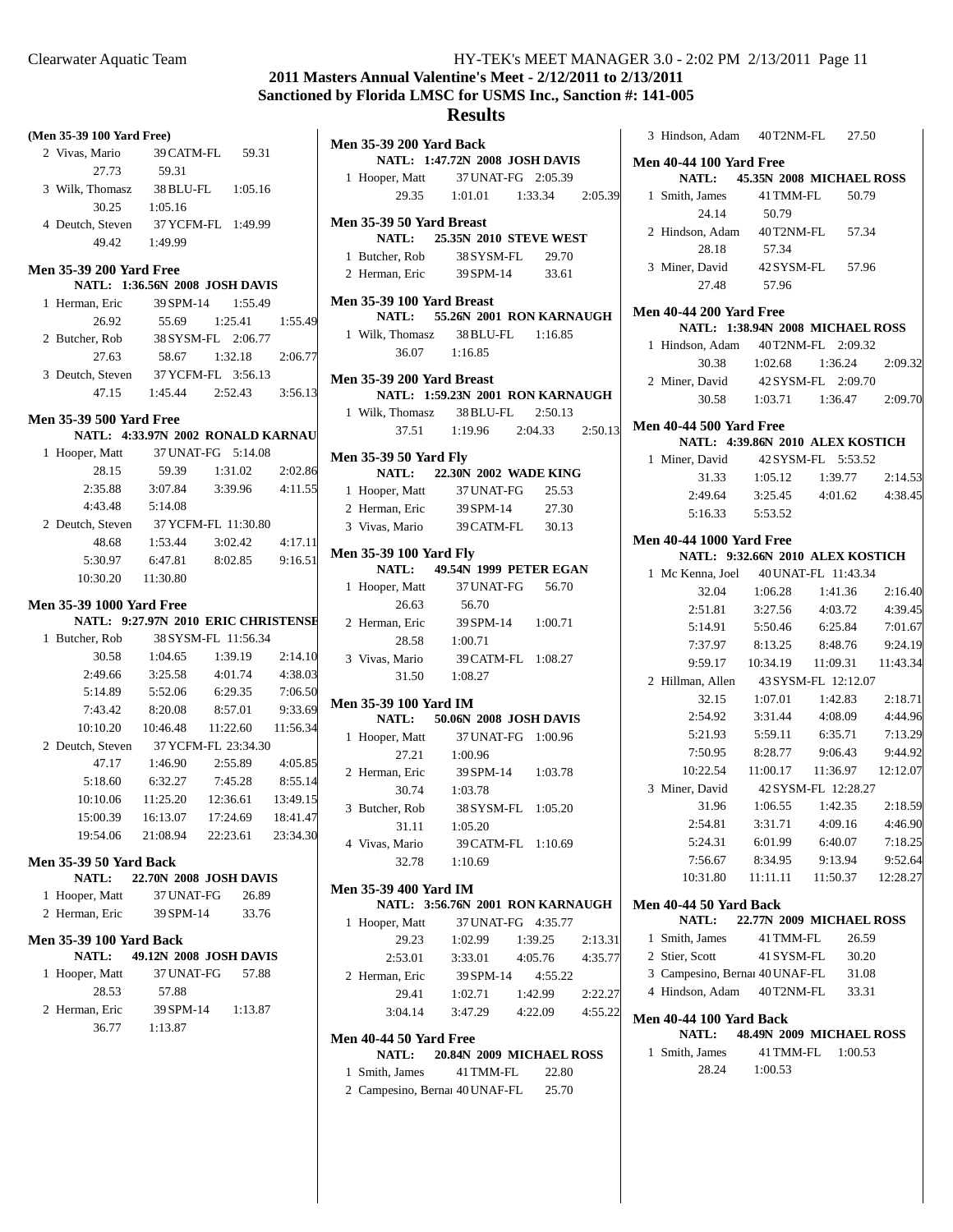# **2011 Masters Annual Valentine's Meet - 2/12/2011 to 2/13/2011 Sanctioned by Florida LMSC for USMS Inc., Sanction #: 141-005**

## **Results**

|                                            | (Men 35-39 100 Yard Free)              |                           |                 |
|--------------------------------------------|----------------------------------------|---------------------------|-----------------|
| 2 Vivas, Mario 39 CATM-FL 59.31            |                                        |                           |                 |
| 27.73                                      | 59.31                                  |                           |                 |
| 3 Wilk, Thomasz 38 BLU-FL 1:05.16          |                                        |                           |                 |
| 30.25                                      | 1:05.16                                |                           |                 |
| 4 Deutch, Steven                           | 37 YCFM-FL 1:49.99                     |                           |                 |
|                                            | 49.42 1:49.99                          |                           |                 |
|                                            |                                        |                           |                 |
| <b>Men 35-39 200 Yard Free</b>             | <b>NATL: 1:36.56N 2008 JOSH DAVIS</b>  |                           |                 |
| 1 Herman, Eric 39 SPM-14 1:55.49           |                                        |                           |                 |
| 26.92                                      |                                        | 55.69   1:25.41   1:55.49 |                 |
| 2 Butcher, Rob                             |                                        | 38 SYSM-FL 2:06.77        |                 |
| 27.63                                      |                                        | 58.67 1:32.18 2:06.77     |                 |
| 3 Deutch, Steven 37 YCFM-FL 3:56.13        |                                        |                           |                 |
|                                            | 47.15 1:45.44 2:52.43 3:56.13          |                           |                 |
|                                            |                                        |                           |                 |
| <b>Men 35-39 500 Yard Free</b>             |                                        |                           |                 |
|                                            | NATL: 4:33.97N 2002 RONALD KARNAU      |                           |                 |
| 1 Hooper, Matt 37 UNAT-FG 5:14.08<br>28.15 | 59.39                                  | 1:31.02                   | 2:02.86         |
|                                            |                                        |                           |                 |
| 2:35.88<br>4:43.48                         | 3:07.84 3:39.96 4:11.55                |                           |                 |
| 2 Deutch, Steven                           | 5:14.08<br>37 YCFM-FL 11:30.80         |                           |                 |
| 48.68                                      | $1:53.44$ $3:02.42$ $4:17.11$          |                           |                 |
| 5:30.97                                    | 6:47.81                                | 8:02.85                   | 9:16.51         |
| 10:30.20  11:30.80                         |                                        |                           |                 |
|                                            |                                        |                           |                 |
| <b>Men 35-39 1000 Yard Free</b>            |                                        |                           |                 |
|                                            |                                        |                           |                 |
|                                            | NATL: 9:27.97N 2010 ERIC CHRISTENSE    |                           |                 |
| 1 Butcher, Rob                             | 38 SYSM-FL 11:56.34                    |                           |                 |
| 30.58                                      | 1:04.65                                |                           | 1:39.19 2:14.10 |
| 2:49.66                                    | 3:25.58                                | 4:01.74                   | 4:38.03         |
| 5:14.89                                    | 5:52.06                                | 6:29.35                   | 7:06.50         |
| 7:43.42                                    | 8:20.08                                | 8:57.01                   | 9:33.69         |
|                                            | 10:10.20  10:46.48  11:22.60  11:56.34 |                           |                 |
| 2 Deutch, Steven 37 YCFM-FL 23:34.30       |                                        |                           |                 |
|                                            | 47.17 1:46.90 2:55.89 4:05.85          |                           |                 |
|                                            | 5:18.60 6:32.27 7:45.28 8:55.14        |                           |                 |
|                                            | 10:10.06  11:25.20  12:36.61  13:49.15 |                           |                 |
| 15:00.39                                   | 16:13.07   17:24.69                    |                           | 18:41.47        |
|                                            | 19:54.06 21:08.94 22:23.61             |                           | 23:34.30        |
| <b>Men 35-39 50 Yard Back</b>              |                                        |                           |                 |
| NATL:                                      | 22.70N 2008 JOSH DAVIS                 |                           |                 |
| 1 Hooper, Matt                             | 37 UNAT-FG                             | 26.89                     |                 |
| 2 Herman, Eric 39 SPM-14                   |                                        | 33.76                     |                 |
| <b>Men 35-39 100 Yard Back</b>             |                                        |                           |                 |
| <b>NATL:</b>                               | 49.12N 2008 JOSH DAVIS                 |                           |                 |
| Hooper, Matt<br>1                          | 37 UNAT-FG                             | 57.88                     |                 |
| 28.53                                      | 57.88                                  |                           |                 |
| 2 Herman, Eric                             | 39 SPM-14 1:13.87                      |                           |                 |
| 36.77                                      | 1:13.87                                |                           |                 |

| <b>Men 35-39 200 Yard Back</b>                             | NATL: 1:47.72N 2008 JOSH DAVIS      |         |
|------------------------------------------------------------|-------------------------------------|---------|
|                                                            |                                     |         |
| 1 Hooper, Matt 37 UNAT-FG 2:05.39                          |                                     |         |
|                                                            | 29.35 1:01.01 1:33.34 2:05.39       |         |
| Men 35-39 50 Yard Breast                                   |                                     |         |
|                                                            | NATL: 25.35N 2010 STEVE WEST        |         |
| 1 Butcher, Rob 38 SYSM-FL 29.70                            |                                     |         |
| 2 Herman, Eric 39 SPM-14 33.61                             |                                     |         |
| Men 35-39 100 Yard Breast                                  | NATL: 55.26N 2001 RON KARNAUGH      |         |
|                                                            |                                     |         |
| 1 Wilk, Thomasz 38 BLU-FL 1:16.85<br>36.07 1:16.85         |                                     |         |
| Men 35-39 200 Yard Breast                                  | NATL: 1:59.23N 2001 RON KARNAUGH    |         |
| 1 Wilk, Thomasz 38 BLU-FL 2:50.13                          |                                     |         |
|                                                            | 37.51 1:19.96 2:04.33 2:50.13       |         |
|                                                            |                                     |         |
| <b>Men 35-39 50 Yard Fly</b>                               |                                     |         |
|                                                            | NATL: 22.30N 2002 WADE KING         |         |
| 1 Hooper, Matt 37 UNAT-FG 25.53                            |                                     |         |
| 2 Herman, Eric 39 SPM-14 27.30                             |                                     |         |
| 3 Vivas, Mario 39 CATM-FL 30.13                            |                                     |         |
| <b>Men 35-39 100 Yard Fly</b>                              | <b>NATL:</b> 49.54N 1999 PETER EGAN |         |
| 1 Hooper, Matt 37 UNAT-FG 56.70                            |                                     |         |
| 26.63                                                      | 56.70                               |         |
| 2 Herman, Eric 39 SPM-14 1:00.71                           |                                     |         |
| 28.58 1:00.71                                              |                                     |         |
| 3 Vivas, Mario 39 CATM-FL 1:08.27                          |                                     |         |
| 31.50 1:08.27                                              |                                     |         |
|                                                            |                                     |         |
| <b>Men 35-39 100 Yard IM</b>                               | <b>NATL:</b> 50.06N 2008 JOSH DAVIS |         |
| 1 Hooper, Matt 37 UNAT-FG 1:00.96                          |                                     |         |
| 27.21 1:00.96                                              |                                     |         |
| 2 Herman, Eric                                             | 39 SPM-14 1:03.78                   |         |
| 30.74 1:03.78                                              |                                     |         |
| 3 Butcher, Rob 38 SYSM-FL 1:05.20                          |                                     |         |
| 31.11 1:05.20                                              |                                     |         |
| 4 Vivas, Mario 39 CATM-FL 1:10.69                          |                                     |         |
| 32.78 1:10.69                                              |                                     |         |
|                                                            |                                     |         |
| Men 35-39 400 Yard IM                                      |                                     |         |
|                                                            | NATL: 3:56.76N 2001 RON KARNAUGH    |         |
| 1 Hooper, Matt 37 UNAT-FG 4:35.77<br>29.23 1:02.99 1:39.25 |                                     |         |
|                                                            |                                     | 2:13.31 |
| 2:53.01                                                    | $3:33.01$ $4:05.76$ $4:35.77$       |         |
| 2 Herman, Eric 39 SPM-14 4:55.22                           |                                     |         |
|                                                            | 29.41 1:02.71 1:42.99 2:22.27       |         |
|                                                            | 3:04.14 3:47.29 4:22.09 4:55.22     |         |
| <b>Men 40-44 50 Yard Free</b>                              |                                     |         |
|                                                            | NATL: 20.84N 2009 MICHAEL ROSS      |         |
| 1 Smith James 41 TMM-FL 22.80                              |                                     |         |

1 Smith, James 41 TMM-FL 22.80 2 Campesino, Bernar 40 UNAF-FL 25.70

| 3 Hindson, Adam 40T2NM-FL 27.50                                     |               |                                                            |         |
|---------------------------------------------------------------------|---------------|------------------------------------------------------------|---------|
| <b>Men 40-44 100 Yard Free</b>                                      |               |                                                            |         |
|                                                                     |               | NATL: 45.35N 2008 MICHAEL ROSS                             |         |
| 1 Smith, James 41 TMM-FL 50.79                                      |               |                                                            |         |
| 24.14                                                               | 50.79         |                                                            |         |
| 2 Hindson, Adam 40T2NM-FL 57.34                                     |               |                                                            |         |
| 28.18                                                               | 57.34         |                                                            |         |
| 3 Miner, David 42 SYSM-FL 57.96                                     |               |                                                            |         |
|                                                                     | 27.48 57.96   |                                                            |         |
| <b>Men 40-44 200 Yard Free</b>                                      |               |                                                            |         |
|                                                                     |               | NATL: 1:38.94N 2008 MICHAEL ROSS                           |         |
| 1 Hindson, Adam  40T2NM-FL  2:09.32                                 |               |                                                            |         |
|                                                                     |               | 30.38 1:02.68 1:36.24 2:09.32                              |         |
| 2 Miner, David 42SYSM-FL 2:09.70                                    |               |                                                            |         |
|                                                                     |               | 30.58 1:03.71 1:36.47 2:09.70                              |         |
|                                                                     |               |                                                            |         |
| <b>Men 40-44 500 Yard Free</b><br>NATL: 4:39.86N 2010 ALEX KOSTICH  |               |                                                            |         |
| 1 Miner, David 42 SYSM-FL 5:53.52                                   |               |                                                            |         |
|                                                                     |               | 31.33 1:05.12 1:39.77 2:14.53                              |         |
|                                                                     |               | 2:49.64 3:25.45 4:01.62 4:38.45                            |         |
|                                                                     |               |                                                            |         |
| 5:16.33    5:53.52                                                  |               |                                                            |         |
| <b>Men 40-44 1000 Yard Free</b>                                     |               |                                                            |         |
| NATL: 9:32.66N 2010 ALEX KOSTICH                                    |               |                                                            |         |
| 1 Mc Kenna, Joel 40 UNAT-FL 11:43.34                                |               |                                                            |         |
| 32.04                                                               |               | 1:06.28   1:41.36   2:16.40                                |         |
| 2:51.81                                                             | 3:27.56       | 4:03.72                                                    | 4:39.45 |
| 5:14.91                                                             | 5:50.46       | 6:25.84                                                    | 7:01.67 |
|                                                                     |               | 7:37.97 8:13.25 8:48.76                                    | 9:24.19 |
|                                                                     |               | 9:59.17  10:34.19  11:09.31  11:43.34                      |         |
| 2 Hillman, Allen 43 SYSM-FL 12:12.07                                |               |                                                            |         |
|                                                                     |               | 32.15 1:07.01 1:42.83 2:18.71                              |         |
|                                                                     |               | 2:54.92 3:31.44 4:08.09 4:44.96                            |         |
|                                                                     |               | 5:21.93   5:59.11   6:35.71   7:13.29                      |         |
|                                                                     |               | 7:50.95 8:28.77 9:06.43                                    | 9:44.92 |
|                                                                     |               | $10:22.54 \qquad 11:00.17 \qquad 11:36.97 \qquad 12:12.07$ |         |
| 3 Miner, David 42 SYSM-FL 12:28.27<br>31.96 1:06.55 1:42.35 2:18.59 |               |                                                            |         |
|                                                                     |               |                                                            |         |
| 2:54.81                                                             | 3:31.71       | 4:09.16                                                    | 4:46.90 |
| 5:24.31                                                             | 6:01.99       | 6:40.07                                                    | 7:18.25 |
| 7:56.67                                                             | 8:34.95       | 9:13.94                                                    | 9:52.64 |
| 10:31.80  11:11.11                                                  |               | 11:50.37 12:28.27                                          |         |
| Men 40-44 50 Yard Back                                              |               |                                                            |         |
|                                                                     |               | NATL: 22.77N 2009 MICHAEL ROSS                             |         |
| 1 Smith, James                                                      | 41 TMM-FL     | 26.59                                                      |         |
| 2 Stier, Scott                                                      | 41 SYSM-FL    | 30.20                                                      |         |
| 3 Campesino, Bernaı 40 UNAF-FL                                      |               | 31.08                                                      |         |
| 4 Hindson, Adam 40T2NM-FL                                           |               | 33.31                                                      |         |
|                                                                     |               |                                                            |         |
| Men 40-44 100 Yard Back                                             |               | NATL: 48.49N 2009 MICHAEL ROSS                             |         |
| 1 Smith, James 41 TMM-FL 1:00.53                                    |               |                                                            |         |
|                                                                     | 28.24 1:00.53 |                                                            |         |
|                                                                     |               |                                                            |         |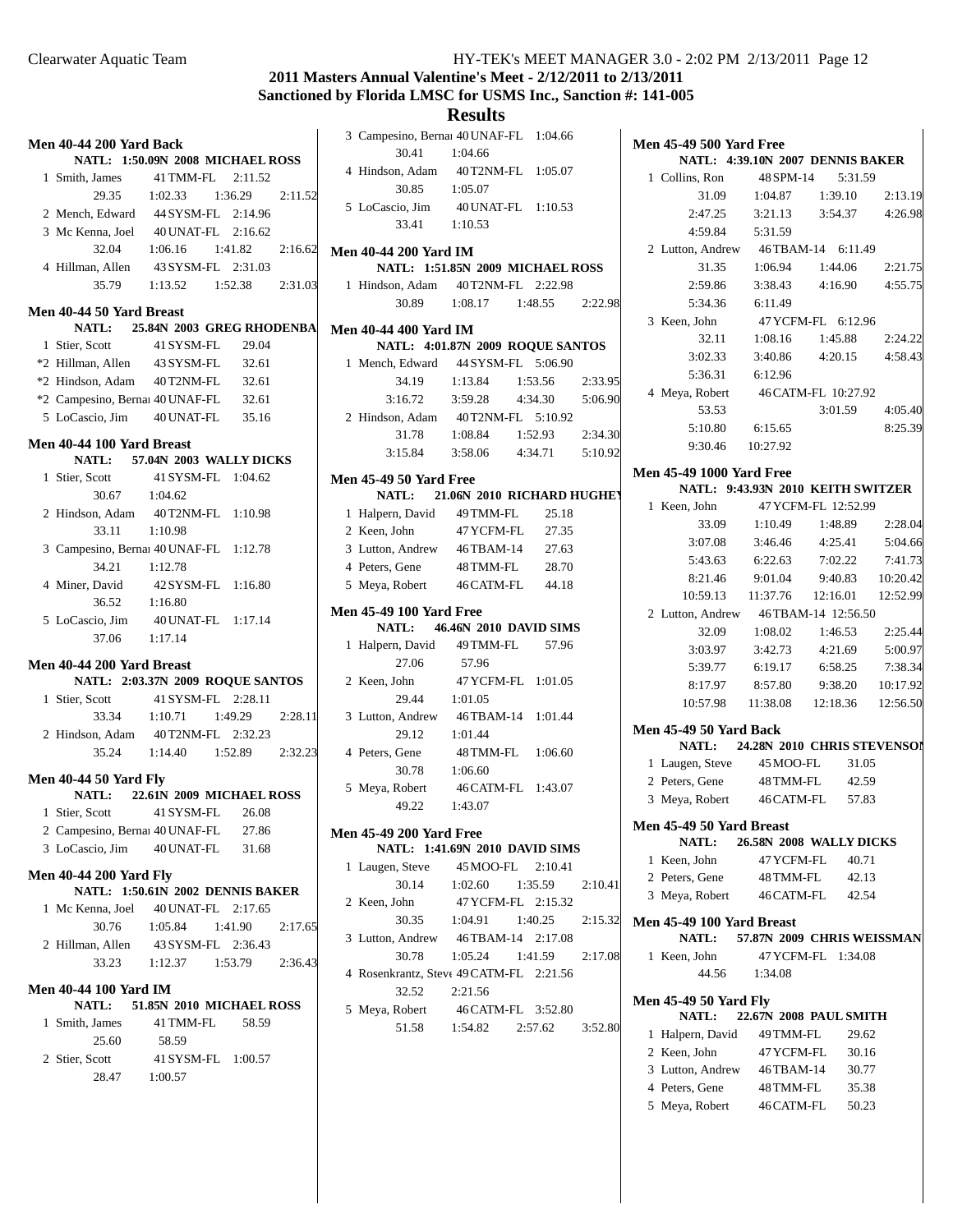## **2011 Masters Annual Valentine's Meet - 2/12/2011 to 2/13/2011 Sanctioned by Florida LMSC for USMS Inc., Sanction #: 141-005**

| Men 40-44 200 Yard Back       |                                                                           |         |
|-------------------------------|---------------------------------------------------------------------------|---------|
|                               | NATL: 1:50.09N 2008 MICHAEL ROSS                                          |         |
| 1 Smith, James                | 41 TMM-FL 2:11.52                                                         |         |
|                               | 29.35 1:02.33 1:36.29 2:11.52                                             |         |
|                               | 2 Mench, Edward 44 SYSM-FL 2:14.96                                        |         |
|                               | 3 Mc Kenna, Joel 40 UNAT-FL 2:16.62                                       |         |
|                               | 32.04 1:06.16 1:41.82                                                     | 2:16.62 |
|                               | 4 Hillman, Allen 43 SYSM-FL 2:31.03                                       |         |
|                               | 35.79   1:13.52   1:52.38   2:31.03                                       |         |
| Men 40-44 50 Yard Breast      |                                                                           |         |
|                               | NATL: 25.84N 2003 GREG RHODENBA                                           |         |
| 1 Stier, Scott                | 41 SYSM-FL 29.04                                                          |         |
|                               | *2 Hillman, Allen 43 SYSM-FL 32.61                                        |         |
|                               | *2 Hindson, Adam 40T2NM-FL 32.61                                          |         |
|                               |                                                                           |         |
|                               | *2 Campesino, Bernai 40 UNAF-FL 32.61<br>5 LoCascio, Jim 40 UNAT-FL 35.16 |         |
|                               |                                                                           |         |
| Men 40-44 100 Yard Breast     |                                                                           |         |
|                               | NATL: 57.04N 2003 WALLY DICKS                                             |         |
| 1 Stier, Scott                | 41 SYSM-FL 1:04.62                                                        |         |
| $30.67$ 1:04.62               |                                                                           |         |
|                               | 2 Hindson, Adam 40T2NM-FL 1:10.98                                         |         |
| 33.11 1:10.98                 |                                                                           |         |
|                               | 3 Campesino, Bernai 40 UNAF-FL 1:12.78                                    |         |
| 34.21   1:12.78               |                                                                           |         |
|                               | 4 Miner, David 42 SYSM-FL 1:16.80                                         |         |
| 36.52   1:16.80               |                                                                           |         |
|                               | 5 LoCascio, Jim 40 UNAT-FL 1:17.14                                        |         |
| 37.06 1:17.14                 |                                                                           |         |
|                               |                                                                           |         |
| Men 40-44 200 Yard Breast     |                                                                           |         |
|                               | NATL: 2:03.37N 2009 ROQUE SANTOS                                          |         |
|                               | 1 Stier, Scott 41 SYSM-FL 2:28.11                                         |         |
|                               | 33.34 1:10.71 1:49.29                                                     | 2:28.11 |
|                               | 2 Hindson, Adam 40T2NM-FL 2:32.23                                         |         |
|                               | 35.24 1:14.40 1:52.89 2:32.23                                             |         |
| <b>Men 40-44 50 Yard Fly</b>  |                                                                           |         |
|                               | NATL: 22.61N 2009 MICHAEL ROSS                                            |         |
| 1 Stier, Scott                | 41 SYSM-FL 26.08                                                          |         |
|                               | 2 Campesino, Bernai 40 UNAF-FL 27.86                                      |         |
| 3 LoCascio, Jim 40 UNAT-FL    | 31.68                                                                     |         |
|                               |                                                                           |         |
| <b>Men 40-44 200 Yard Fly</b> |                                                                           |         |
|                               | NATL: 1:50.61N 2002 DENNIS BAKER                                          |         |
|                               | 1 Mc Kenna, Joel 40 UNAT-FL 2:17.65                                       |         |
| 30.76                         | 1:41.90 2:17.65<br>1:05.84                                                |         |
| 2 Hillman, Allen              | 43 SYSM-FL 2:36.43                                                        |         |
|                               | 33.23 1:12.37 1:53.79 2:36.43                                             |         |
| <b>Men 40-44 100 Yard IM</b>  |                                                                           |         |
|                               | NATL: 51.85N 2010 MICHAEL ROSS                                            |         |
| 1 Smith, James 41 TMM-FL      | 58.59                                                                     |         |
| 25.60                         | 58.59                                                                     |         |
| 2 Stier, Scott                | 41 SYSM-FL 1:00.57                                                        |         |
| 28.47 1:00.57                 |                                                                           |         |
|                               |                                                                           |         |
|                               |                                                                           |         |

|                                                                  | <b>Results</b>                        |         |                 |         |
|------------------------------------------------------------------|---------------------------------------|---------|-----------------|---------|
| 3 Campesino, Bernai 40 UNAF-FL 1:04.66                           |                                       |         |                 |         |
| 30.41                                                            | 1:04.66                               |         |                 |         |
| 4 Hindson, Adam 40 T2NM-FL 1:05.07                               |                                       |         |                 |         |
| 30.85                                                            | 1:05.07                               |         |                 |         |
| 5 LoCascio, Jim 40 UNAT-FL 1:10.53                               |                                       |         |                 |         |
| 33.41 1:10.53                                                    |                                       |         |                 |         |
|                                                                  |                                       |         |                 |         |
| <b>Men 40-44 200 Yard IM</b><br>NATL: 1:51.85N 2009 MICHAEL ROSS |                                       |         |                 |         |
|                                                                  |                                       |         |                 |         |
| 1 Hindson, Adam 40T2NM-FL 2:22.98                                | 30.89 1:08.17 1:48.55 2:22.98         |         |                 |         |
|                                                                  |                                       |         |                 |         |
| <b>Men 40-44 400 Yard IM</b>                                     |                                       |         |                 |         |
| NATL: 4:01.87N 2009 ROQUE SANTOS                                 |                                       |         |                 |         |
| 1 Mench, Edward 44 SYSM-FL 5:06.90                               |                                       |         |                 |         |
|                                                                  | 34.19 1:13.84 1:53.56                 |         |                 | 2:33.95 |
|                                                                  | 3:16.72   3:59.28   4:34.30   5:06.90 |         |                 |         |
| 2 Hindson, Adam 40T2NM-FL 5:10.92                                |                                       |         |                 |         |
|                                                                  | 31.78 1:08.84                         |         | 1:52.93 2:34.30 |         |
|                                                                  | 3:15.84 3:58.06 4:34.71 5:10.92       |         |                 |         |
| <b>Men 45-49 50 Yard Free</b>                                    |                                       |         |                 |         |
| NATL: 21.06N 2010 RICHARD HUGHEY                                 |                                       |         |                 |         |
| 1 Halpern, David 49 TMM-FL 25.18                                 |                                       |         |                 |         |
| 2 Keen, John                                                     | 47 YCFM-FL 27.35                      |         |                 |         |
| 3 Lutton, Andrew 46TBAM-14 27.63                                 |                                       |         |                 |         |
| 4 Peters, Gene                                                   | 48 TMM-FL 28.70                       |         |                 |         |
| 5 Meya, Robert 46 CATM-FL 44.18                                  |                                       |         |                 |         |
|                                                                  |                                       |         |                 |         |
| <b>Men 45-49 100 Yard Free</b>                                   |                                       |         |                 |         |
| <b>NATL:</b> 46.46N 2010 DAVID SIMS                              |                                       |         |                 |         |
| 1 Halpern, David 49 TMM-FL 57.96                                 |                                       |         |                 |         |
| 27.06                                                            | 57.96                                 |         |                 |         |
| 2 Keen, John                                                     | 47 YCFM-FL 1:01.05                    |         |                 |         |
|                                                                  |                                       |         |                 |         |
| 29.44 1:01.05                                                    |                                       |         |                 |         |
| 3 Lutton, Andrew 46TBAM-14 1:01.44                               |                                       |         |                 |         |
| 29.12 1:01.44                                                    |                                       |         |                 |         |
| 4 Peters, Gene 48 TMM-FL 1:06.60                                 |                                       |         |                 |         |
| 30.78                                                            | 1:06.60                               |         |                 |         |
| 5 Meya, Robert                                                   | 46 CATM-FL 1:43.07                    |         |                 |         |
| 49.22 1:43.07                                                    |                                       |         |                 |         |
| <b>Men 45-49 200 Yard Free</b>                                   |                                       |         |                 |         |
| NATL: 1:41.69N 2010 DAVID SIMS                                   |                                       |         |                 |         |
| 1 Laugen, Steve 45 MOO-FL 2:10.41                                |                                       |         |                 |         |
| 30.14 1:02.60                                                    |                                       | 1:35.59 |                 | 2:10.41 |
| 2 Keen, John                                                     | 47 YCFM-FL 2:15.32                    |         |                 |         |
|                                                                  | 30.35 1:04.91                         |         | 1:40.25         | 2:15.32 |
|                                                                  |                                       |         |                 |         |
| 3 Lutton, Andrew 46TBAM-14 2:17.08<br>30.78                      | $1:05.24$ $1:41.59$ $2:17.08$         |         |                 |         |
| 4 Rosenkrantz, Steve 49 CATM-FL 2:21.56                          |                                       |         |                 |         |
| 32.52                                                            | 2:21.56                               |         |                 |         |
| 5 Meya, Robert                                                   | 46 CATM-FL 3:52.80                    |         |                 |         |
| 51.58                                                            |                                       |         |                 | 3:52.80 |
|                                                                  | 1:54.82  2:57.62                      |         |                 |         |
|                                                                  |                                       |         |                 |         |
|                                                                  |                                       |         |                 |         |

| <b>Men 45-49 500 Yard Free</b><br>NATL: 4:39.10N 2007 DENNIS BAKER   |               |                                        |          |  |  |  |
|----------------------------------------------------------------------|---------------|----------------------------------------|----------|--|--|--|
| 1 Collins, Ron                                                       |               | 48 SPM-14 5:31.59                      |          |  |  |  |
|                                                                      |               | 31.09 1:04.87 1:39.10                  | 2:13.19  |  |  |  |
|                                                                      |               | 2:47.25 3:21.13 3:54.37 4:26.98        |          |  |  |  |
| 4:59.84                                                              | 5:31.59       |                                        |          |  |  |  |
| 2 Lutton, Andrew                                                     |               | 46TBAM-14 6:11.49                      |          |  |  |  |
| 31.35                                                                |               | $1:06.94$ $1:44.06$                    | 2:21.75  |  |  |  |
| 2:59.86                                                              | 3:38.43       | 4:16.90                                | 4:55.75  |  |  |  |
| 5:34.36                                                              | 6:11.49       |                                        |          |  |  |  |
| 3 Keen. John                                                         |               | 47 YCFM-FL 6:12.96                     |          |  |  |  |
|                                                                      |               | 32.11 1:08.16 1:45.88 2:24.22          |          |  |  |  |
|                                                                      |               | 3:02.33 3:40.86 4:20.15 4:58.43        |          |  |  |  |
| 5:36.31 6:12.96                                                      |               |                                        |          |  |  |  |
| 4 Meya, Robert 46 CATM-FL 10:27.92                                   |               |                                        |          |  |  |  |
| 53.53                                                                |               | 3:01.59 4:05.40                        |          |  |  |  |
| 5:10.80                                                              | 6:15.65       |                                        | 8:25.39  |  |  |  |
| 9:30.46 10:27.92                                                     |               |                                        |          |  |  |  |
|                                                                      |               |                                        |          |  |  |  |
| <b>Men 45-49 1000 Yard Free</b><br>NATL: 9:43.93N 2010 KEITH SWITZER |               |                                        |          |  |  |  |
| Keen, John<br>1                                                      |               | 47 YCFM-FL 12:52.99                    |          |  |  |  |
|                                                                      | 33.09 1:10.49 | 1:48.89 2:28.04                        |          |  |  |  |
|                                                                      |               | 3:07.08 3:46.46 4:25.41 5:04.66        |          |  |  |  |
|                                                                      |               | 5:43.63 6:22.63 7:02.22 7:41.73        |          |  |  |  |
| 8:21.46                                                              | 9:01.04       | 9:40.83 10:20.42                       |          |  |  |  |
|                                                                      |               | 10:59.13  11:37.76  12:16.01  12:52.99 |          |  |  |  |
| 2 Lutton, Andrew 46TBAM-14 12:56.50                                  |               |                                        |          |  |  |  |
| 32.09                                                                | 1:08.02       | 1:46.53                                | 2:25.44  |  |  |  |
| 3:03.97                                                              | 3:42.73       | 4:21.69                                | 5:00.97  |  |  |  |
| 5:39.77                                                              | 6:19.17       | 6:58.25                                | 7:38.34  |  |  |  |
| 8:17.97                                                              | 8:57.80       | 9:38.20                                | 10:17.92 |  |  |  |
|                                                                      |               | 10:57.98  11:38.08  12:18.36  12:56.50 |          |  |  |  |
|                                                                      |               |                                        |          |  |  |  |
| <b>Men 45-49 50 Yard Back</b><br>NATL: 24.28N 2010 CHRIS STEVENSOI   |               |                                        |          |  |  |  |
| 1 Laugen, Steve 45 MOO-FL                                            |               | 31.05                                  |          |  |  |  |
| 2 Peters, Gene                                                       | 48 TMM-FL     | 42.59                                  |          |  |  |  |
| 3 Meya, Robert 46 CATM-FL                                            |               | 57.83                                  |          |  |  |  |
|                                                                      |               |                                        |          |  |  |  |
| Men 45-49 50 Yard Breast<br>NATL: 26.58N 2008 WALLY DICKS            |               |                                        |          |  |  |  |
| 1 Keen, John                                                         |               | 47 YCFM-FL 40.71                       |          |  |  |  |
| 2 Peters, Gene 48 TMM-FL 42.13                                       |               |                                        |          |  |  |  |
| 3 Meya, Robert 46 CATM-FL 42.54                                      |               |                                        |          |  |  |  |
| Men 45-49 100 Yard Breast<br>NATL: 57.87N 2009 CHRIS WEISSMAN        |               |                                        |          |  |  |  |
| 1 Keen, John                                                         |               | 47 YCFM-FL 1:34.08                     |          |  |  |  |
|                                                                      | 44.56 1:34.08 |                                        |          |  |  |  |
| <b>Men 45-49 50 Yard Fly</b>                                         |               |                                        |          |  |  |  |
| <b>NATL:</b>                                                         |               | 22.67N 2008 PAUL SMITH                 |          |  |  |  |
| 1 Halpern, David 49 TMM-FL                                           |               | 29.62                                  |          |  |  |  |
| 2 Keen, John                                                         | 47 YCFM-FL    | 30.16                                  |          |  |  |  |
| 3 Lutton, Andrew                                                     | 46TBAM-14     | 30.77                                  |          |  |  |  |
| 4 Peters, Gene                                                       | 48 TMM-FL     | 35.38                                  |          |  |  |  |
| 5 Meya, Robert                                                       | 46 CATM-FL    | 50.23                                  |          |  |  |  |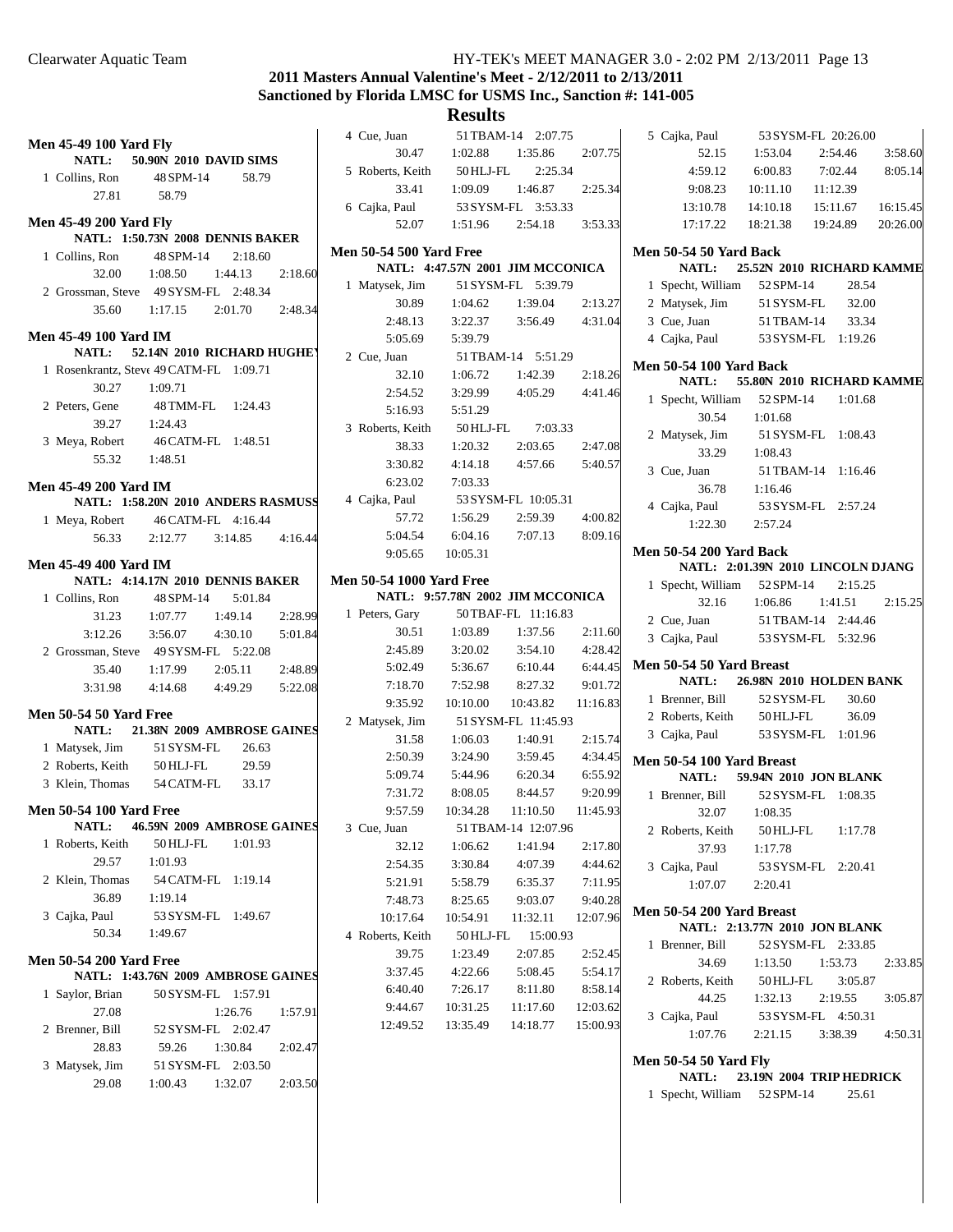# **2011 Masters Annual Valentine's Meet - 2/12/2011 to 2/13/2011 Sanctioned by Florida LMSC for USMS Inc., Sanction #: 141-005**

| <b>Men 45-49 100 Yard Fly</b>              | 4 Cue, Juan                     | 51 TBAM-14 2:07.75                         |                     | 5 Cajka, Paul                               | 53 SYSM-FL 20:26.00               |          |
|--------------------------------------------|---------------------------------|--------------------------------------------|---------------------|---------------------------------------------|-----------------------------------|----------|
| NATL:<br>50.90N 2010 DAVID SIMS            | 30.47                           | 1:02.88<br>1:35.86                         | 2:07.75             | 52.15                                       | 1:53.04<br>2:54.46                | 3:58.60  |
| 1 Collins, Ron<br>48 SPM-14<br>58.79       | 5 Roberts, Keith                | 50 HLJ-FL<br>2:25.34                       |                     | 4:59.12                                     | 6:00.83<br>7:02.44                | 8:05.14  |
| 58.79<br>27.81                             | 33.41                           | 1:09.09<br>1:46.87                         | 2:25.34             | 9:08.23                                     | 10:11.10<br>11:12.39              |          |
|                                            | 6 Cajka, Paul                   | 53 SYSM-FL 3:53.33                         |                     | 13:10.78                                    | 14:10.18<br>15:11.67              | 16:15.45 |
| <b>Men 45-49 200 Yard Flv</b>              | 52.07                           | 2:54.18<br>1:51.96                         | 3:53.33             | 17:17.22                                    | 18:21.38<br>19:24.89              | 20:26.00 |
| NATL: 1:50.73N 2008 DENNIS BAKER           | <b>Men 50-54 500 Yard Free</b>  |                                            |                     | Men 50-54 50 Yard Back                      |                                   |          |
| 48 SPM-14<br>2:18.60<br>1 Collins, Ron     |                                 | NATL: 4:47.57N 2001 JIM MCCONICA           |                     | <b>NATL:</b>                                | 25.52N 2010 RICHARD KAMME         |          |
| 32.00<br>1:08.50<br>1:44.13<br>2:18.60     | 1 Matysek, Jim                  | 51 SYSM-FL 5:39.79                         |                     | 1 Specht, William 52 SPM-14                 | 28.54                             |          |
| 2 Grossman, Steve 49 SYSM-FL 2:48.34       | 30.89                           | 1:04.62<br>1:39.04                         | 2:13.27             | 2 Matysek, Jim                              | 32.00<br>51 SYSM-FL               |          |
| 1:17.15<br>2:01.70<br>2:48.34<br>35.60     | 2:48.13                         | 3:22.37<br>3:56.49                         | 4:31.04             | 3 Cue, Juan                                 | 33.34<br>51 TBAM-14               |          |
| <b>Men 45-49 100 Yard IM</b>               | 5:05.69                         | 5:39.79                                    |                     | 4 Cajka, Paul                               | 53 SYSM-FL 1:19.26                |          |
| 52.14N 2010 RICHARD HUGHEY<br><b>NATL:</b> | 2 Cue, Juan                     | 51 TBAM-14 5:51.29                         |                     |                                             |                                   |          |
| 1 Rosenkrantz, Steve 49 CATM-FL 1:09.71    | 32.10                           | 1:06.72<br>1:42.39                         | 2:18.26             | <b>Men 50-54 100 Yard Back</b>              |                                   |          |
| 30.27<br>1:09.71                           | 2:54.52                         | 3:29.99<br>4:05.29                         | 4:41.46             | <b>NATL:</b>                                | 55.80N 2010 RICHARD KAMME         |          |
| 2 Peters, Gene<br>48 TMM-FL<br>1:24.43     | 5:16.93                         | 5:51.29                                    |                     | 1 Specht, William                           | 52 SPM-14<br>1:01.68              |          |
| 39.27<br>1:24.43                           | 3 Roberts, Keith                | 7:03.33<br>50 HLJ-FL                       |                     | 30.54                                       | 1:01.68                           |          |
| 46 CATM-FL 1:48.51<br>3 Meya, Robert       | 38.33                           | 1:20.32<br>2:03.65                         | 2:47.08             | 2 Matysek, Jim                              | 51 SYSM-FL 1:08.43                |          |
| 1:48.51<br>55.32                           | 3:30.82                         | 4:14.18<br>4:57.66                         | 5:40.57             | 33.29                                       | 1:08.43                           |          |
| Men 45-49 200 Yard IM                      | 6:23.02                         | 7:03.33                                    |                     | 3 Cue, Juan                                 | 51 TBAM-14 1:16.46                |          |
| NATL: 1:58.20N 2010 ANDERS RASMUSS         | 4 Cajka, Paul                   | 53 SYSM-FL 10:05.31                        |                     | 36.78                                       | 1:16.46                           |          |
| 1 Meya, Robert<br>46 CATM-FL 4:16.44       | 57.72                           | 1:56.29<br>2:59.39                         | 4:00.82             | 4 Cajka, Paul                               | 53 SYSM-FL 2:57.24                |          |
| 2:12.77<br>3:14.85<br>4:16.44<br>56.33     | 5:04.54                         | 7:07.13<br>6:04.16                         | 8:09.16             | 1:22.30                                     | 2:57.24                           |          |
|                                            | 9:05.65                         | 10:05.31                                   |                     | <b>Men 50-54 200 Yard Back</b>              |                                   |          |
| <b>Men 45-49 400 Yard IM</b>               |                                 |                                            |                     |                                             | NATL: 2:01.39N 2010 LINCOLN DJANG |          |
| NATL: 4:14.17N 2010 DENNIS BAKER           | <b>Men 50-54 1000 Yard Free</b> |                                            |                     | 1 Specht, William 52 SPM-14                 | 2:15.25                           |          |
| 48 SPM-14<br>5:01.84<br>1 Collins, Ron     |                                 | NATL: 9:57.78N 2002 JIM MCCONICA           |                     | 32.16                                       | 1:41.51<br>1:06.86                | 2:15.25  |
| 1:07.77<br>1:49.14<br>2:28.99<br>31.23     | 1 Peters, Gary                  | 50 TBAF-FL 11:16.83                        |                     | 2 Cue, Juan                                 | 51 TBAM-14 2:44.46                |          |
| 3:12.26<br>3:56.07<br>4:30.10<br>5:01.84   | 30.51                           | 1:03.89<br>1:37.56                         | 2:11.60             | 3 Cajka, Paul                               | 53 SYSM-FL 5:32.96                |          |
| 2 Grossman, Steve 49 SYSM-FL 5:22.08       | 2:45.89                         | 3:20.02<br>3:54.10                         | 4:28.42             | Men 50-54 50 Yard Breast                    |                                   |          |
| 35.40<br>1:17.99<br>2:05.11<br>2:48.89     | 5:02.49                         | 6:10.44<br>5:36.67                         | 6:44.45             | NATL:                                       | 26.98N 2010 HOLDEN BANK           |          |
| 3:31.98<br>4:49.29<br>4:14.68<br>5:22.08   | 7:18.70                         | 8:27.32<br>7:52.98                         | 9:01.72             | 1 Brenner, Bill                             | 52 SYSM-FL<br>30.60               |          |
| <b>Men 50-54 50 Yard Free</b>              | 9:35.92                         | 10:10.00<br>10:43.82                       | 11:16.83            | 2 Roberts, Keith                            | 36.09<br>50 HLJ-FL                |          |
| 21.38N 2009 AMBROSE GAINES<br>NATL:        | 2 Matysek, Jim                  | 51 SYSM-FL 11:45.93<br>1:06.03<br>1:40.91  | 2:15.74             | 3 Cajka, Paul                               | 53 SYSM-FL 1:01.96                |          |
| 51 SYSM-FL<br>1 Matysek, Jim<br>26.63      | 31.58<br>2:50.39                | 3:59.45<br>3:24.90                         |                     |                                             |                                   |          |
| 29.59<br>2 Roberts, Keith<br>50 HLJ-FL     |                                 | 6:20.34                                    | 4:34.45             | Men 50-54 100 Yard Breast                   |                                   |          |
| 3 Klein, Thomas<br>54 CATM-FL<br>33.17     | 5:09.74                         | 5:44.96                                    | 6:55.92             | <b>NATL:</b>                                | 59.94N 2010 JON BLANK             |          |
| <b>Men 50-54 100 Yard Free</b>             | 7:31.72<br>9:57.59              | 8:08.05<br>8:44.57<br>10:34.28<br>11:10.50 | 9:20.99<br>11:45.93 | 1 Brenner, Bill                             | 52 SYSM-FL 1:08.35                |          |
| NATL:<br>46.59N 2009 AMBROSE GAINES        | 3 Cue, Juan                     | 51 TBAM-14 12:07.96                        |                     | 32.07                                       | 1:08.35                           |          |
| 1 Roberts, Keith<br>50 HLJ-FL<br>1:01.93   | 32.12                           | 1:06.62<br>1:41.94                         | 2:17.80             | 2 Roberts, Keith                            | 50 HLJ-FL<br>1:17.78              |          |
| 29.57<br>1:01.93                           | 2:54.35                         | 4:07.39<br>3:30.84                         | 4:44.62             | 37.93                                       | 1:17.78                           |          |
| 2 Klein, Thomas<br>54 CATM-FL 1:19.14      | 5:21.91                         | 5:58.79<br>6:35.37                         | 7:11.95             | 3 Cajka, Paul                               | 53 SYSM-FL 2:20.41                |          |
| 36.89<br>1:19.14                           | 7:48.73                         | 8:25.65<br>9:03.07                         | 9:40.28             | 1:07.07                                     | 2:20.41                           |          |
| 3 Cajka, Paul<br>53 SYSM-FL 1:49.67        | 10:17.64                        | 10:54.91<br>11:32.11                       | 12:07.96            | Men 50-54 200 Yard Breast                   |                                   |          |
| 50.34<br>1:49.67                           | 4 Roberts, Keith                | 15:00.93<br>50 HLJ-FL                      |                     |                                             | NATL: 2:13.77N 2010 JON BLANK     |          |
|                                            | 39.75                           | 1:23.49<br>2:07.85                         | 2:52.45             | 1 Brenner, Bill                             | 52 SYSM-FL 2:33.85                |          |
| <b>Men 50-54 200 Yard Free</b>             | 3:37.45                         | 4:22.66<br>5:08.45                         | 5:54.17             | 34.69                                       | 1:13.50<br>1:53.73                | 2:33.85  |
| NATL: 1:43.76N 2009 AMBROSE GAINES         | 6:40.40                         | 7:26.17<br>8:11.80                         | 8:58.14             | 2 Roberts, Keith                            | 3:05.87<br>50 HLJ-FL              |          |
|                                            |                                 |                                            | 12:03.62            | 44.25                                       | 1:32.13<br>2:19.55                | 3:05.87  |
| 1 Saylor, Brian<br>50 SYSM-FL 1:57.91      |                                 |                                            |                     |                                             |                                   |          |
| 27.08<br>1:26.76<br>1:57.91                | 9:44.67                         | 10:31.25<br>11:17.60                       |                     | 3 Cajka, Paul                               | 53 SYSM-FL 4:50.31                |          |
| 2 Brenner, Bill<br>52 SYSM-FL 2:02.47      | 12:49.52                        | 13:35.49<br>14:18.77                       | 15:00.93            | 1:07.76                                     | 2:21.15<br>3:38.39                | 4:50.31  |
| 28.83<br>59.26<br>1:30.84<br>2:02.47       |                                 |                                            |                     |                                             |                                   |          |
| 3 Matysek, Jim<br>51 SYSM-FL 2:03.50       |                                 |                                            |                     | <b>Men 50-54 50 Yard Fly</b>                |                                   |          |
| 29.08<br>1:00.43<br>1:32.07<br>2:03.50     |                                 |                                            |                     | <b>NATL:</b><br>1 Specht, William 52 SPM-14 | 23.19N 2004 TRIP HEDRICK<br>25.61 |          |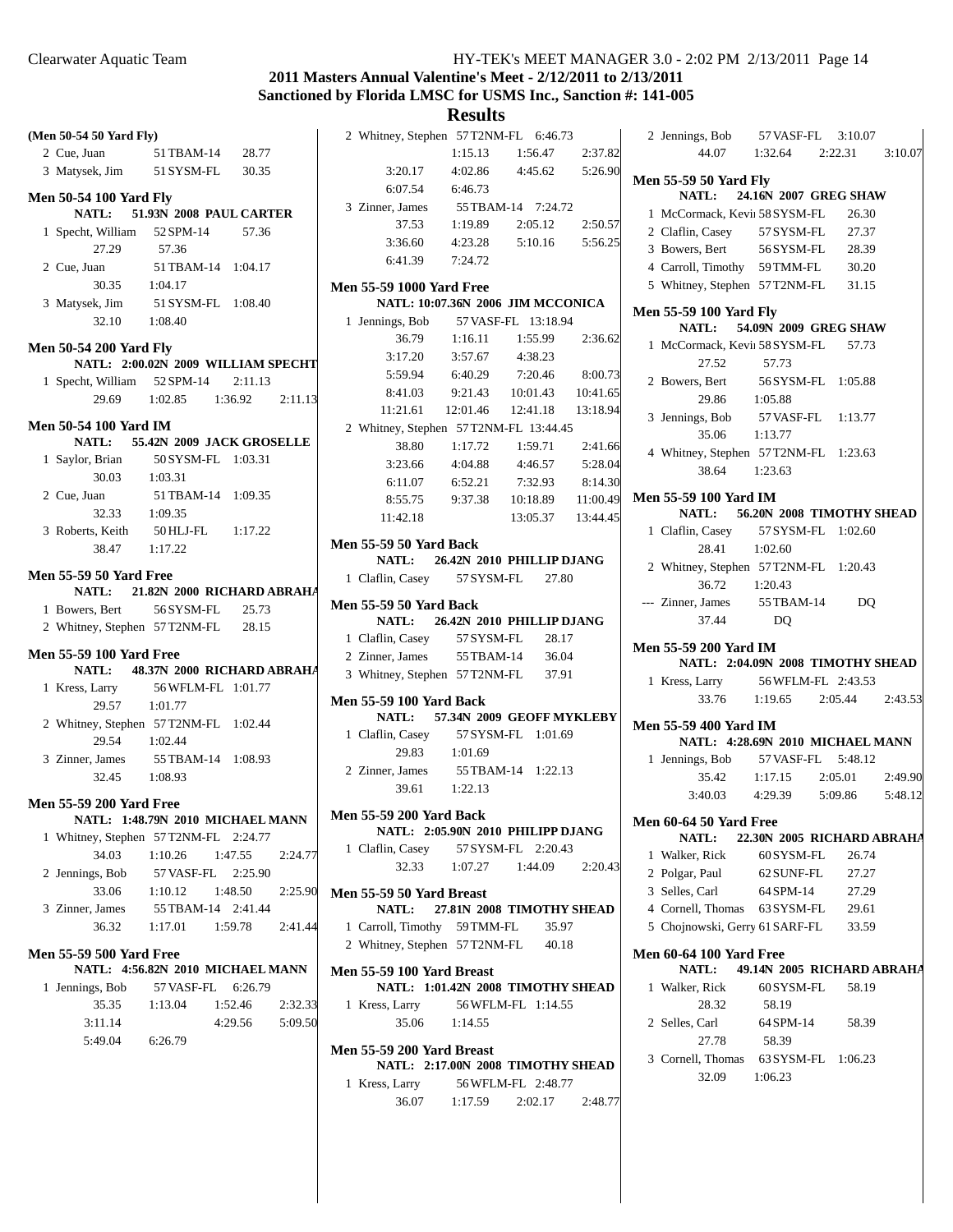## **2011 Masters Annual Valentine's Meet - 2/12/2011 to 2/13/2011 Sanctioned by Florida LMSC for USMS Inc., Sanction #: 141-005**

|                                        |                                      |         |         |                                        | <b>ITCOULD</b>                    |                                |          |
|----------------------------------------|--------------------------------------|---------|---------|----------------------------------------|-----------------------------------|--------------------------------|----------|
| (Men 50-54 50 Yard Fly)                |                                      |         |         | 2 Whitney, Stephen 57 T2NM-FL 6:46.73  |                                   |                                |          |
| 2 Cue, Juan                            | 51 TBAM-14                           | 28.77   |         |                                        | 1:15.13                           | 1:56.47                        | 2:37.82  |
| 3 Matysek, Jim                         | 51 SYSM-FL                           | 30.35   |         | 3:20.17                                | 4:02.86                           | 4:45.62                        | 5:26.90  |
|                                        |                                      |         |         | 6:07.54                                | 6:46.73                           |                                |          |
| <b>Men 50-54 100 Yard Fly</b><br>NATL: |                                      |         |         | 3 Zinner, James                        |                                   | 55 TBAM-14 7:24.72             |          |
|                                        | 51.93N 2008 PAUL CARTER<br>52 SPM-14 | 57.36   |         | 37.53                                  | 1:19.89                           | 2:05.12                        | 2:50.57  |
| 1 Specht, William<br>27.29             | 57.36                                |         |         | 3:36.60                                | 4:23.28                           | 5:10.16                        | 5:56.25  |
|                                        |                                      |         |         | 6:41.39                                | 7:24.72                           |                                |          |
| 2 Cue, Juan<br>30.35                   | 51 TBAM-14 1:04.17<br>1:04.17        |         |         |                                        |                                   |                                |          |
|                                        |                                      |         |         | <b>Men 55-59 1000 Yard Free</b>        | NATL: 10:07.36N 2006 JIM MCCONICA |                                |          |
| 3 Matysek, Jim<br>32.10                | 51 SYSM-FL 1:08.40<br>1:08.40        |         |         |                                        |                                   |                                |          |
|                                        |                                      |         |         | 1 Jennings, Bob<br>36.79               | 1:16.11                           | 57 VASF-FL 13:18.94<br>1:55.99 | 2:36.62  |
| <b>Men 50-54 200 Yard Fly</b>          |                                      |         |         | 3:17.20                                | 3:57.67                           | 4:38.23                        |          |
|                                        | NATL: 2:00.02N 2009 WILLIAM SPECHT   |         |         | 5:59.94                                | 6:40.29                           | 7:20.46                        | 8:00.73  |
| 1 Specht, William 52 SPM-14            |                                      | 2:11.13 |         | 8:41.03                                | 9:21.43                           | 10:01.43                       | 10:41.65 |
| 29.69                                  | 1:02.85                              | 1:36.92 | 2:11.13 | 11:21.61                               | 12:01.46                          | 12:41.18                       | 13:18.94 |
| <b>Men 50-54 100 Yard IM</b>           |                                      |         |         | 2 Whitney, Stephen 57 T2NM-FL 13:44.45 |                                   |                                |          |
| NATL:                                  | 55.42N 2009 JACK GROSELLE            |         |         | 38.80                                  | 1:17.72                           | 1:59.71                        | 2:41.66  |
| 1 Saylor, Brian                        | 50 SYSM-FL 1:03.31                   |         |         | 3:23.66                                | 4:04.88                           | 4:46.57                        | 5:28.04  |
| 30.03                                  | 1:03.31                              |         |         | 6:11.07                                | 6:52.21                           | 7:32.93                        | 8:14.30  |
| 2 Cue, Juan                            | 51 TBAM-14 1:09.35                   |         |         | 8:55.75                                | 9:37.38                           | 10:18.89                       | 11:00.49 |
| 32.33                                  | 1:09.35                              |         |         | 11:42.18                               |                                   | 13:05.37                       | 13:44.45 |
| 3 Roberts, Keith                       | 50 HLJ-FL                            | 1:17.22 |         |                                        |                                   |                                |          |
| 38.47                                  | 1:17.22                              |         |         | <b>Men 55-59 50 Yard Back</b>          |                                   |                                |          |
|                                        |                                      |         |         | <b>NATL:</b>                           | 26.42N 2010 PHILLIP DJANG         |                                |          |
| <b>Men 55-59 50 Yard Free</b>          |                                      |         |         | 1 Claflin, Casey                       | 57 SYSM-FL                        | 27.80                          |          |
| <b>NATL:</b>                           | 21.82N 2000 RICHARD ABRAHA           | 25.73   |         | <b>Men 55-59 50 Yard Back</b>          |                                   |                                |          |
| 1 Bowers, Bert                         | 56 SYSM-FL                           | 28.15   |         | <b>NATL:</b>                           | 26.42N 2010 PHILLIP DJANG         |                                |          |
| 2 Whitney, Stephen 57T2NM-FL           |                                      |         |         | 1 Claflin, Casey 57 SYSM-FL            |                                   | 28.17                          |          |
| <b>Men 55-59 100 Yard Free</b>         |                                      |         |         | 2 Zinner, James                        | 55 TBAM-14                        | 36.04                          |          |
| <b>NATL:</b>                           | 48.37N 2000 RICHARD ABRAHA           |         |         | 3 Whitney, Stephen 57 T2NM-FL          |                                   | 37.91                          |          |
| 1 Kress, Larry                         | 56 WFLM-FL 1:01.77                   |         |         | <b>Men 55-59 100 Yard Back</b>         |                                   |                                |          |
| 29.57                                  | 1:01.77                              |         |         | <b>NATL:</b>                           | 57.34N 2009 GEOFF MYKLEBY         |                                |          |
| 2 Whitney, Stephen 57 T2NM-FL 1:02.44  |                                      |         |         | 1 Claflin, Casey                       |                                   | 57 SYSM-FL 1:01.69             |          |
| 29.54                                  | 1:02.44                              |         |         | 29.83                                  | 1:01.69                           |                                |          |
| 3 Zinner, James                        | 55 TBAM-14 1:08.93                   |         |         | 2 Zinner, James                        |                                   | 55 TBAM-14 1:22.13             |          |
| 32.45                                  | 1:08.93                              |         |         | 39.61                                  | 1:22.13                           |                                |          |
| <b>Men 55-59 200 Yard Free</b>         |                                      |         |         |                                        |                                   |                                |          |
|                                        | NATL: 1:48.79N 2010 MICHAEL MANN     |         |         | <b>Men 55-59 200 Yard Back</b>         |                                   |                                |          |
| 1 Whitney, Stephen 57T2NM-FL 2:24.77   |                                      |         |         |                                        | NATL: 2:05.90N 2010 PHILIPP DJANG |                                |          |
| 34.03                                  | 1:10.26                              | 1:47.55 | 2:24.77 | 1 Claflin, Casey                       |                                   | 57 SYSM-FL 2:20.43             |          |
| 2 Jennings, Bob                        | 57 VASF-FL                           | 2:25.90 |         | 32.33                                  | 1:07.27                           | 1:44.09                        | 2:20.43  |
| 33.06                                  | 1:10.12                              | 1:48.50 | 2:25.90 | Men 55-59 50 Yard Breast               |                                   |                                |          |
| 3 Zinner, James                        | 55 TBAM-14 2:41.44                   |         |         | NATL:                                  | 27.81N 2008 TIMOTHY SHEAD         |                                |          |
| 36.32                                  | 1:17.01                              | 1:59.78 | 2:41.44 | 1 Carroll, Timothy 59 TMM-FL           |                                   | 35.97                          |          |
|                                        |                                      |         |         | 2 Whitney, Stephen 57 T2NM-FL          |                                   | 40.18                          |          |
| <b>Men 55-59 500 Yard Free</b>         | NATL: 4:56.82N 2010 MICHAEL MANN     |         |         |                                        |                                   |                                |          |
|                                        | 57 VASF-FL                           | 6:26.79 |         | Men 55-59 100 Yard Breast              | NATL: 1:01.42N 2008 TIMOTHY SHEAD |                                |          |
| 1 Jennings, Bob<br>35.35               | 1:13.04                              | 1:52.46 | 2:32.33 | 1 Kress, Larry                         |                                   | 56 WFLM-FL 1:14.55             |          |
|                                        |                                      |         |         | 35.06                                  |                                   |                                |          |
| 3:11.14                                |                                      | 4:29.56 | 5:09.50 |                                        | 1:14.55                           |                                |          |
| 5:49.04                                | 6:26.79                              |         |         | Men 55-59 200 Yard Breast              |                                   |                                |          |
|                                        |                                      |         |         |                                        | NATL: 2:17.00N 2008 TIMOTHY SHEAD |                                |          |
|                                        |                                      |         |         | 1 Kress, Larry                         |                                   | 56 WFLM-FL 2:48.77             |          |
|                                        |                                      |         |         | 36.07                                  | 1:17.59                           | 2:02.17                        | 2:48.77  |

|                                                                    | 2 Jennings, Bob 57 VASF-FL 3:10.07                                                      |                               |  |       |  |
|--------------------------------------------------------------------|-----------------------------------------------------------------------------------------|-------------------------------|--|-------|--|
|                                                                    |                                                                                         | 44.07 1:32.64 2:22.31 3:10.07 |  |       |  |
|                                                                    | <b>Men 55-59 50 Yard Fly</b><br>NATL: 24.16N 2007 GREG SHAW                             |                               |  |       |  |
|                                                                    |                                                                                         |                               |  |       |  |
|                                                                    | 1 McCormack, Kevi: 58 SYSM-FL 26.30                                                     |                               |  |       |  |
|                                                                    | 2 Claflin, Casey 57 SYSM-FL 27.37<br>3 Bowers, Bert 56 SYSM-FL 28.39                    |                               |  |       |  |
|                                                                    | 4 Carroll, Timothy 59 TMM-FL 30.20                                                      |                               |  |       |  |
|                                                                    |                                                                                         |                               |  |       |  |
|                                                                    | 5 Whitney, Stephen 57T2NM-FL 31.15                                                      |                               |  |       |  |
|                                                                    | Men 55-59 100 Yard Fly<br>NATL: 54.09N 2009 GREG SHAW                                   |                               |  |       |  |
|                                                                    | 1 McCormack, Kevi: 58 SYSM-FL 57.73<br>27.52 57.73<br>2 Bowers, Bert 56 SYSM-FL 1:05.88 |                               |  |       |  |
|                                                                    |                                                                                         |                               |  |       |  |
|                                                                    | 29.86                                                                                   | 1:05.88                       |  |       |  |
|                                                                    | 3 Jennings, Bob 57 VASF-FL 1:13.77                                                      |                               |  |       |  |
|                                                                    | 35.06 1:13.77                                                                           |                               |  |       |  |
|                                                                    | 4 Whitney, Stephen 57T2NM-FL 1:23.63                                                    |                               |  |       |  |
|                                                                    | 38.64 1:23.63                                                                           |                               |  |       |  |
|                                                                    |                                                                                         |                               |  |       |  |
|                                                                    | Men 55-59 100 Yard IM<br>NATL: 56.20N 2008 TIMOTHY SHEAD                                |                               |  |       |  |
|                                                                    |                                                                                         |                               |  |       |  |
|                                                                    | 1 Claflin, Casey 57 SYSM-FL 1:02.60<br>28.41 1:02.60                                    |                               |  |       |  |
|                                                                    | 2 Whitney, Stephen 57T2NM-FL 1:20.43                                                    |                               |  |       |  |
|                                                                    |                                                                                         |                               |  |       |  |
|                                                                    | 36.72 1:20.43<br>--- Zinner, James 55TBAM-14 DQ                                         |                               |  |       |  |
|                                                                    |                                                                                         |                               |  |       |  |
|                                                                    | 37.44                                                                                   | DQ                            |  |       |  |
|                                                                    | <b>Men 55-59 200 Yard IM</b><br>NATL: 2:04.09N 2008 TIMOTHY SHEAD                       |                               |  |       |  |
|                                                                    | 1 Kress, Larry 56 WFLM-FL 2:43.53                                                       |                               |  |       |  |
|                                                                    |                                                                                         | 33.76 1:19.65 2:05.44 2:43.53 |  |       |  |
|                                                                    | Men 55-59 400 Yard IM                                                                   |                               |  |       |  |
|                                                                    | NATL: 4:28.69N 2010 MICHAEL MANN                                                        |                               |  |       |  |
|                                                                    | 1 Jennings, Bob 57 VASF-FL 5:48.12                                                      |                               |  |       |  |
|                                                                    |                                                                                         | 35.42 1:17.15 2:05.01 2:49.90 |  |       |  |
|                                                                    | 3:40.03 4:29.39 5:09.86 5:48.12                                                         |                               |  |       |  |
|                                                                    |                                                                                         |                               |  |       |  |
|                                                                    | <b>Men 60-64 50 Yard Free</b><br>NATL: 22.30N 2005 RICHARD ABRAHA                       |                               |  |       |  |
|                                                                    | 1 Walker, Rick                                                                          | 60 SYSM-FL 26.74              |  |       |  |
|                                                                    | 2 Polgar, Paul                                                                          | 62 SUNF-FL                    |  | 27.27 |  |
|                                                                    | 3 Selles, Carl                                                                          | 64 SPM-14                     |  | 27.29 |  |
|                                                                    | 4 Cornell, Thomas 63 SYSM-FL 29.61                                                      |                               |  |       |  |
|                                                                    | 5 Chojnowski, Gerry 61 SARF-FL 33.59                                                    |                               |  |       |  |
| <b>Men 60-64 100 Yard Free</b><br>NATL: 49.14N 2005 RICHARD ABRAHA |                                                                                         |                               |  |       |  |
|                                                                    | 1 Walker, Rick                                                                          | 60 SYSM-FL 58.19              |  |       |  |
|                                                                    | 28.32                                                                                   | 58.19                         |  |       |  |
|                                                                    | 2 Selles, Carl                                                                          | 64 SPM-14                     |  | 58.39 |  |
|                                                                    |                                                                                         | 58.39                         |  |       |  |
|                                                                    | 27.78<br>3 Cornell, Thomas 63 SYSM-FL 1:06.23                                           |                               |  |       |  |
|                                                                    | 32.09                                                                                   | 1:06.23                       |  |       |  |
|                                                                    |                                                                                         |                               |  |       |  |
|                                                                    |                                                                                         |                               |  |       |  |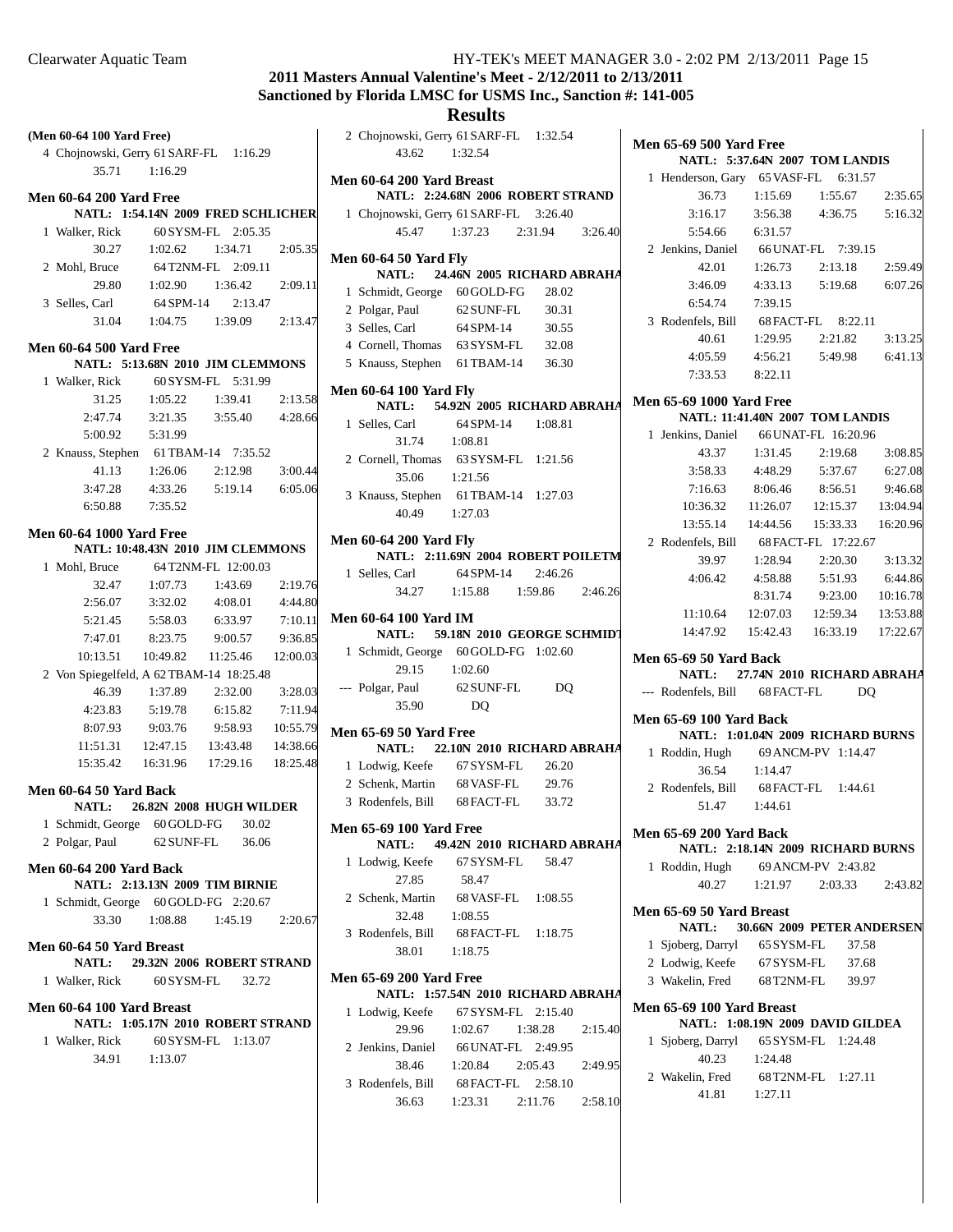## **2011 Masters Annual Valentine's Meet - 2/12/2011 to 2/13/2011 Sanctioned by Florida LMSC for USMS Inc., Sanction #: 141-005**

|                                          |                                         |                     |          |                                        | Results                            |         |         |                                      |                         |                                        |          |
|------------------------------------------|-----------------------------------------|---------------------|----------|----------------------------------------|------------------------------------|---------|---------|--------------------------------------|-------------------------|----------------------------------------|----------|
| (Men 60-64 100 Yard Free)                |                                         |                     |          | 2 Chojnowski, Gerry 61 SARF-FL 1:32.54 |                                    |         |         | <b>Men 65-69 500 Yard Free</b>       |                         |                                        |          |
| 4 Chojnowski, Gerry 61 SARF-FL 1:16.29   |                                         |                     |          | 43.62                                  | 1:32.54                            |         |         |                                      |                         | NATL: 5:37.64N 2007 TOM LANDIS         |          |
| 35.71                                    | 1:16.29                                 |                     |          | Men 60-64 200 Yard Breast              |                                    |         |         | 1 Henderson, Gary 65 VASF-FL 6:31.57 |                         |                                        |          |
| <b>Men 60-64 200 Yard Free</b>           |                                         |                     |          |                                        | NATL: 2:24.68N 2006 ROBERT STRAND  |         |         | 36.73                                | 1:15.69                 | 1:55.67                                | 2:35.65  |
| NATL: 1:54.14N 2009 FRED SCHLICHER       |                                         |                     |          | 1 Chojnowski, Gerry 61 SARF-FL 3:26.40 |                                    |         |         | 3:16.17                              | 3:56.38                 | 4:36.75                                | 5:16.32  |
| 1 Walker, Rick                           |                                         | 60 SYSM-FL 2:05.35  |          | 45.47                                  | 1:37.23                            | 2:31.94 | 3:26.40 | 5:54.66                              | 6:31.57                 |                                        |          |
| 30.27                                    | 1:02.62                                 | 1:34.71             | 2:05.35  |                                        |                                    |         |         | 2 Jenkins, Daniel                    |                         | 66 UNAT-FL 7:39.15                     |          |
| 2 Mohl, Bruce                            |                                         | 64T2NM-FL 2:09.11   |          | <b>Men 60-64 50 Yard Fly</b>           |                                    |         |         | 42.01                                | 1:26.73                 | 2:13.18                                | 2:59.49  |
| 29.80                                    | 1:02.90                                 | 1:36.42             | 2:09.11  | NATL:                                  | 24.46N 2005 RICHARD ABRAHA         |         |         | 3:46.09                              | 4:33.13                 | 5:19.68                                | 6:07.26  |
|                                          |                                         |                     |          | 1 Schmidt, George 60 GOLD-FG           |                                    | 28.02   |         |                                      |                         |                                        |          |
| 3 Selles, Carl                           | 64 SPM-14                               | 2:13.47             |          | 2 Polgar, Paul                         | 62 SUNF-FL                         | 30.31   |         | 6:54.74                              | 7:39.15                 |                                        |          |
| 31.04                                    | 1:04.75                                 | 1:39.09             | 2:13.47  | 3 Selles, Carl                         | 64 SPM-14                          | 30.55   |         | 3 Rodenfels, Bill                    |                         | 68 FACT-FL 8:22.11                     |          |
| <b>Men 60-64 500 Yard Free</b>           |                                         |                     |          | 4 Cornell, Thomas                      | 63 SYSM-FL                         | 32.08   |         | 40.61                                | 1:29.95                 | 2:21.82                                | 3:13.25  |
| NATL: 5:13.68N 2010 JIM CLEMMONS         |                                         |                     |          | 5 Knauss, Stephen                      | 61 TBAM-14                         | 36.30   |         | 4:05.59                              | 4:56.21                 | 5:49.98                                | 6:41.13  |
| 1 Walker, Rick                           |                                         | 60 SYSM-FL 5:31.99  |          |                                        |                                    |         |         | 7:33.53                              | 8:22.11                 |                                        |          |
| 31.25                                    | 1:05.22                                 | 1:39.41             | 2:13.58  | <b>Men 60-64 100 Yard Fly</b><br>NATL: | 54.92N 2005 RICHARD ABRAHA         |         |         | <b>Men 65-69 1000 Yard Free</b>      |                         |                                        |          |
| 2:47.74                                  | 3:21.35                                 | 3:55.40             | 4:28.66  | 1 Selles, Carl                         | 64 SPM-14                          | 1:08.81 |         |                                      |                         | <b>NATL: 11:41.40N 2007 TOM LANDIS</b> |          |
| 5:00.92                                  | 5:31.99                                 |                     |          | 31.74                                  | 1:08.81                            |         |         | 1 Jenkins, Daniel                    |                         | 66 UNAT-FL 16:20.96                    |          |
| 2 Knauss, Stephen                        |                                         | 61 TBAM-14 7:35.52  |          | 2 Cornell, Thomas                      | 63 SYSM-FL 1:21.56                 |         |         | 43.37                                | 1:31.45                 | 2:19.68                                | 3:08.85  |
| 41.13                                    | 1:26.06                                 | 2:12.98             | 3:00.44  |                                        |                                    |         |         | 3:58.33                              | 4:48.29                 | 5:37.67                                | 6:27.08  |
| 3:47.28                                  | 4:33.26                                 | 5:19.14             | 6:05.06  | 35.06                                  | 1:21.56                            |         |         | 7:16.63                              | 8:06.46                 | 8:56.51                                | 9:46.68  |
| 6:50.88                                  | 7:35.52                                 |                     |          | 3 Knauss, Stephen 61 TBAM-14 1:27.03   |                                    |         |         | 10:36.32                             | 11:26.07                | 12:15.37                               | 13:04.94 |
|                                          |                                         |                     |          | 40.49                                  | 1:27.03                            |         |         | 13:55.14                             | 14:44.56                | 15:33.33                               | 16:20.96 |
| <b>Men 60-64 1000 Yard Free</b>          |                                         |                     |          | <b>Men 60-64 200 Yard Fly</b>          |                                    |         |         | 2 Rodenfels, Bill                    |                         | 68 FACT-FL 17:22.67                    |          |
| NATL: 10:48.43N 2010 JIM CLEMMONS        |                                         |                     |          |                                        | NATL: 2:11.69N 2004 ROBERT POILETM |         |         | 39.97                                | 1:28.94                 | 2:20.30                                | 3:13.32  |
| 1 Mohl, Bruce                            |                                         | 64 T2NM-FL 12:00.03 |          | 1 Selles, Carl                         | 64 SPM-14                          | 2:46.26 |         | 4:06.42                              | 4:58.88                 | 5:51.93                                | 6:44.86  |
| 32.47                                    | 1:07.73                                 | 1:43.69             | 2:19.76  | 34.27                                  | 1:15.88                            | 1:59.86 | 2:46.26 |                                      | 8:31.74                 | 9:23.00                                | 10:16.78 |
| 2:56.07                                  | 3:32.02                                 | 4:08.01             | 4:44.80  |                                        |                                    |         |         | 11:10.64                             | 12:07.03                | 12:59.34                               | 13:53.88 |
| 5:21.45                                  | 5:58.03                                 | 6:33.97             | 7:10.11  | <b>Men 60-64 100 Yard IM</b>           |                                    |         |         | 14:47.92                             | 15:42.43                | 16:33.19                               | 17:22.67 |
| 7:47.01                                  | 8:23.75                                 | 9:00.57             | 9:36.85  | NATL:                                  | 59.18N 2010 GEORGE SCHMIDT         |         |         |                                      |                         |                                        |          |
| 10:13.51                                 | 10:49.82                                | 11:25.46            | 12:00.03 | 1 Schmidt, George 60 GOLD-FG 1:02.60   |                                    |         |         | <b>Men 65-69 50 Yard Back</b>        |                         |                                        |          |
| 2 Von Spiegelfeld, A 62 TBAM-14 18:25.48 |                                         |                     |          | 29.15                                  | 1:02.60                            |         |         | <b>NATL:</b>                         |                         | 27.74N 2010 RICHARD ABRAHA             |          |
| 46.39                                    | 1:37.89                                 | 2:32.00             | 3:28.03  | --- Polgar, Paul                       | 62 SUNF-FL                         | DQ      |         | --- Rodenfels, Bill                  | 68 FACT-FL              | DQ.                                    |          |
| 4:23.83                                  | 5:19.78                                 | 6:15.82             | 7:11.94  | 35.90                                  | <b>DQ</b>                          |         |         | <b>Men 65-69 100 Yard Back</b>       |                         |                                        |          |
| 8:07.93                                  | 9:03.76                                 | 9:58.93             | 10:55.79 | <b>Men 65-69 50 Yard Free</b>          |                                    |         |         | NATL: 1:01.04N 2009 RICHARD BURNS    |                         |                                        |          |
| 11:51.31                                 | 12:47.15                                | 13:43.48            | 14:38.66 | NATL:                                  | 22.10N 2010 RICHARD ABRAHA         |         |         | 1 Roddin, Hugh                       |                         | 69 ANCM-PV 1:14.47                     |          |
| 15:35.42                                 | 16:31.96                                | 17:29.16            | 18:25.48 | 1 Lodwig, Keefe                        | 67 SYSM-FL                         | 26.20   |         | 36.54                                | 1:14.47                 |                                        |          |
|                                          |                                         |                     |          | 2 Schenk, Martin                       | 68 VASF-FL                         | 29.76   |         | 2 Rodenfels, Bill                    | 68 FACT-FL              | 1:44.61                                |          |
| Men 60-64 50 Yard Back                   | 26.82N 2008 HUGH WILDER                 |                     |          | 3 Rodenfels, Bill                      | 68 FACT-FL                         | 33.72   |         | 51.47                                | 1:44.61                 |                                        |          |
| NATL:                                    |                                         |                     |          |                                        |                                    |         |         |                                      |                         |                                        |          |
| 1 Schmidt, George                        | 60 GOLD-FG                              | 30.02               |          | <b>Men 65-69 100 Yard Free</b>         |                                    |         |         | <b>Men 65-69 200 Yard Back</b>       |                         |                                        |          |
| 2 Polgar, Paul                           | 62 SUNF-FL                              | 36.06               |          | NATL:                                  | 49.42N 2010 RICHARD ABRAHA         |         |         | NATL: 2:18.14N 2009 RICHARD BURNS    |                         |                                        |          |
| <b>Men 60-64 200 Yard Back</b>           |                                         |                     |          | 1 Lodwig, Keefe                        | 67 SYSM-FL                         | 58.47   |         | 1 Roddin, Hugh                       |                         | 69 ANCM-PV 2:43.82                     |          |
| NATL: 2:13.13N 2009 TIM BIRNIE           |                                         |                     |          | 27.85                                  | 58.47                              |         |         | 40.27                                | 1:21.97                 | 2:03.33                                | 2:43.82  |
| 1 Schmidt, George 60 GOLD-FG 2:20.67     |                                         |                     |          | 2 Schenk, Martin                       | 68 VASF-FL                         | 1:08.55 |         | Men 65-69 50 Yard Breast             |                         |                                        |          |
| 33.30                                    | 1:08.88                                 | 1:45.19             | 2:20.67  | 32.48                                  | 1:08.55                            |         |         | <b>NATL:</b>                         |                         | 30.66N 2009 PETER ANDERSEN             |          |
|                                          |                                         |                     |          | 3 Rodenfels, Bill                      | 68 FACT-FL                         | 1:18.75 |         | 1 Sjoberg, Darryl                    | 65 SYSM-FL              | 37.58                                  |          |
| Men 60-64 50 Yard Breast<br>NATL:        |                                         |                     |          | 38.01                                  | 1:18.75                            |         |         |                                      |                         |                                        |          |
|                                          | 29.32N 2006 ROBERT STRAND<br>60 SYSM-FL |                     |          | <b>Men 65-69 200 Yard Free</b>         |                                    |         |         | 2 Lodwig, Keefe                      | 67 SYSM-FL<br>68T2NM-FL | 37.68                                  |          |
| 1 Walker, Rick                           |                                         | 32.72               |          |                                        | NATL: 1:57.54N 2010 RICHARD ABRAHA |         |         | 3 Wakelin, Fred                      |                         | 39.97                                  |          |
| Men 60-64 100 Yard Breast                |                                         |                     |          | 1 Lodwig, Keefe                        | 67 SYSM-FL 2:15.40                 |         |         | Men 65-69 100 Yard Breast            |                         |                                        |          |
| NATL: 1:05.17N 2010 ROBERT STRAND        |                                         |                     |          | 29.96                                  | 1:02.67                            | 1:38.28 | 2:15.40 |                                      |                         | NATL: 1:08.19N 2009 DAVID GILDEA       |          |
| 1 Walker, Rick                           |                                         | 60 SYSM-FL 1:13.07  |          | 2 Jenkins, Daniel                      | 66 UNAT-FL 2:49.95                 |         |         | 1 Sjoberg, Darryl                    |                         | 65 SYSM-FL 1:24.48                     |          |
| 34.91                                    | 1:13.07                                 |                     |          | 38.46                                  | 1:20.84                            | 2:05.43 | 2:49.95 | 40.23                                | 1:24.48                 |                                        |          |
|                                          |                                         |                     |          | 3 Rodenfels, Bill                      | 68 FACT-FL 2:58.10                 |         |         | 2 Wakelin, Fred                      |                         | 68 T2NM-FL 1:27.11                     |          |
|                                          |                                         |                     |          | 36.63                                  | 1:23.31                            | 2:11.76 | 2:58.10 | 41.81                                | 1:27.11                 |                                        |          |
|                                          |                                         |                     |          |                                        |                                    |         |         |                                      |                         |                                        |          |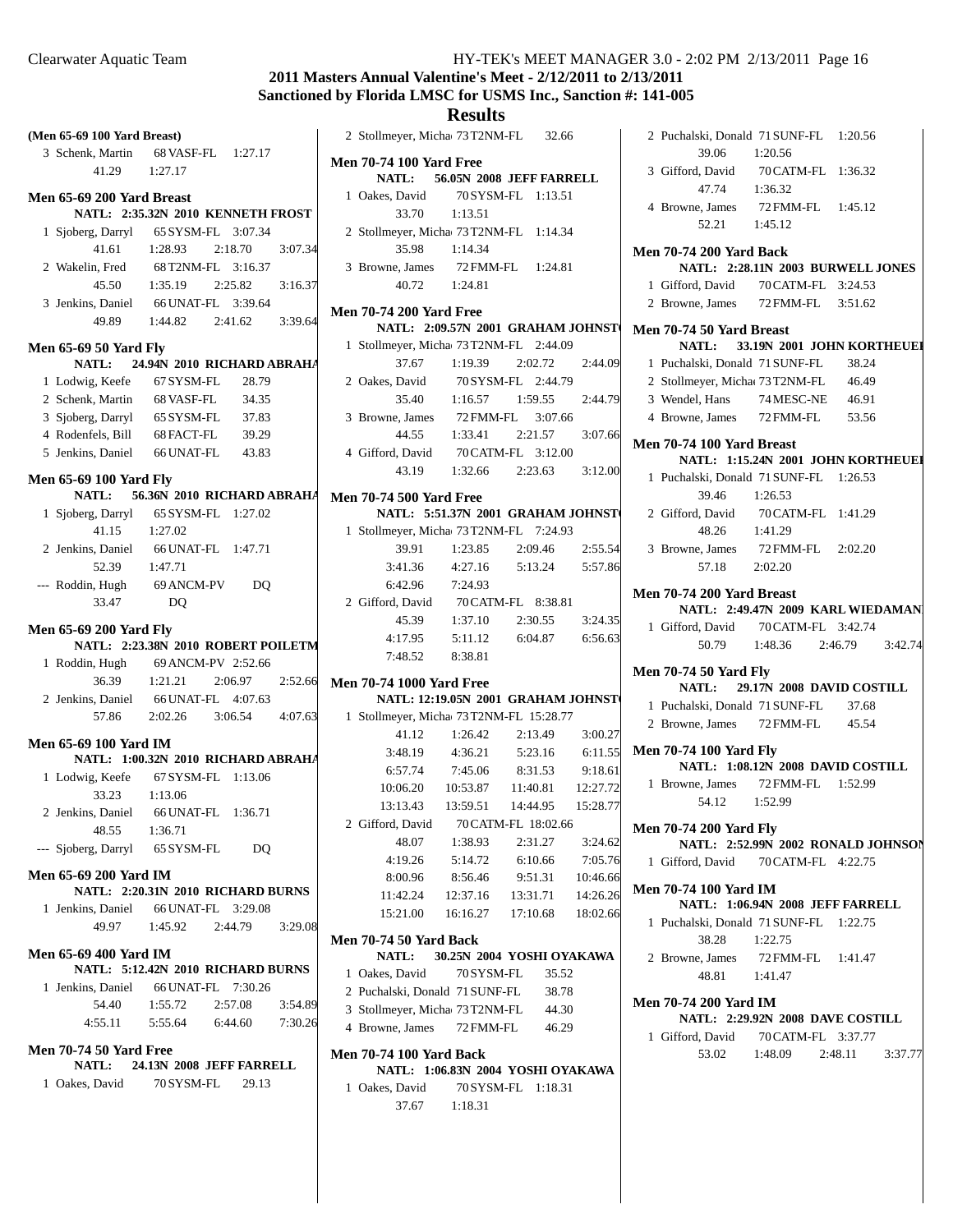# **2011 Masters Annual Valentine's Meet - 2/12/2011 to 2/13/2011 Sanctioned by Florida LMSC for USMS Inc., Sanction #: 141-005**

| (Men 65-69 100 Yard Breast)   |                                               |
|-------------------------------|-----------------------------------------------|
|                               | 3 Schenk, Martin 68 VASF-FL 1:27.17           |
|                               | 41.29 1:27.17                                 |
| Men 65-69 200 Yard Breast     |                                               |
|                               | NATL: 2:35.32N 2010 KENNETH FROST             |
|                               | 1 Sjoberg, Darryl 65 SYSM-FL 3:07.34          |
|                               | 41.61 1:28.93 2:18.70<br>3:07.34              |
|                               | 2 Wakelin, Fred 68 T2NM-FL 3:16.37            |
|                               | 45.50   1:35.19   2:25.82<br>3:16.37          |
|                               | 3 Jenkins, Daniel 66 UNAT-FL 3:39.64          |
|                               | 49.89   1:44.82   2:41.62   3:39.64           |
| <b>Men 65-69 50 Yard Fly</b>  |                                               |
|                               | NATL: 24.94N 2010 RICHARD ABRAHA              |
|                               | 1 Lodwig, Keefe 67 SYSM-FL 28.79              |
|                               | 2 Schenk, Martin 68 VASF-FL 34.35             |
|                               | 3 Sjoberg, Darryl 65 SYSM-FL 37.83            |
|                               | 4 Rodenfels, Bill 68 FACT-FL 39.29            |
|                               | 5 Jenkins, Daniel 66 UNAT-FL 43.83            |
| <b>Men 65-69 100 Yard Fly</b> |                                               |
|                               | NATL: 56.36N 2010 RICHARD ABRAHA              |
|                               | 1 Sjoberg, Darryl 65 SYSM-FL 1:27.02          |
|                               | $41.15$ $1:27.02$                             |
|                               | 2 Jenkins, Daniel 66 UNAT-FL 1:47.71          |
|                               | 52.39 1:47.71                                 |
|                               | --- Roddin, Hugh 69 ANCM-PV<br>D <sub>O</sub> |
| 33.47                         | DQ                                            |
| <b>Men 65-69 200 Yard Fly</b> |                                               |
|                               | NATL: 2:23.38N 2010 ROBERT POILETM            |
|                               | 1 Roddin, Hugh 69 ANCM-PV 2:52.66             |
|                               | 36.39 1:21.21 2:06.97<br>2:52.66              |
|                               | 2 Jenkins, Daniel 66 UNAT-FL 4:07.63          |
|                               | 57.86 2:02.26 3:06.54 4:07.63                 |
| Men 65-69 100 Yard IM         |                                               |
|                               | NATL: 1:00.32N 2010 RICHARD ABRAHA            |
|                               | 1 Lodwig, Keefe 67 SYSM-FL 1:13.06            |
|                               | 33.23 1:13.06                                 |
|                               | 2 Jenkins, Daniel 66 UNAT-FL 1:36.71          |
|                               | 48.55 1:36.71                                 |
|                               | --- Sjoberg, Darryl 65 SYSM-FL<br>DQ          |
| <b>Men 65-69 200 Yard IM</b>  |                                               |
|                               | NATL: 2:20.31N 2010 RICHARD BURNS             |
|                               | 1 Jenkins, Daniel 66 UNAT-FL 3:29.08          |
|                               | 49.97 1:45.92 2:44.79 3:29.08                 |
| <b>Men 65-69 400 Yard IM</b>  |                                               |
|                               | NATL: 5:12.42N 2010 RICHARD BURNS             |
|                               | 1 Jenkins, Daniel 66 UNAT-FL 7:30.26          |
|                               | 54.40 1:55.72 2:57.08<br>3:54.89              |
|                               | 4:55.11  5:55.64  6:44.60  7:30.26            |
| <b>Men 70-74 50 Yard Free</b> |                                               |
|                               | NATL: 24.13N 2008 JEFF FARRELL                |
|                               | 1 Oakes, David 70SYSM-FL 29.13                |
|                               |                                               |
|                               |                                               |

|                                | 2 Stollmeyer, Micha 73 T2NM-FL 32.66                                 |                                                                            |         |       |         |
|--------------------------------|----------------------------------------------------------------------|----------------------------------------------------------------------------|---------|-------|---------|
| <b>Men 70-74 100 Yard Free</b> |                                                                      |                                                                            |         |       |         |
|                                |                                                                      | NATL: 56.05N 2008 JEFF FARRELL                                             |         |       |         |
|                                | 1 Oakes, David 70 SYSM-FL 1:13.51                                    |                                                                            |         |       |         |
|                                |                                                                      | 33.70 1:13.51                                                              |         |       |         |
|                                | 2 Stollmeyer, Micha 73 T2NM-FL 1:14.34                               |                                                                            |         |       |         |
|                                | 35.98                                                                | 1:14.34                                                                    |         |       |         |
|                                | 3 Browne, James 72 FMM-FL 1:24.81                                    |                                                                            |         |       |         |
|                                |                                                                      | 40.72   1:24.81                                                            |         |       |         |
|                                | <b>Men 70-74 200 Yard Free</b>                                       |                                                                            |         |       |         |
|                                |                                                                      | NATL: 2:09.57N 2001 GRAHAM JOHNST                                          |         |       |         |
|                                | 1 Stollmeyer, Micha 73 T2NM-FL 2:44.09                               |                                                                            |         |       |         |
|                                |                                                                      | 37.67 1:19.39 2:02.72                                                      |         |       | 2:44.09 |
|                                | 2 Oakes, David 70 SYSM-FL 2:44.79                                    |                                                                            |         |       |         |
|                                |                                                                      | 35.40   1:16.57   1:59.55   2:44.79                                        |         |       |         |
|                                | 3 Browne, James 72 FMM-FL 3:07.66                                    |                                                                            |         |       |         |
|                                |                                                                      | 44.55 1:33.41 2:21.57 3:07.66                                              |         |       |         |
|                                |                                                                      |                                                                            |         |       |         |
|                                | 4 Gifford, David 70 CATM-FL 3:12.00<br>43.19 1:32.66 2:23.63 3:12.00 |                                                                            |         |       |         |
|                                | <b>Men 70-74 500 Yard Free</b>                                       |                                                                            |         |       |         |
|                                |                                                                      | NATL: 5:51.37N 2001 GRAHAM JOHNST                                          |         |       |         |
|                                | 1 Stollmeyer, Micha 73 T2NM-FL 7:24.93                               |                                                                            |         |       |         |
|                                |                                                                      | 39.91   1:23.85   2:09.46   2:55.54                                        |         |       |         |
|                                |                                                                      | 3:41.36  4:27.16  5:13.24  5:57.86                                         |         |       |         |
|                                |                                                                      | 6:42.96 7:24.93                                                            |         |       |         |
|                                | 2 Gifford, David 70 CATM-FL 8:38.81                                  |                                                                            |         |       |         |
|                                | 45.39                                                                | $1:37.10$ $2:30.55$ $3:24.35$                                              |         |       |         |
|                                | 4:17.95                                                              | 5:11.12 6:04.87 6:56.63                                                    |         |       |         |
|                                |                                                                      | 7:48.52 8:38.81                                                            |         |       |         |
|                                |                                                                      |                                                                            |         |       |         |
|                                | <b>Men 70-74 1000 Yard Free</b>                                      |                                                                            |         |       |         |
|                                |                                                                      | NATL: 12:19.05N 2001 GRAHAM JOHNST                                         |         |       |         |
|                                | 1 Stollmeyer, Micha 73 T2NM-FL 15:28.77                              |                                                                            |         |       |         |
|                                |                                                                      | 41.12   1:26.42   2:13.49   3:00.27                                        |         |       |         |
|                                |                                                                      | 3:48.19  4:36.21  5:23.16  6:11.55                                         |         |       |         |
|                                | 6:57.74                                                              | 7:45.06                                                                    | 8:31.53 |       | 9:18.61 |
|                                |                                                                      | 10:06.20  10:53.87  11:40.81  12:27.72<br>$13:59.51$ $14:44.95$ $15:28.77$ |         |       |         |
|                                | 13:13.43                                                             |                                                                            |         |       |         |
|                                | 2 Gifford, David 70 CATM-FL 18:02.66                                 |                                                                            |         |       |         |
|                                | 48.07                                                                | 1:38.93                                                                    | 2:31.27 |       | 3:24.62 |
|                                |                                                                      | 4:19.26 5:14.72 6:10.66 7:05.76                                            |         |       |         |
|                                |                                                                      | 8:00.96 8:56.46 9:51.31 10:46.66                                           |         |       |         |
|                                |                                                                      | 11:42.24  12:37.16  13:31.71  14:26.26                                     |         |       |         |
|                                |                                                                      | 15:21.00  16:16.27  17:10.68  18:02.66                                     |         |       |         |
|                                | <b>Men 70-74 50 Yard Back</b>                                        |                                                                            |         |       |         |
|                                |                                                                      | NATL: 30.25N 2004 YOSHI OYAKAWA                                            |         |       |         |
|                                | 1 Oakes, David                                                       | 70 SYSM-FL                                                                 |         | 35.52 |         |
|                                | 2 Puchalski, Donald 71 SUNF-FL                                       |                                                                            |         | 38.78 |         |
|                                | 3 Stollmeyer, Micha 73 T2NM-FL 44.30                                 |                                                                            |         |       |         |
|                                | 4 Browne, James 72 FMM-FL 46.29                                      |                                                                            |         |       |         |
|                                | <b>Men 70-74 100 Yard Back</b>                                       |                                                                            |         |       |         |
|                                |                                                                      | NATL: 1:06.83N 2004 YOSHI OYAKAWA                                          |         |       |         |
|                                | 1 Oakes David 70 SYSM-FL 1:18.31                                     |                                                                            |         |       |         |

| 2 Puchalski, Donald 71 SUNF-FL 1:20.56 |                                   |                                    |
|----------------------------------------|-----------------------------------|------------------------------------|
| 39.06 1:20.56                          |                                   |                                    |
| 3 Gifford, David 70 CATM-FL 1:36.32    |                                   |                                    |
| 47.74 1:36.32                          |                                   |                                    |
| 4 Browne, James 72 FMM-FL 1:45.12      |                                   |                                    |
| 52.21 1:45.12                          |                                   |                                    |
| <b>Men 70-74 200 Yard Back</b>         |                                   |                                    |
|                                        |                                   | NATL: 2:28.11N 2003 BURWELL JONES  |
| 1 Gifford, David 70 CATM-FL 3:24.53    |                                   |                                    |
| 2 Browne, James 72 FMM-FL 3:51.62      |                                   |                                    |
| Men 70-74 50 Yard Breast               |                                   |                                    |
|                                        |                                   | NATL: 33.19N 2001 JOHN KORTHEUEI   |
| 1 Puchalski, Donald 71 SUNF-FL         |                                   | 38.24                              |
| 2 Stollmeyer, Micha 73T2NM-FL          |                                   | 46.49                              |
| 3 Wendel, Hans 74 MESC-NE              |                                   | 46.91                              |
| 4 Browne, James 72 FMM-FL              |                                   | 53.56                              |
| Men 70-74 100 Yard Breast              |                                   |                                    |
|                                        |                                   | NATL: 1:15.24N 2001 JOHN KORTHEUEJ |
| 1 Puchalski, Donald 71 SUNF-FL 1:26.53 |                                   |                                    |
| 39.46                                  | 1:26.53                           |                                    |
| 2 Gifford, David 70 CATM-FL 1:41.29    |                                   |                                    |
| 48.26                                  | 1:41.29                           |                                    |
| 3 Browne, James                        | 72 FMM-FL 2:02.20                 |                                    |
| 57.18 2:02.20                          |                                   |                                    |
| Men 70-74 200 Yard Breast              |                                   |                                    |
|                                        |                                   |                                    |
|                                        |                                   | NATL: 2:49.47N 2009 KARL WIEDAMAN  |
|                                        |                                   |                                    |
| 1 Gifford, David 70 CATM-FL 3:42.74    |                                   | 50.79  1:48.36  2:46.79  3:42.74   |
|                                        |                                   |                                    |
| <b>Men 70-74 50 Yard Fly</b>           |                                   |                                    |
|                                        | NATL: 29.17N 2008 DAVID COSTILL   |                                    |
| 1 Puchalski, Donald 71 SUNF-FL 37.68   |                                   |                                    |
| 2 Browne, James 72 FMM-FL 45.54        |                                   |                                    |
| <b>Men 70-74 100 Yard Fly</b>          |                                   |                                    |
|                                        | NATL: 1:08.12N 2008 DAVID COSTILL |                                    |
| 1 Browne, James 72 FMM-FL 1:52.99      |                                   |                                    |
| 54.12 1:52.99                          |                                   |                                    |
| <b>Men 70-74 200 Yard Fly</b>          |                                   |                                    |
|                                        |                                   | NATL: 2:52.99N 2002 RONALD JOHNSON |
| 1 Gifford, David 70 CATM-FL 4:22.75    |                                   |                                    |
| Men 70-74 100 Yard IM                  |                                   |                                    |
|                                        | NATL: 1:06.94N 2008 JEFF FARRELL  |                                    |
| 1 Puchalski, Donald 71 SUNF-FL 1:22.75 |                                   |                                    |
| 38.28                                  | 1:22.75                           |                                    |
| 2 Browne, James                        | 72 FMM-FL 1:41.47                 |                                    |
| 48.81 1:41.47                          |                                   |                                    |
| Men 70-74 200 Yard IM                  |                                   |                                    |
|                                        | NATL: 2:29.92N 2008 DAVE COSTILL  |                                    |
|                                        |                                   |                                    |
| 1 Gifford, David 70 CATM-FL 3:37.77    |                                   | 53.02 1:48.09 2:48.11 3:37.77      |

1 Oakes, David 70 SYSM-FL 1:18.31 37.67 1:18.31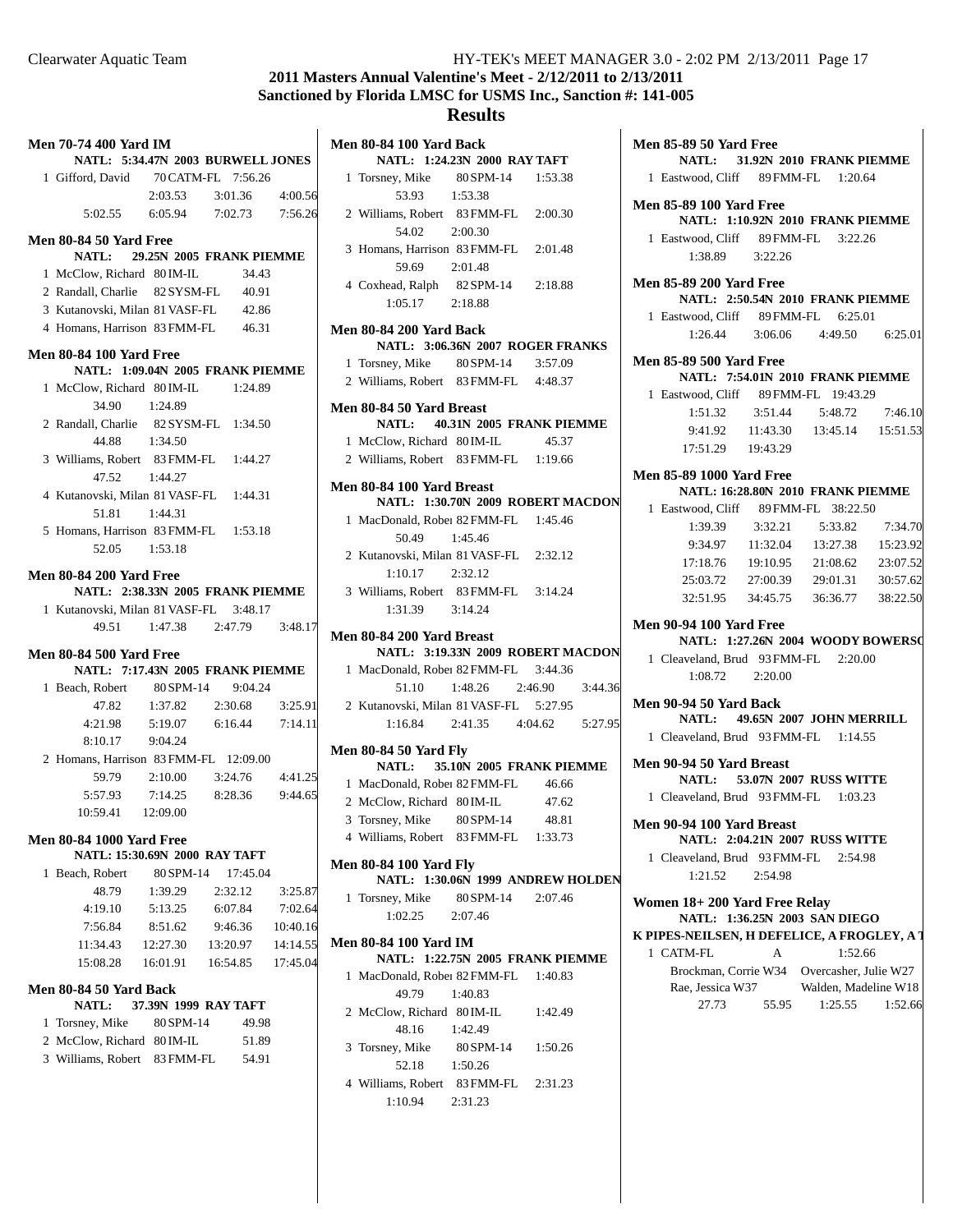# **2011 Masters Annual Valentine's Meet - 2/12/2011 to 2/13/2011 Sanctioned by Florida LMSC for USMS Inc., Sanction #: 141-005**

|    | <b>Men 70-74 400 Yard IM</b><br>NATL: 5:34.47N 2003 BURWELL JONES |           |                                                  |          |
|----|-------------------------------------------------------------------|-----------|--------------------------------------------------|----------|
|    | 1 Gifford, David 70 CATM-FL 7:56.26                               |           |                                                  |          |
|    |                                                                   |           | 2:03.53 3:01.36 4:00.56                          |          |
|    |                                                                   |           | 5:02.55 6:05.94 7:02.73 7:56.26                  |          |
|    |                                                                   |           |                                                  |          |
|    | <b>Men 80-84 50 Yard Free</b>                                     |           |                                                  |          |
|    | NATL: 29.25N 2005 FRANK PIEMME                                    |           |                                                  |          |
|    | 1 McClow, Richard 80 IM-IL                                        |           | 34.43                                            |          |
|    | 2 Randall, Charlie 82SYSM-FL                                      |           | 40.91                                            |          |
|    | 3 Kutanovski, Milan 81 VASF-FL                                    |           | 42.86                                            |          |
|    | 4 Homans, Harrison 83 FMM-FL 46.31                                |           |                                                  |          |
|    | <b>Men 80-84 100 Yard Free</b>                                    |           |                                                  |          |
|    | NATL: 1:09.04N 2005 FRANK PIEMME                                  |           |                                                  |          |
|    | 1 McClow, Richard 80 IM-IL                                        |           | 1:24.89                                          |          |
|    | 34.90 1:24.89                                                     |           |                                                  |          |
|    | 2 Randall, Charlie 82SYSM-FL 1:34.50                              |           |                                                  |          |
|    | 44.88 1:34.50                                                     |           |                                                  |          |
|    | 3 Williams, Robert 83 FMM-FL 1:44.27                              |           |                                                  |          |
|    | 47.52  1:44.27                                                    |           |                                                  |          |
|    | 4 Kutanovski, Milan 81 VASF-FL 1:44.31                            |           |                                                  |          |
|    | 51.81 1:44.31                                                     |           |                                                  |          |
|    | 5 Homans, Harrison 83 FMM-FL 1:53.18                              |           |                                                  |          |
|    | 52.05 1:53.18                                                     |           |                                                  |          |
|    |                                                                   |           |                                                  |          |
|    | <b>Men 80-84 200 Yard Free</b>                                    |           |                                                  |          |
|    | NATL: 2:38.33N 2005 FRANK PIEMME                                  |           |                                                  |          |
|    | 1 Kutanovski, Milan 81 VASF-FL 3:48.17                            |           |                                                  |          |
|    |                                                                   |           | 49.51 1:47.38 2:47.79 3:48.17                    |          |
|    |                                                                   |           |                                                  |          |
|    | <b>Men 80-84 500 Yard Free</b>                                    |           |                                                  |          |
|    | NATL: 7:17.43N 2005 FRANK PIEMME                                  |           |                                                  |          |
|    | 1 Beach, Robert 80 SPM-14 9:04.24                                 |           |                                                  |          |
|    |                                                                   |           | 47.82 1:37.82 2:30.68 3:25.91                    |          |
|    |                                                                   |           | 4:21.98   5:19.07   6:16.44   7:14.11            |          |
|    | 8:10.17                                                           | 9:04.24   |                                                  |          |
|    | 2 Homans, Harrison 83 FMM-FL 12:09.00                             |           |                                                  |          |
|    | 59.79                                                             |           |                                                  |          |
|    | 5:57.93                                                           | 7:14.25   | $2:10.00$ $3:24.76$ $4:41.25$<br>8:28.36 9:44.65 |          |
|    | 10:59.41 12:09.00                                                 |           |                                                  |          |
|    |                                                                   |           |                                                  |          |
|    | <b>Men 80-84 1000 Yard Free</b>                                   |           |                                                  |          |
|    | NATL: 15:30.69N 2000 RAY TAFT                                     |           |                                                  |          |
| 1. | Beach, Robert                                                     | 80 SPM-14 | 17:45.04                                         |          |
|    | 48.79                                                             | 1:39.29   | 2:32.12                                          | 3:25.87  |
|    | 4:19.10                                                           | 5:13.25   | 6:07.84                                          | 7:02.64  |
|    | 7:56.84                                                           | 8:51.62   | 9:46.36                                          | 10:40.16 |
|    | 11:34.43                                                          | 12:27.30  | 13:20.97                                         | 14:14.55 |
|    | 15:08.28                                                          | 16:01.91  | 16:54.85                                         | 17:45.04 |
|    | Men 80-84 50 Yard Back                                            |           |                                                  |          |
|    | <b>NATL:</b>                                                      |           | 37.39N 1999 RAY TAFT                             |          |
|    | 1 Torsney, Mike                                                   | 80 SPM-14 | 49.98                                            |          |
|    | 2 McClow, Richard 80 IM-IL                                        |           | 51.89                                            |          |

| Men 80-84 100 Yard Back                                 | NATL: 1:24.23N 2000 RAY TAFT       |       |  |
|---------------------------------------------------------|------------------------------------|-------|--|
|                                                         |                                    |       |  |
| 1 Torsney, Mike 80 SPM-14 1:53.38                       |                                    |       |  |
| 53.93 1:53.38                                           |                                    |       |  |
| 2 Williams, Robert 83 FMM-FL 2:00.30                    |                                    |       |  |
| 54.02 2:00.30                                           |                                    |       |  |
| 3 Homans, Harrison 83 FMM-FL 2:01.48                    |                                    |       |  |
| 59.69 2:01.48                                           |                                    |       |  |
| 4 Coxhead, Ralph 82 SPM-14 2:18.88                      |                                    |       |  |
| $1:05.17$ 2:18.88                                       |                                    |       |  |
| <b>Men 80-84 200 Yard Back</b>                          |                                    |       |  |
|                                                         | NATL: 3:06.36N 2007 ROGER FRANKS   |       |  |
| 1 Torsney, Mike 80 SPM-14 3:57.09                       |                                    |       |  |
| 2 Williams, Robert 83 FMM-FL 4:48.37                    |                                    |       |  |
| Men 80-84 50 Yard Breast                                |                                    |       |  |
|                                                         | NATL: 40.31N 2005 FRANK PIEMME     |       |  |
| 1 McClow, Richard 80 IM-IL 45.37                        |                                    |       |  |
| 2 Williams, Robert 83 FMM-FL 1:19.66                    |                                    |       |  |
|                                                         |                                    |       |  |
| Men 80-84 100 Yard Breast                               | NATL: 1:30.70N 2009 ROBERT MACDON  |       |  |
| 1 MacDonald, Rober 82 FMM-FL 1:45.46                    |                                    |       |  |
| 50.49 1:45.46                                           |                                    |       |  |
| 2 Kutanovski, Milan 81 VASF-FL 2:32.12                  |                                    |       |  |
| $1:10.17$ $2:32.12$                                     |                                    |       |  |
| 3 Williams, Robert 83 FMM-FL 3:14.24                    |                                    |       |  |
|                                                         |                                    |       |  |
| 1:31.39 3:14.24                                         |                                    |       |  |
| Men 80-84 200 Yard Breast                               |                                    |       |  |
|                                                         | NATL: 3:19.33N 2009 ROBERT MACDON  |       |  |
| 1 MacDonald, Rober 82 FMM-FL 3:44.36                    |                                    |       |  |
|                                                         | 51.10 1:48.26 2:46.90 3:44.36      |       |  |
| 2 Kutanovski, Milan 81 VASF-FL 5:27.95                  |                                    |       |  |
|                                                         | 1:16.84  2:41.35  4:04.62  5:27.95 |       |  |
| <b>Men 80-84 50 Yard Fly</b>                            |                                    |       |  |
|                                                         | NATL: 35.10N 2005 FRANK PIEMME     |       |  |
| 1 MacDonald, Rober 82 FMM-FL 46.66                      |                                    |       |  |
| 2 McClow, Richard 80 IM-IL                              |                                    | 47.62 |  |
| 3 Torsney, Mike $80$ SPM-14 48.81                       |                                    |       |  |
| 4 Williams, Robert 83 FMM-FL 1:33.73                    |                                    |       |  |
| <b>Men 80-84 100 Yard Fly</b>                           |                                    |       |  |
|                                                         | NATL: 1:30.06N 1999 ANDREW HOLDEN  |       |  |
| 1 Torsney, Mike 80 SPM-14 2:07.46                       |                                    |       |  |
| $1:02.25$ $2:07.46$                                     |                                    |       |  |
|                                                         |                                    |       |  |
| <b>Men 80-84 100 Yard IM</b>                            | NATL: 1:22.75N 2005 FRANK PIEMME   |       |  |
| 1 MacDonald, Rober 82 FMM-FL 1:40.83                    |                                    |       |  |
| 49.79                                                   | 1:40.83                            |       |  |
| 2 McClow, Richard 80 IM-IL 1:42.49                      |                                    |       |  |
| 48.16 1:42.49                                           |                                    |       |  |
| 3 Torsney, Mike 80 SPM-14 1:50.26                       |                                    |       |  |
| 52.18 1:50.26                                           |                                    |       |  |
|                                                         |                                    |       |  |
| 4 Williams, Robert 83 FMM-FL 2:31.23<br>1:10.94 2:31.23 |                                    |       |  |
|                                                         |                                    |       |  |
|                                                         |                                    |       |  |

| <b>Men 85-89 50 Yard Free</b>               |         |                                           |         |
|---------------------------------------------|---------|-------------------------------------------|---------|
|                                             |         | NATL: 31.92N 2010 FRANK PIEMME            |         |
|                                             |         |                                           |         |
| 1 Eastwood, Cliff 89 FMM-FL 1:20.64         |         |                                           |         |
| <b>Men 85-89 100 Yard Free</b>              |         |                                           |         |
|                                             |         | NATL: 1:10.92N 2010 FRANK PIEMME          |         |
| 1 Eastwood, Cliff 89 FMM-FL 3:22.26         |         |                                           |         |
| $1:38.89$ $3:22.26$                         |         |                                           |         |
|                                             |         |                                           |         |
| <b>Men 85-89 200 Yard Free</b>              |         |                                           |         |
|                                             |         | NATL: 2:50.54N 2010 FRANK PIEMME          |         |
| 1 Eastwood, Cliff 89 FMM-FL 6:25.01         |         |                                           |         |
|                                             |         | 1:26.44 3:06.06 4:49.50 6:25.01           |         |
|                                             |         |                                           |         |
| <b>Men 85-89 500 Yard Free</b>              |         |                                           |         |
|                                             |         | NATL: 7:54.01N 2010 FRANK PIEMME          |         |
| 1 Eastwood, Cliff 89 FMM-FL 19:43.29        |         |                                           |         |
|                                             |         | $1:51.32$ $3:51.44$ $5:48.72$             | 7:46.10 |
|                                             |         | 9:41.92  11:43.30  13:45.14  15:51.53     |         |
| 17:51.29   19:43.29                         |         |                                           |         |
|                                             |         |                                           |         |
| <b>Men 85-89 1000 Yard Free</b>             |         |                                           |         |
|                                             |         | <b>NATL: 16:28.80N 2010 FRANK PIEMME</b>  |         |
| 1 Eastwood, Cliff 89 FMM-FL 38:22.50        |         |                                           |         |
| 1:39.39                                     | 3:32.21 | 5:33.82                                   | 7:34.70 |
|                                             |         | 9:34.97 11:32.04 13:27.38 15:23.92        |         |
|                                             |         | 17:18.76  19:10.95  21:08.62  23:07.52    |         |
|                                             |         |                                           |         |
|                                             |         | 25:03.72 27:00.39 29:01.31 30:57.62       |         |
|                                             |         | 32:51.95   34:45.75   36:36.77   38:22.50 |         |
| <b>Men 90-94 100 Yard Free</b>              |         |                                           |         |
|                                             |         | NATL: 1:27.26N 2004 WOODY BOWERSO         |         |
| 1 Cleaveland, Brud 93 FMM-FL 2:20.00        |         |                                           |         |
|                                             |         |                                           |         |
| $1:08.72$ $2:20.00$                         |         |                                           |         |
| Men 90-94 50 Yard Back                      |         |                                           |         |
|                                             |         | NATL: 49.65N 2007 JOHN MERRILL            |         |
| 1 Cleaveland, Brud 93 FMM-FL 1:14.55        |         |                                           |         |
|                                             |         |                                           |         |
| Men 90-94 50 Yard Breast                    |         |                                           |         |
|                                             |         | <b>NATL: 53.07N 2007 RUSS WITTE</b>       |         |
| 1 Cleaveland, Brud 93 FMM-FL 1:03.23        |         |                                           |         |
| Men 90-94 100 Yard Breast                   |         |                                           |         |
|                                             |         |                                           |         |
|                                             |         | NATL: 2:04.21N 2007 RUSS WITTE            |         |
| 1 Cleaveland, Brud 93 FMM-FL                |         | 2:54.98                                   |         |
| 1:21.52                                     | 2:54.98 |                                           |         |
| Women 18+200 Yard Free Relay                |         |                                           |         |
|                                             |         | NATL: 1:36.25N 2003 SAN DIEGO             |         |
| K PIPES-NEILSEN, H DEFELICE, A FROGLEY, A J |         |                                           |         |
|                                             |         |                                           |         |
| 1 CATM-FL                                   | A       | 1:52.66                                   |         |
| Brockman, Corrie W34 Overcasher, Julie W27  |         |                                           |         |
| Rae, Jessica W37                            |         | Walden, Madeline W18                      |         |
| 27.73                                       | 55.95   | 1:25.55                                   | 1:52.66 |
|                                             |         |                                           |         |
|                                             |         |                                           |         |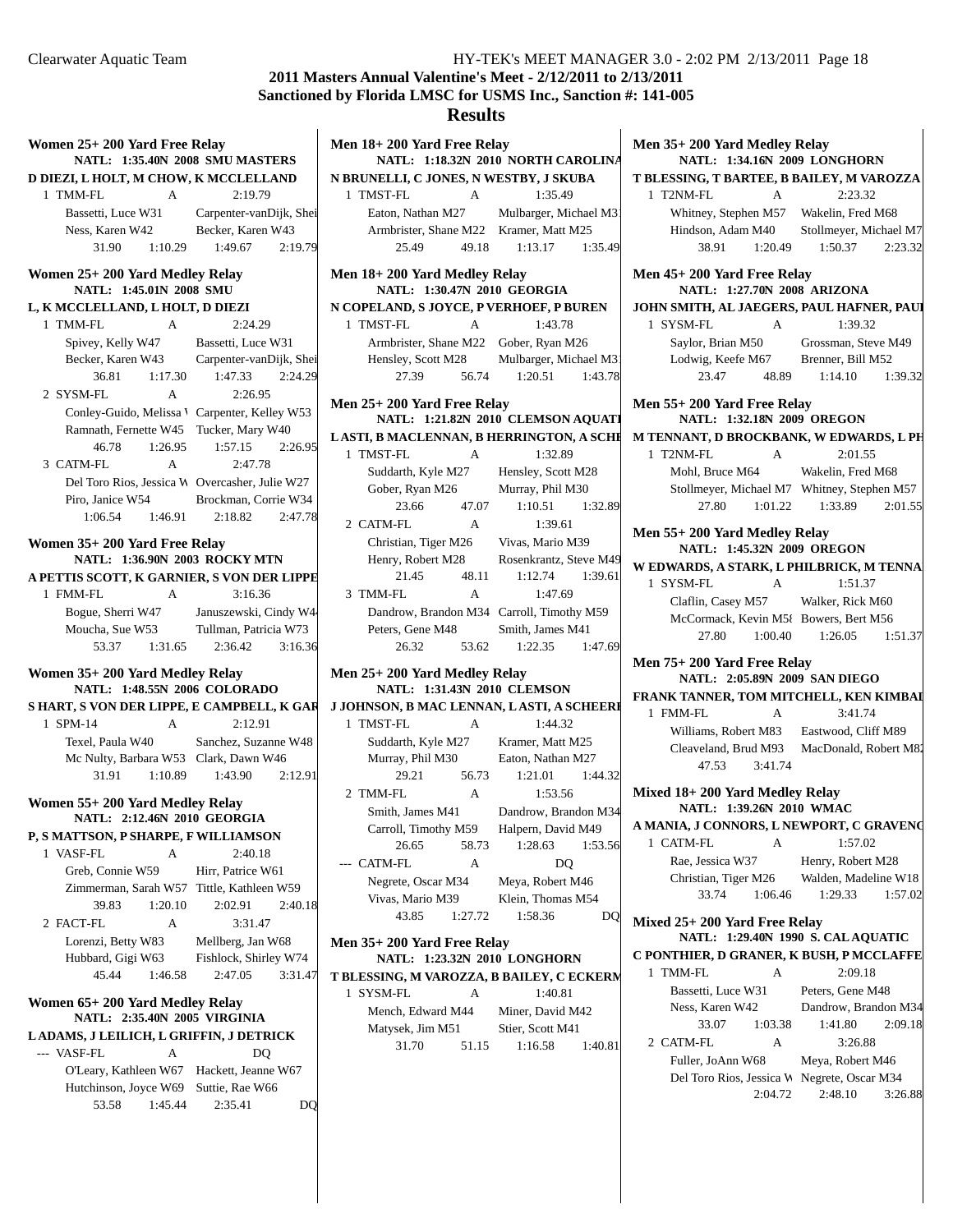## **2011 Masters Annual Valentine's Meet - 2/12/2011 to 2/13/2011 Sanctioned by Florida LMSC for USMS Inc., Sanction #: 141-005 Results**

| Women 25+ 200 Yard Free Relay                                 | <b>NATL: 1:35.40N 2008 SMU MASTERS</b>         | Mer            |
|---------------------------------------------------------------|------------------------------------------------|----------------|
| D DIEZI, L HOLT, M CHOW, K MCCLELLAND                         |                                                | N <sub>B</sub> |
| 1 TMM-FL<br>A                                                 | 2:19.79                                        | 1              |
|                                                               | Bassetti, Luce W31 Carpenter-vanDijk, Shei     |                |
| Ness, Karen W42                                               | Becker, Karen W43                              |                |
| 31.90 1:10.29 1:49.67                                         | 2:19.79                                        |                |
| Women 25+200 Yard Medley Relay<br>NATL: 1:45.01N 2008 SMU     |                                                | Meı            |
| L, K MCCLELLAND, L HOLT, D DIEZI                              |                                                | N <sub>C</sub> |
| 1 TMM-FL<br>A                                                 | 2:24.29                                        | 1              |
| Spivey, Kelly W47 Bassetti, Luce W31                          |                                                |                |
|                                                               | Becker, Karen W43 Carpenter-vanDijk, Shei      |                |
| 36.81<br>1:17.30                                              | 2:24.29<br>1:47.33                             |                |
| 2 SYSM-FL<br>A                                                | 2:26.95                                        |                |
|                                                               | Conley-Guido, Melissa ' Carpenter, Kelley W53  | Mer            |
| Ramnath, Fernette W45 Tucker, Mary W40                        |                                                |                |
| 46.78<br>1:26.95                                              | 1:57.15<br>2:26.95                             | LAS            |
| 3 CATM-FL<br>A                                                | 2:47.78                                        | $\mathbf{1}$   |
|                                                               | Del Toro Rios, Jessica W Overcasher, Julie W27 |                |
|                                                               | Piro, Janice W54 Brockman, Corrie W34          |                |
| 1:06.54                                                       | 1:46.91 2:18.82<br>2:47.78                     |                |
|                                                               |                                                | $\sqrt{2}$     |
| Women 35+ 200 Yard Free Relay<br>NATL: 1:36.90N 2003 ROCKYMTN |                                                |                |
| A PETTIS SCOTT, K GARNIER, S VON DER LIPPE                    |                                                |                |
| 1 FMM-FL<br>A                                                 | 3:16.36                                        | $\mathfrak{Z}$ |
|                                                               | Bogue, Sherri W47 Januszewski, Cindy W44       |                |
|                                                               | Moucha, Sue W53 Tullman, Patricia W73          |                |
| 53.37                                                         | 1:31.65 2:36.42<br>3:16.36                     |                |
| Women 35+200 Yard Medley Relay                                |                                                | Mer            |
| NATL: 1:48.55N 2006 COLORADO                                  |                                                |                |
| S HART, S VON DER LIPPE, E CAMPBELL, K GAR                    |                                                | J JO           |
| 1 SPM-14<br>$\mathbf{A}$                                      | 2:12.91                                        | 1              |
|                                                               | Texel, Paula W40 Sanchez, Suzanne W48          |                |
| Mc Nulty, Barbara W53 Clark, Dawn W46                         |                                                |                |
| 31.91 1:10.89 1:43.90                                         | 2:12.91                                        |                |
| Women 55+200 Yard Medley Relay                                |                                                | $\sqrt{2}$     |
| NATL: 2:12.46N 2010 GEORGIA                                   |                                                |                |
| P, S MATTSON, P SHARPE, F WILLIAMSON                          |                                                |                |
| 1 VASF-FL<br>A                                                | 2:40.18                                        |                |
| Greb, Connie W59                                              | Hirr, Patrice W61                              |                |
| Zimmerman, Sarah W57 Tittle, Kathleen W59                     |                                                |                |
| 39.83<br>1:20.10                                              | 2:02.91<br>2:40.18                             |                |
| 2 FACT-FL<br>А                                                | 3:31.47                                        |                |
| Lorenzi, Betty W83                                            | Mellberg, Jan W68                              | Mer            |
| Hubbard, Gigi W63                                             | Fishlock, Shirley W74                          |                |
| 45.44<br>1:46.58                                              | 2:47.05<br>3:31.47                             | T <sub>B</sub> |
|                                                               |                                                | 1              |
| Women 65+200 Yard Medley Relay                                |                                                |                |
| <b>NATL: 2:35.40N 2005 VIRGINIA</b>                           |                                                |                |
| L ADAMS, J LEILICH, L GRIFFIN, J DETRICK                      |                                                |                |
| --- VASF-FL<br>А                                              | DQ                                             |                |
| O'Leary, Kathleen W67 Hackett, Jeanne W67                     |                                                |                |

Hutchinson, Joyce W69 Suttie, Rae W66

53.58 1:45.44 DQ 2:35.41

| Men 18+200 Yard Free Relay                                                        |                                          |  |  |  |
|-----------------------------------------------------------------------------------|------------------------------------------|--|--|--|
| NATL: 1:18.32N 2010 NORTH CAROLINA<br>N BRUNELLI, C JONES, N WESTBY, J SKUBA      |                                          |  |  |  |
| 1 TMST-FL<br>- A                                                                  | 1:35.49                                  |  |  |  |
| Eaton, Nathan M27 Mulbarger, Michael M3                                           |                                          |  |  |  |
| Armbrister, Shane M22 Kramer, Matt M25                                            |                                          |  |  |  |
| 25.49 49.18                                                                       | 1:35.49<br>1:13.17                       |  |  |  |
|                                                                                   |                                          |  |  |  |
| Men 18+200 Yard Medley Relay<br>NATL: 1:30.47N 2010 GEORGIA                       |                                          |  |  |  |
| N COPELAND, S JOYCE, P VERHOEF, P BUREN                                           |                                          |  |  |  |
| 1 TMST-FL<br>$\mathbf{A}$                                                         | 1:43.78                                  |  |  |  |
| Armbrister, Shane M22 Gober, Ryan M26<br>Hensley, Scott M28 Mulbarger, Michael M3 |                                          |  |  |  |
|                                                                                   |                                          |  |  |  |
| 56.74<br>27.39                                                                    | 1:20.51<br>1:43.78                       |  |  |  |
| Men 25+ 200 Yard Free Relay                                                       | NATL: 1:21.82N 2010 CLEMSON AQUATI       |  |  |  |
| LASTI, B MACLENNAN, B HERRINGTON, A SCHI                                          |                                          |  |  |  |
| 1 TMST-FL<br>$\overline{A}$                                                       | 1:32.89                                  |  |  |  |
| Suddarth, Kyle M27 Hensley, Scott M28                                             |                                          |  |  |  |
| Gober, Ryan M26 Murray, Phil M30                                                  |                                          |  |  |  |
| 23.66 47.07                                                                       | 1:10.51<br>1:32.89                       |  |  |  |
| 2 CATM-FL<br>$\mathbf{A}$                                                         | 1:39.61                                  |  |  |  |
| Christian, Tiger M26 Vivas, Mario M39                                             |                                          |  |  |  |
|                                                                                   | Henry, Robert M28 Rosenkrantz, Steve M49 |  |  |  |
| 21.45                                                                             | 48.11 1:12.74 1:39.61                    |  |  |  |
| 3 TMM-FL<br>$\mathbf{A}$                                                          | 1:47.69                                  |  |  |  |
| Dandrow, Brandon M34 Carroll, Timothy M59                                         |                                          |  |  |  |
| Peters, Gene M48 Smith, James M41                                                 |                                          |  |  |  |
| 26.32 53.62 1:22.35                                                               | 1:47.69                                  |  |  |  |
| Men 25+200 Yard Medley Relay                                                      |                                          |  |  |  |
| NATL: 1:31.43N 2010 CLEMSON                                                       |                                          |  |  |  |
| J JOHNSON, B MAC LENNAN, LASTI, A SCHEERI                                         |                                          |  |  |  |
| 1 TMST-FL<br>$\mathbf{A}$                                                         | 1:44.32                                  |  |  |  |
| Suddarth, Kyle M27 Kramer, Matt M25                                               |                                          |  |  |  |
| Murray, Phil M30 Eaton, Nathan M27                                                |                                          |  |  |  |
|                                                                                   | 29.21 56.73 1:21.01 1:44.32              |  |  |  |
| 2 TMM-FL<br>A                                                                     | 1:53.56                                  |  |  |  |
|                                                                                   | Smith, James M41 Dandrow, Brandon M34    |  |  |  |
| Carroll, Timothy M59 Halpern, David M49                                           |                                          |  |  |  |
| 26.65<br>58.73                                                                    | 1:28.63<br>1:53.56                       |  |  |  |
| --- CATM-FL<br>A                                                                  | DQ                                       |  |  |  |
| Negrete, Oscar M34                                                                | Meya, Robert M46<br>Klein, Thomas M54    |  |  |  |
| Vivas, Mario M39<br>43.85<br>1:27.72                                              | 1:58.36                                  |  |  |  |
|                                                                                   | DO                                       |  |  |  |
| Men 35+ 200 Yard Free Relay<br>NATL: 1:23.32N 2010 LONGHORN                       |                                          |  |  |  |
| T BLESSING, M VAROZZA, B BAILEY, C ECKERM                                         |                                          |  |  |  |
| 1 SYSM-FL<br>A                                                                    | 1:40.81                                  |  |  |  |
| Mench, Edward M44 Miner, David M42                                                |                                          |  |  |  |
| Matysek, Jim M51                                                                  | Stier, Scott M41                         |  |  |  |
| 31.70<br>51.15                                                                    | 1:16.58<br>1:40.81                       |  |  |  |
|                                                                                   |                                          |  |  |  |
|                                                                                   |                                          |  |  |  |
|                                                                                   |                                          |  |  |  |
|                                                                                   |                                          |  |  |  |

| Men 35+200 Yard Medley Relay<br><b>NATL: 1:34.16N 2009 LONGHORN</b>                                        |                                                                                       |  |  |  |
|------------------------------------------------------------------------------------------------------------|---------------------------------------------------------------------------------------|--|--|--|
| T BLESSING, T BARTEE, B BAILEY, M VAROZZA                                                                  |                                                                                       |  |  |  |
| A<br>1 T2NM-FL                                                                                             | 2:23.32                                                                               |  |  |  |
| Whitney, Stephen M57 Wakelin, Fred M68                                                                     |                                                                                       |  |  |  |
|                                                                                                            | Hindson, Adam M40 Stollmeyer, Michael M7                                              |  |  |  |
| 38.91 1:20.49                                                                                              | $1:50.37$ $2:23.32$                                                                   |  |  |  |
| Men 45+200 Yard Free Relay<br><b>NATL: 1:27.70N 2008 ARIZONA</b>                                           |                                                                                       |  |  |  |
| JOHN SMITH, AL JAEGERS, PAUL HAFNER, PAUL                                                                  |                                                                                       |  |  |  |
| 1 SYSM-FL<br>$\mathbf{A}$                                                                                  | 1:39.32                                                                               |  |  |  |
| Saylor, Brian M50                                                                                          | Grossman, Steve M49                                                                   |  |  |  |
| Lodwig, Keefe M67 Brenner, Bill M52                                                                        |                                                                                       |  |  |  |
| 23.47<br>48.89                                                                                             | 1:39.32<br>1:14.10                                                                    |  |  |  |
| Men 55+200 Yard Free Relay<br><b>NATL: 1:32.18N 2009 OREGON</b><br>M TENNANT, D BROCKBANK, W EDWARDS, L PH |                                                                                       |  |  |  |
| 1 T2NM-FL<br>$\mathbf{A}$                                                                                  | 2:01.55                                                                               |  |  |  |
| Mohl, Bruce M64                                                                                            | Wakelin, Fred M68                                                                     |  |  |  |
| Stollmeyer, Michael M7 Whitney, Stephen M57                                                                |                                                                                       |  |  |  |
| 27.80 1:01.22                                                                                              | $1:33.89$ $2:01.55$                                                                   |  |  |  |
|                                                                                                            |                                                                                       |  |  |  |
| Men 55+200 Yard Medley Relay                                                                               |                                                                                       |  |  |  |
| <b>NATL: 1:45.32N 2009 OREGON</b>                                                                          |                                                                                       |  |  |  |
| W EDWARDS, A STARK, L PHILBRICK, M TENNA                                                                   |                                                                                       |  |  |  |
| 1 SYSM-FL<br>A                                                                                             | 1:51.37                                                                               |  |  |  |
| Claflin, Casey M57 Walker, Rick M60                                                                        |                                                                                       |  |  |  |
| McCormack, Kevin M58 Bowers, Bert M56                                                                      |                                                                                       |  |  |  |
| 1:00.40<br>27.80                                                                                           | 1:26.05<br>1:51.37                                                                    |  |  |  |
| Men 75+200 Yard Free Relay<br>NATL: 2:05.89N 2009 SAN DIEGO                                                |                                                                                       |  |  |  |
| FRANK TANNER, TOM MITCHELL, KEN KIMBAI                                                                     |                                                                                       |  |  |  |
| 1 FMM-FL<br>$\mathsf{A}$                                                                                   | 3:41.74                                                                               |  |  |  |
|                                                                                                            |                                                                                       |  |  |  |
|                                                                                                            | Williams, Robert M83 Eastwood, Cliff M89<br>Cleaveland, Brud M93 MacDonald, Robert M8 |  |  |  |
| 47.53 3:41.74                                                                                              |                                                                                       |  |  |  |
|                                                                                                            |                                                                                       |  |  |  |
| Mixed 18+200 Yard Medley Relay<br>NATL: 1:39.26N 2010 WMAC                                                 |                                                                                       |  |  |  |
|                                                                                                            |                                                                                       |  |  |  |
| A MANIA, J CONNORS, L NEWPORT, C GRAVENG<br><b>CATM-FL</b><br>1<br>A                                       | 1:57.02                                                                               |  |  |  |
| Rae, Jessica W37                                                                                           | Henry, Robert M28                                                                     |  |  |  |
| Christian, Tiger M26                                                                                       | Walden, Madeline W18                                                                  |  |  |  |
| 33.74<br>1:06.46                                                                                           | 1:29.33<br>1:57.02                                                                    |  |  |  |
|                                                                                                            |                                                                                       |  |  |  |
| Mixed 25+200 Yard Free Relay<br><b>NATL:</b>                                                               | 1:29.40N 1990 S. CAL AQUATIC                                                          |  |  |  |
| C PONTHIER, D GRANER, K BUSH, P MCCLAFFE                                                                   |                                                                                       |  |  |  |
| 1 TMM-FL<br>A                                                                                              | 2:09.18                                                                               |  |  |  |
| Bassetti, Luce W31                                                                                         | Peters, Gene M48                                                                      |  |  |  |
| Ness, Karen W42                                                                                            | Dandrow, Brandon M34                                                                  |  |  |  |
| 33.07<br>1:03.38                                                                                           | 1:41.80<br>2:09.18                                                                    |  |  |  |
| 2 CATM-FL<br>A                                                                                             | 3:26.88                                                                               |  |  |  |
| Fuller, JoAnn W68                                                                                          | Meya, Robert M46                                                                      |  |  |  |
| Del Toro Rios, Jessica W Negrete, Oscar M34                                                                |                                                                                       |  |  |  |
| 2:04.72                                                                                                    | 2:48.10<br>3:26.88                                                                    |  |  |  |